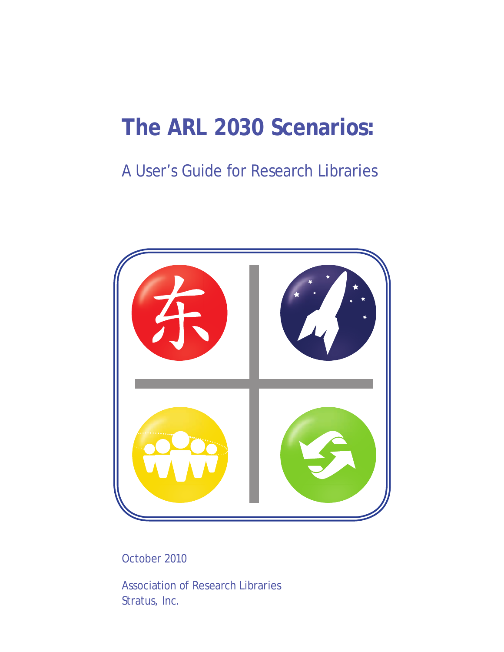# <span id="page-0-0"></span>**The ARL 2030 Scenarios:**

# A User's Guide for Research Libraries



October 2010

Association of Research Libraries Stratus, Inc.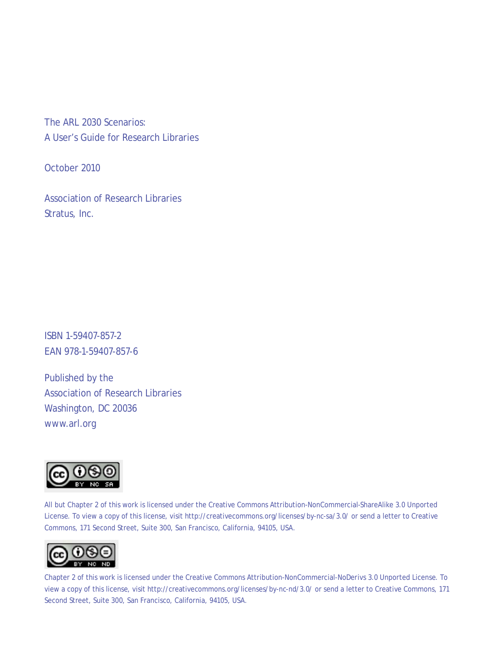The ARL 2030 Scenarios: A User's Guide for Research Libraries

October 2010

Association of Research Libraries Stratus, Inc.

ISBN 1-59407-857-2 EAN 978-1-59407-857-6

Published by the Association of Research Libraries Washington, DC 20036 www.arl.org



All but Chapter 2 of this work is licensed under the Creative Commons Attribution-NonCommercial-ShareAlike 3.0 Unported License. To view a copy of this license, visit http://creativecommons.org/licenses/by-nc-sa/3.0/ or send a letter to Creative Commons, 171 Second Street, Suite 300, San Francisco, California, 94105, USA.



Chapter 2 of this work is licensed under the Creative Commons Attribution-NonCommercial-NoDerivs 3.0 Unported License. To view a copy of this license, visit http://creativecommons.org/licenses/by-nc-nd/3.0/ or send a letter to Creative Commons, 171 Second Street, Suite 300, San Francisco, California, 94105, USA.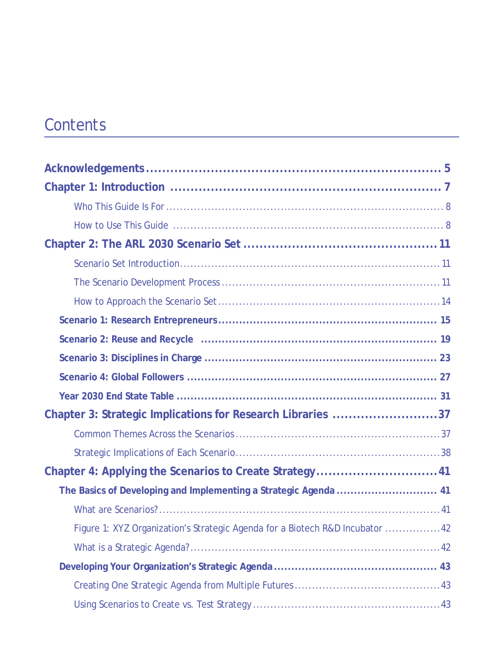# **Contents**

| Chapter 3: Strategic Implications for Research Libraries 37                  |
|------------------------------------------------------------------------------|
|                                                                              |
|                                                                              |
| Chapter 4: Applying the Scenarios to Create Strategy41                       |
|                                                                              |
|                                                                              |
| Figure 1: XYZ Organization's Strategic Agenda for a Biotech R&D Incubator 42 |
|                                                                              |
|                                                                              |
|                                                                              |
|                                                                              |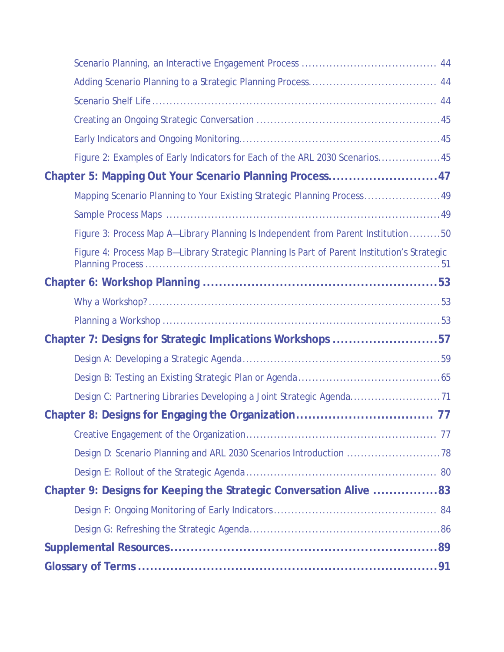| Figure 2: Examples of Early Indicators for Each of the ARL 2030 Scenarios45                  |  |
|----------------------------------------------------------------------------------------------|--|
| Chapter 5: Mapping Out Your Scenario Planning Process47                                      |  |
| Mapping Scenario Planning to Your Existing Strategic Planning Process49                      |  |
|                                                                                              |  |
| Figure 3: Process Map A-Library Planning Is Independent from Parent Institution 50           |  |
| Figure 4: Process Map B-Library Strategic Planning Is Part of Parent Institution's Strategic |  |
|                                                                                              |  |
|                                                                                              |  |
|                                                                                              |  |
| Chapter 7: Designs for Strategic Implications Workshops 57                                   |  |
|                                                                                              |  |
|                                                                                              |  |
|                                                                                              |  |
|                                                                                              |  |
|                                                                                              |  |
| Design D: Scenario Planning and ARL 2030 Scenarios Introduction 78                           |  |
|                                                                                              |  |
| Chapter 9: Designs for Keeping the Strategic Conversation Alive 83                           |  |
|                                                                                              |  |
|                                                                                              |  |
|                                                                                              |  |
|                                                                                              |  |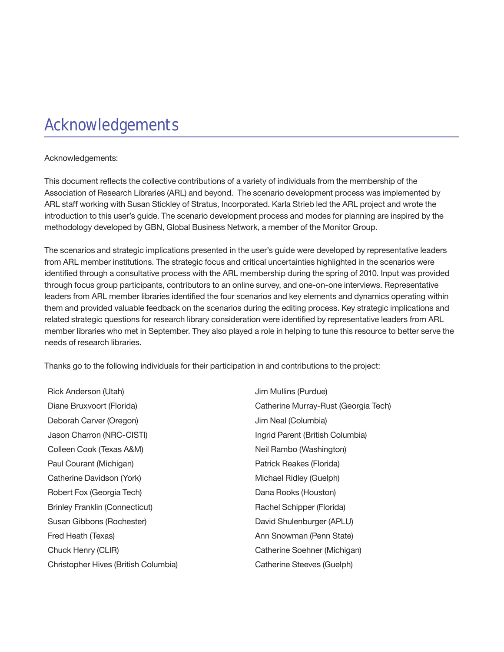# <span id="page-4-0"></span>Acknowledgements

#### Acknowledgements:

This document reflects the collective contributions of a variety of individuals from the membership of the Association of Research Libraries (ARL) and beyond. The scenario development process was implemented by ARL staff working with Susan Stickley of Stratus, Incorporated. Karla Strieb led the ARL project and wrote the introduction to this user's guide. The scenario development process and modes for planning are inspired by the methodology developed by GBN, Global Business Network, a member of the Monitor Group.

The scenarios and strategic implications presented in the user's guide were developed by representative leaders from ARL member institutions. The strategic focus and critical uncertainties highlighted in the scenarios were identified through a consultative process with the ARL membership during the spring of 2010. Input was provided through focus group participants, contributors to an online survey, and one-on-one interviews. Representative leaders from ARL member libraries identified the four scenarios and key elements and dynamics operating within them and provided valuable feedback on the scenarios during the editing process. Key strategic implications and related strategic questions for research library consideration were identified by representative leaders from ARL member libraries who met in September. They also played a role in helping to tune this resource to better serve the needs of research libraries.

Thanks go to the following individuals for their participation in and contributions to the project:

Rick Anderson (Utah) **In Anderson** (Utah) **Jim Mullins (Purdue**) Deborah Carver (Oregon) and a boost of the US of Jim Neal (Columbia) Jason Charron (NRC-CISTI) Ingrid Parent (British Columbia) Colleen Cook (Texas A&M) Neil Rambo (Washington) Paul Courant (Michigan) Patrick Reakes (Florida) Catherine Davidson (York) **Michael Ridley (Guelph)** Michael Ridley (Guelph) Robert Fox (Georgia Tech) Dana Rooks (Houston) Brinley Franklin (Connecticut) Rachel Schipper (Florida) Susan Gibbons (Rochester) The Controller of David Shulenburger (APLU) Fred Heath (Texas) Ann Snowman (Penn State) Chuck Henry (CLIR) Catherine Soehner (Michigan) Christopher Hives (British Columbia) Catherine Steeves (Guelph)

Diane Bruxvoort (Florida) Catherine Murray-Rust (Georgia Tech)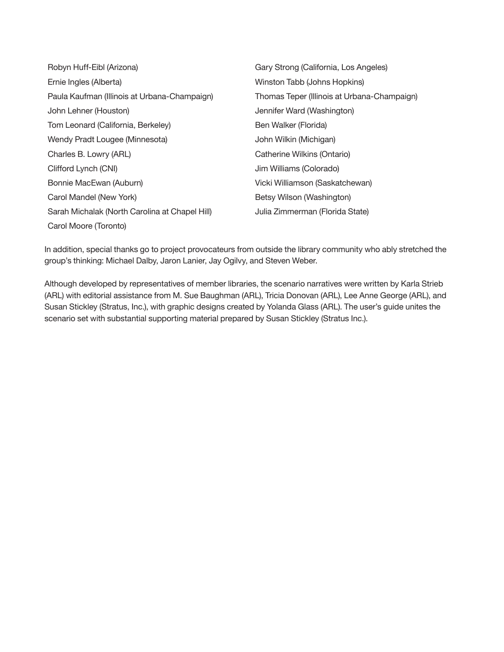| Robyn Huff-Eibl (Arizona)                      | Gary Strong (California, Los Angeles)       |
|------------------------------------------------|---------------------------------------------|
| Ernie Ingles (Alberta)                         | Winston Tabb (Johns Hopkins)                |
| Paula Kaufman (Illinois at Urbana-Champaign)   | Thomas Teper (Illinois at Urbana-Champaign) |
| John Lehner (Houston)                          | Jennifer Ward (Washington)                  |
| Tom Leonard (California, Berkeley)             | Ben Walker (Florida)                        |
| Wendy Pradt Lougee (Minnesota)                 | John Wilkin (Michigan)                      |
| Charles B. Lowry (ARL)                         | Catherine Wilkins (Ontario)                 |
| Clifford Lynch (CNI)                           | Jim Williams (Colorado)                     |
| Bonnie MacEwan (Auburn)                        | Vicki Williamson (Saskatchewan)             |
| Carol Mandel (New York)                        | Betsy Wilson (Washington)                   |
| Sarah Michalak (North Carolina at Chapel Hill) | Julia Zimmerman (Florida State)             |
| Carol Moore (Toronto)                          |                                             |

In addition, special thanks go to project provocateurs from outside the library community who ably stretched the group's thinking: Michael Dalby, Jaron Lanier, Jay Ogilvy, and Steven Weber.

Although developed by representatives of member libraries, the scenario narratives were written by Karla Strieb (ARL) with editorial assistance from M. Sue Baughman (ARL), Tricia Donovan (ARL), Lee Anne George (ARL), and Susan Stickley (Stratus, Inc.), with graphic designs created by Yolanda Glass (ARL). The user's guide unites the scenario set with substantial supporting material prepared by Susan Stickley (Stratus Inc.).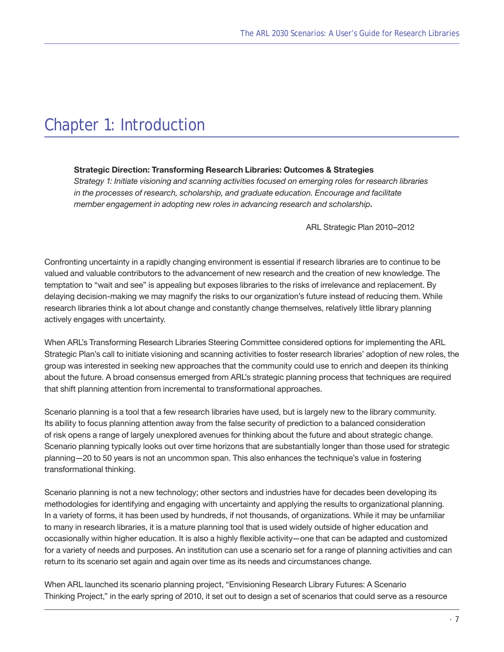# <span id="page-6-0"></span>Chapter 1: Introduction

#### **Strategic Direction: Transforming Research Libraries: Outcomes & Strategies**

*Strategy 1: Initiate visioning and scanning activities focused on emerging roles for research libraries in the processes of research, scholarship, and graduate education. Encourage and facilitate member engagement in adopting new roles in advancing research and scholarship*.

[ARL Strategic Plan 2010–2012](http://www.arl.org/arl/governance/strat-plan/index.shtml)

Confronting uncertainty in a rapidly changing environment is essential if research libraries are to continue to be valued and valuable contributors to the advancement of new research and the creation of new knowledge. The temptation to "wait and see" is appealing but exposes libraries to the risks of irrelevance and replacement. By delaying decision-making we may magnify the risks to our organization's future instead of reducing them. While research libraries think a lot about change and constantly change themselves, relatively little library planning actively engages with uncertainty.

When ARL's Transforming Research Libraries Steering Committee considered options for implementing the ARL Strategic Plan's call to initiate visioning and scanning activities to foster research libraries' adoption of new roles, the group was interested in seeking new approaches that the community could use to enrich and deepen its thinking about the future. A broad consensus emerged from ARL's strategic planning process that techniques are required that shift planning attention from incremental to transformational approaches.

Scenario planning is a tool that a few research libraries have used, but is largely new to the library community. Its ability to focus planning attention away from the false security of prediction to a balanced consideration of risk opens a range of largely unexplored avenues for thinking about the future and about strategic change. Scenario planning typically looks out over time horizons that are substantially longer than those used for strategic planning—20 to 50 years is not an uncommon span. This also enhances the technique's value in fostering transformational thinking.

Scenario planning is not a new technology; other sectors and industries have for decades been developing its methodologies for identifying and engaging with uncertainty and applying the results to organizational planning. In a variety of forms, it has been used by hundreds, if not thousands, of organizations. While it may be unfamiliar to many in research libraries, it is a mature planning tool that is used widely outside of higher education and occasionally within higher education. It is also a highly flexible activity—one that can be adapted and customized for a variety of needs and purposes. An institution can use a scenario set for a range of planning activities and can return to its scenario set again and again over time as its needs and circumstances change.

When ARL launched its scenario planning project, "Envisioning Research Library Futures: A Scenario Thinking Project," in the early spring of 2010, it set out to design a set of scenarios that could serve as a resource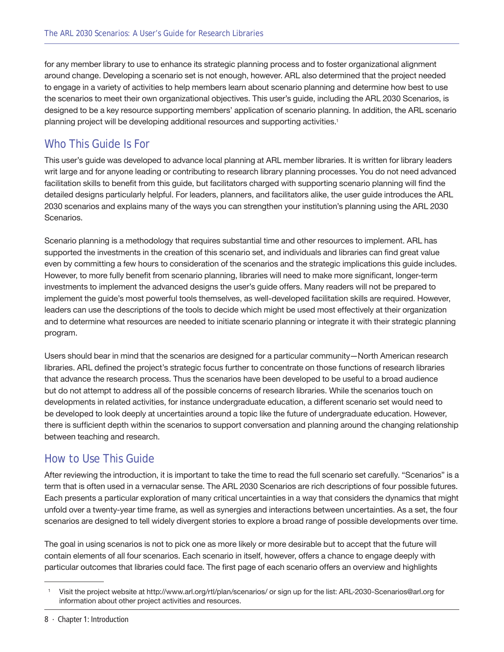<span id="page-7-0"></span>for any member library to use to enhance its strategic planning process and to foster organizational alignment around change. Developing a scenario set is not enough, however. ARL also determined that the project needed to engage in a variety of activities to help members learn about scenario planning and determine how best to use the scenarios to meet their own organizational objectives. This user's guide, including the ARL 2030 Scenarios, is designed to be a key resource supporting members' application of scenario planning. In addition, the ARL scenario planning project will be developing additional resources and supporting activities.1

#### Who This Guide Is For

This user's guide was developed to advance local planning at ARL member libraries. It is written for library leaders writ large and for anyone leading or contributing to research library planning processes. You do not need advanced facilitation skills to benefit from this guide, but facilitators charged with supporting scenario planning will find the detailed designs particularly helpful. For leaders, planners, and facilitators alike, the user guide introduces the ARL 2030 scenarios and explains many of the ways you can strengthen your institution's planning using the ARL 2030 Scenarios.

Scenario planning is a methodology that requires substantial time and other resources to implement. ARL has supported the investments in the creation of this scenario set, and individuals and libraries can find great value even by committing a few hours to consideration of the scenarios and the strategic implications this guide includes. However, to more fully benefit from scenario planning, libraries will need to make more significant, longer-term investments to implement the advanced designs the user's guide offers. Many readers will not be prepared to implement the guide's most powerful tools themselves, as well-developed facilitation skills are required. However, leaders can use the descriptions of the tools to decide which might be used most effectively at their organization and to determine what resources are needed to initiate scenario planning or integrate it with their strategic planning program.

Users should bear in mind that the scenarios are designed for a particular community—North American research libraries. ARL defined the project's strategic focus further to concentrate on those functions of research libraries that advance the research process. Thus the scenarios have been developed to be useful to a broad audience but do not attempt to address all of the possible concerns of research libraries. While the scenarios touch on developments in related activities, for instance undergraduate education, a different scenario set would need to be developed to look deeply at uncertainties around a topic like the future of undergraduate education. However, there is sufficient depth within the scenarios to support conversation and planning around the changing relationship between teaching and research.

#### How to Use This Guide

After reviewing the introduction, it is important to take the time to read the full scenario set carefully. "Scenarios" is a term that is often used in a vernacular sense. The ARL 2030 Scenarios are rich descriptions of four possible futures. Each presents a particular exploration of many critical uncertainties in a way that considers the dynamics that might unfold over a twenty-year time frame, as well as synergies and interactions between uncertainties. As a set, the four scenarios are designed to tell widely divergent stories to explore a broad range of possible developments over time.

The goal in using scenarios is not to pick one as more likely or more desirable but to accept that the future will contain elements of all four scenarios. Each scenario in itself, however, offers a chance to engage deeply with particular outcomes that libraries could face. The first page of each scenario offers an overview and highlights

<sup>1</sup> Visit the project website at http://www.arl.org/rtl/plan/scenarios/ or sign up for the list: ARL-2030-Scenarios@arl.org for information about other project activities and resources.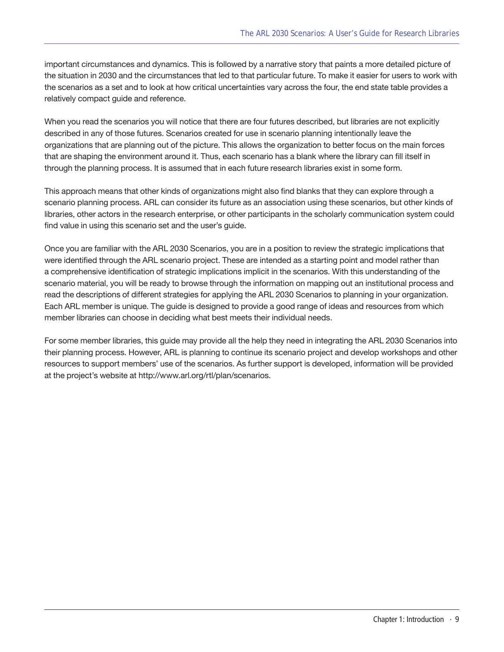important circumstances and dynamics. This is followed by a narrative story that paints a more detailed picture of the situation in 2030 and the circumstances that led to that particular future. To make it easier for users to work with the scenarios as a set and to look at how critical uncertainties vary across the four, the end state table provides a relatively compact guide and reference.

When you read the scenarios you will notice that there are four futures described, but libraries are not explicitly described in any of those futures. Scenarios created for use in scenario planning intentionally leave the organizations that are planning out of the picture. This allows the organization to better focus on the main forces that are shaping the environment around it. Thus, each scenario has a blank where the library can fill itself in through the planning process. It is assumed that in each future research libraries exist in some form.

This approach means that other kinds of organizations might also find blanks that they can explore through a scenario planning process. ARL can consider its future as an association using these scenarios, but other kinds of libraries, other actors in the research enterprise, or other participants in the scholarly communication system could find value in using this scenario set and the user's guide.

Once you are familiar with the ARL 2030 Scenarios, you are in a position to review the strategic implications that were identified through the ARL scenario project. These are intended as a starting point and model rather than a comprehensive identification of strategic implications implicit in the scenarios. With this understanding of the scenario material, you will be ready to browse through the information on mapping out an institutional process and read the descriptions of different strategies for applying the ARL 2030 Scenarios to planning in your organization. Each ARL member is unique. The guide is designed to provide a good range of ideas and resources from which member libraries can choose in deciding what best meets their individual needs.

For some member libraries, this guide may provide all the help they need in integrating the ARL 2030 Scenarios into their planning process. However, ARL is planning to continue its scenario project and develop workshops and other resources to support members' use of the scenarios. As further support is developed, information will be provided at the project's website at http://www.arl.org/rtl/plan/scenarios.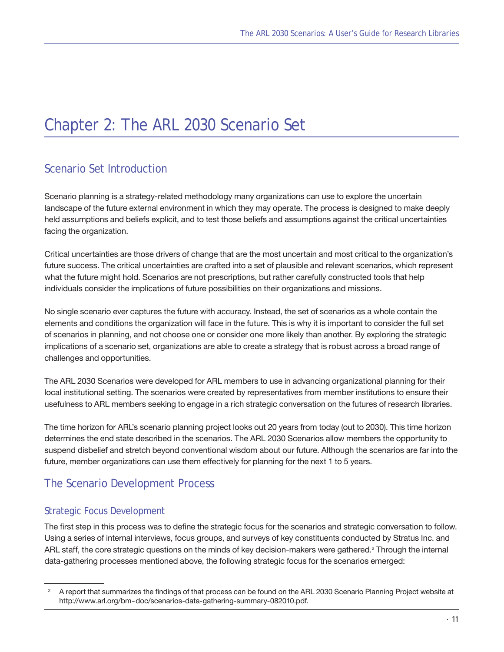# <span id="page-10-0"></span>Chapter 2: The ARL 2030 Scenario Set

#### Scenario Set Introduction

Scenario planning is a strategy-related methodology many organizations can use to explore the uncertain landscape of the future external environment in which they may operate. The process is designed to make deeply held assumptions and beliefs explicit, and to test those beliefs and assumptions against the critical uncertainties facing the organization.

Critical uncertainties are those drivers of change that are the most uncertain and most critical to the organization's future success. The critical uncertainties are crafted into a set of plausible and relevant scenarios, which represent what the future might hold. Scenarios are not prescriptions, but rather carefully constructed tools that help individuals consider the implications of future possibilities on their organizations and missions.

No single scenario ever captures the future with accuracy. Instead, the set of scenarios as a whole contain the elements and conditions the organization will face in the future. This is why it is important to consider the full set of scenarios in planning, and not choose one or consider one more likely than another. By exploring the strategic implications of a scenario set, organizations are able to create a strategy that is robust across a broad range of challenges and opportunities.

The ARL 2030 Scenarios were developed for ARL members to use in advancing organizational planning for their local institutional setting. The scenarios were created by representatives from member institutions to ensure their usefulness to ARL members seeking to engage in a rich strategic conversation on the futures of research libraries.

The time horizon for ARL's scenario planning project looks out 20 years from today (out to 2030). This time horizon determines the end state described in the scenarios. The ARL 2030 Scenarios allow members the opportunity to suspend disbelief and stretch beyond conventional wisdom about our future. Although the scenarios are far into the future, member organizations can use them effectively for planning for the next 1 to 5 years.

#### The Scenario Development Process

#### Strategic Focus Development

The first step in this process was to define the strategic focus for the scenarios and strategic conversation to follow. Using a series of internal interviews, focus groups, and surveys of key constituents conducted by Stratus Inc. and ARL staff, the core strategic questions on the minds of key decision-makers were gathered.<sup>2</sup> Through the internal data-gathering processes mentioned above, the following strategic focus for the scenarios emerged:

<sup>2</sup> A report that summarizes the findings of that process can be found on the ARL 2030 Scenario Planning Project website at http://[www.arl.org/bm~doc/scenarios-data-gathering-summary-082010.pdf.](www.arl.org/bm~doc/scenarios-data-gathering-summary-082010.pdf)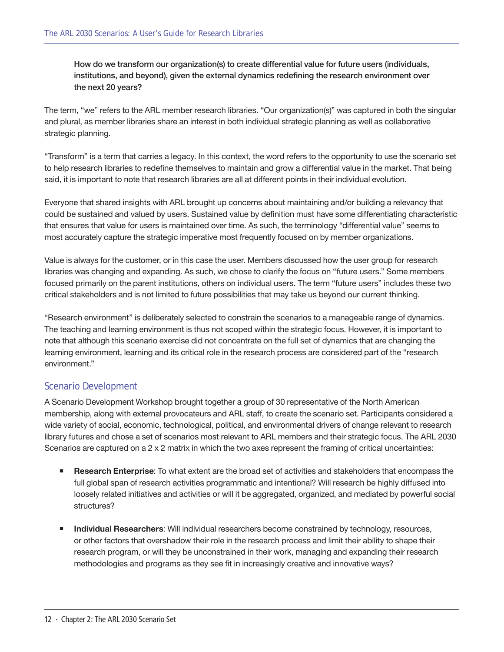How do we transform our organization(s) to create differential value for future users (individuals, institutions, and beyond), given the external dynamics redefining the research environment over the next 20 years?

The term, "we" refers to the ARL member research libraries. "Our organization(s)" was captured in both the singular and plural, as member libraries share an interest in both individual strategic planning as well as collaborative strategic planning.

"Transform" is a term that carries a legacy. In this context, the word refers to the opportunity to use the scenario set to help research libraries to redefine themselves to maintain and grow a differential value in the market. That being said, it is important to note that research libraries are all at different points in their individual evolution.

Everyone that shared insights with ARL brought up concerns about maintaining and/or building a relevancy that could be sustained and valued by users. Sustained value by definition must have some differentiating characteristic that ensures that value for users is maintained over time. As such, the terminology "differential value" seems to most accurately capture the strategic imperative most frequently focused on by member organizations.

Value is always for the customer, or in this case the user. Members discussed how the user group for research libraries was changing and expanding. As such, we chose to clarify the focus on "future users." Some members focused primarily on the parent institutions, others on individual users. The term "future users" includes these two critical stakeholders and is not limited to future possibilities that may take us beyond our current thinking.

"Research environment" is deliberately selected to constrain the scenarios to a manageable range of dynamics. The teaching and learning environment is thus not scoped within the strategic focus. However, it is important to note that although this scenario exercise did not concentrate on the full set of dynamics that are changing the learning environment, learning and its critical role in the research process are considered part of the "research environment."

#### Scenario Development

A Scenario Development Workshop brought together a group of 30 representative of the North American membership, along with external provocateurs and ARL staff, to create the scenario set. Participants considered a wide variety of social, economic, technological, political, and environmental drivers of change relevant to research library futures and chose a set of scenarios most relevant to ARL members and their strategic focus. The ARL 2030 Scenarios are captured on a 2 x 2 matrix in which the two axes represent the framing of critical uncertainties:

- **Research Enterprise**: To what extent are the broad set of activities and stakeholders that encompass the full global span of research activities programmatic and intentional? Will research be highly diffused into loosely related initiatives and activities or will it be aggregated, organized, and mediated by powerful social structures?
- **Individual Researchers**: Will individual researchers become constrained by technology, resources, or other factors that overshadow their role in the research process and limit their ability to shape their research program, or will they be unconstrained in their work, managing and expanding their research methodologies and programs as they see fit in increasingly creative and innovative ways?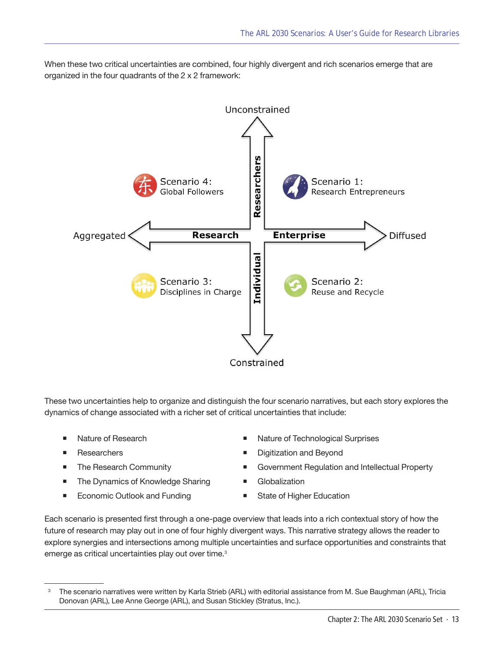When these two critical uncertainties are combined, four highly divergent and rich scenarios emerge that are organized in the four quadrants of the 2 x 2 framework:



These two uncertainties help to organize and distinguish the four scenario narratives, but each story explores the dynamics of change associated with a richer set of critical uncertainties that include:

- 
- 
- 
- The Dynamics of Knowledge Sharing Globalization
- Economic Outlook and Funding State of Higher Education
- Nature of Research **Nature of Technological Surprises** 
	- Researchers **Digitization** and Beyond
- The Research Community Government Regulation and Intellectual Property
	-
	-

Each scenario is presented first through a one-page overview that leads into a rich contextual story of how the future of research may play out in one of four highly divergent ways. This narrative strategy allows the reader to explore synergies and intersections among multiple uncertainties and surface opportunities and constraints that emerge as critical uncertainties play out over time.<sup>3</sup>

<sup>3</sup> The scenario narratives were written by Karla Strieb (ARL) with editorial assistance from M. Sue Baughman (ARL), Tricia Donovan (ARL), Lee Anne George (ARL), and Susan Stickley (Stratus, Inc.).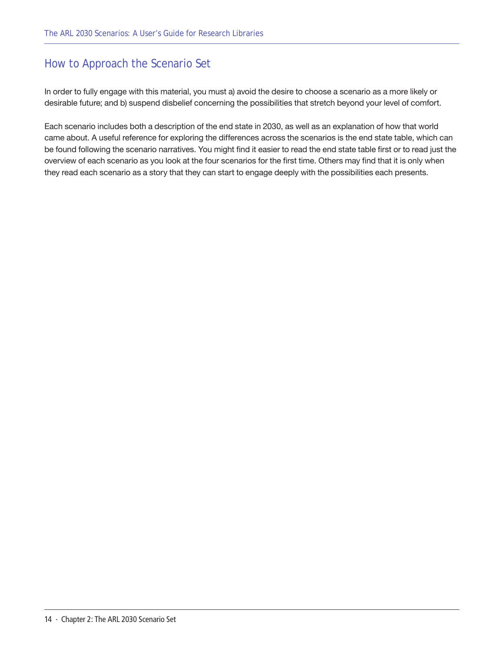#### <span id="page-13-0"></span>How to Approach the Scenario Set

In order to fully engage with this material, you must a) avoid the desire to choose a scenario as a more likely or desirable future; and b) suspend disbelief concerning the possibilities that stretch beyond your level of comfort.

Each scenario includes both a description of the end state in 2030, as well as an explanation of how that world came about. A useful reference for exploring the differences across the scenarios is the end state table, which can be found following the scenario narratives. You might find it easier to read the end state table first or to read just the overview of each scenario as you look at the four scenarios for the first time. Others may find that it is only when they read each scenario as a story that they can start to engage deeply with the possibilities each presents.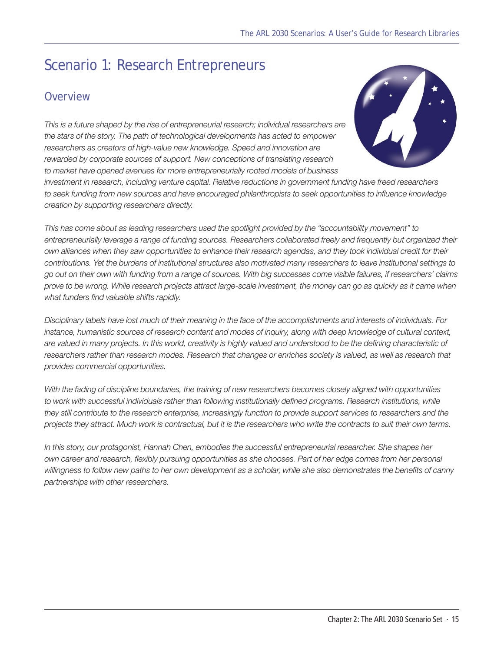# <span id="page-14-0"></span>Scenario 1: Research Entrepreneurs

#### **Overview**

*This is a future shaped by the rise of entrepreneurial research; individual researchers are the stars of the story. The path of technological developments has acted to empower*  researchers as creators of high-value new knowledge. Speed and innovation are *rewarded by corporate sources of support. New conceptions of translating research to market have opened avenues for more entrepreneurially rooted models of business* 



*investment in research, including venture capital. Relative reductions in government funding have freed researchers to seek funding from new sources and have encouraged philanthropists to seek opportunities to influence knowledge creation by supporting researchers directly.*

*This has come about as leading researchers used the spotlight provided by the "accountability movement" to*  entrepreneurially leverage a range of funding sources. Researchers collaborated freely and frequently but organized their *own alliances when they saw opportunities to enhance their research agendas, and they took individual credit for their contributions. Yet the burdens of institutional structures also motivated many researchers to leave institutional settings to go out on their own with funding from a range of sources. With big successes come visible failures, if researchers' claims prove to be wrong. While research projects attract large-scale investment, the money can go as quickly as it came when what funders find valuable shifts rapidly.*

*Disciplinary labels have lost much of their meaning in the face of the accomplishments and interests of individuals. For instance, humanistic sources of research content and modes of inquiry, along with deep knowledge of cultural context, are valued in many projects. In this world, creativity is highly valued and understood to be the defining characteristic of*  researchers rather than research modes. Research that changes or enriches society is valued, as well as research that *provides commercial opportunities.*

*With the fading of discipline boundaries, the training of new researchers becomes closely aligned with opportunities*  to work with successful individuals rather than following institutionally defined programs. Research institutions, while *they still contribute to the research enterprise, increasingly function to provide support services to researchers and the projects they attract. Much work is contractual, but it is the researchers who write the contracts to suit their own terms.*

*In this story, our protagonist, Hannah Chen, embodies the successful entrepreneurial researcher. She shapes her own career and research, flexibly pursuing opportunities as she chooses. Part of her edge comes from her personal willingness to follow new paths to her own development as a scholar, while she also demonstrates the benefits of canny partnerships with other researchers.*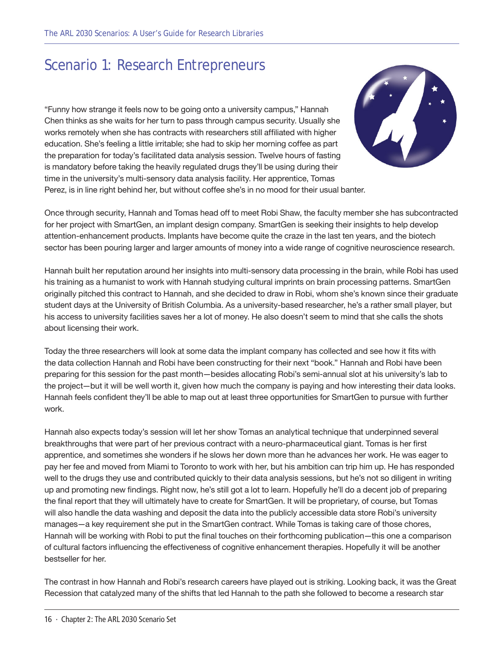### Scenario 1: Research Entrepreneurs

"Funny how strange it feels now to be going onto a university campus," Hannah Chen thinks as she waits for her turn to pass through campus security. Usually she works remotely when she has contracts with researchers still affiliated with higher education. She's feeling a little irritable; she had to skip her morning coffee as part the preparation for today's facilitated data analysis session. Twelve hours of fasting is mandatory before taking the heavily regulated drugs they'll be using during their time in the university's multi-sensory data analysis facility. Her apprentice, Tomas Perez, is in line right behind her, but without coffee she's in no mood for their usual banter.



Once through security, Hannah and Tomas head off to meet Robi Shaw, the faculty member she has subcontracted for her project with SmartGen, an implant design company. SmartGen is seeking their insights to help develop attention-enhancement products. Implants have become quite the craze in the last ten years, and the biotech sector has been pouring larger and larger amounts of money into a wide range of cognitive neuroscience research.

Hannah built her reputation around her insights into multi-sensory data processing in the brain, while Robi has used his training as a humanist to work with Hannah studying cultural imprints on brain processing patterns. SmartGen originally pitched this contract to Hannah, and she decided to draw in Robi, whom she's known since their graduate student days at the University of British Columbia. As a university-based researcher, he's a rather small player, but his access to university facilities saves her a lot of money. He also doesn't seem to mind that she calls the shots about licensing their work.

Today the three researchers will look at some data the implant company has collected and see how it fits with the data collection Hannah and Robi have been constructing for their next "book." Hannah and Robi have been preparing for this session for the past month—besides allocating Robi's semi-annual slot at his university's lab to the project—but it will be well worth it, given how much the company is paying and how interesting their data looks. Hannah feels confident they'll be able to map out at least three opportunities for SmartGen to pursue with further work.

Hannah also expects today's session will let her show Tomas an analytical technique that underpinned several breakthroughs that were part of her previous contract with a neuro-pharmaceutical giant. Tomas is her first apprentice, and sometimes she wonders if he slows her down more than he advances her work. He was eager to pay her fee and moved from Miami to Toronto to work with her, but his ambition can trip him up. He has responded well to the drugs they use and contributed quickly to their data analysis sessions, but he's not so diligent in writing up and promoting new findings. Right now, he's still got a lot to learn. Hopefully he'll do a decent job of preparing the final report that they will ultimately have to create for SmartGen. It will be proprietary, of course, but Tomas will also handle the data washing and deposit the data into the publicly accessible data store Robi's university manages—a key requirement she put in the SmartGen contract. While Tomas is taking care of those chores, Hannah will be working with Robi to put the final touches on their forthcoming publication—this one a comparison of cultural factors influencing the effectiveness of cognitive enhancement therapies. Hopefully it will be another bestseller for her.

The contrast in how Hannah and Robi's research careers have played out is striking. Looking back, it was the Great Recession that catalyzed many of the shifts that led Hannah to the path she followed to become a research star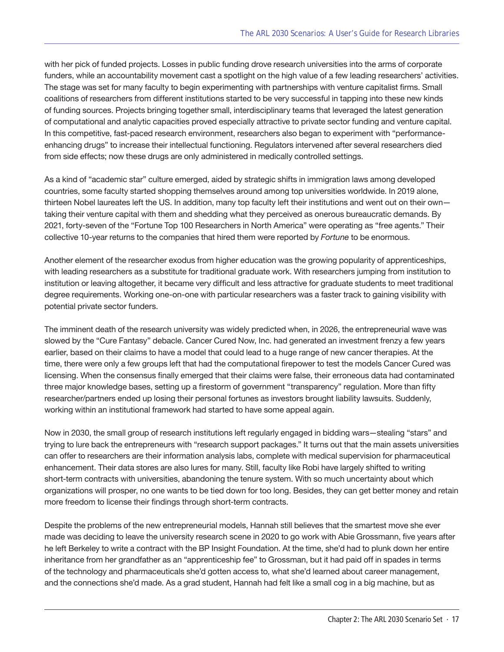with her pick of funded projects. Losses in public funding drove research universities into the arms of corporate funders, while an accountability movement cast a spotlight on the high value of a few leading researchers' activities. The stage was set for many faculty to begin experimenting with partnerships with venture capitalist firms. Small coalitions of researchers from different institutions started to be very successful in tapping into these new kinds of funding sources. Projects bringing together small, interdisciplinary teams that leveraged the latest generation of computational and analytic capacities proved especially attractive to private sector funding and venture capital. In this competitive, fast-paced research environment, researchers also began to experiment with "performanceenhancing drugs" to increase their intellectual functioning. Regulators intervened after several researchers died from side effects; now these drugs are only administered in medically controlled settings.

As a kind of "academic star" culture emerged, aided by strategic shifts in immigration laws among developed countries, some faculty started shopping themselves around among top universities worldwide. In 2019 alone, thirteen Nobel laureates left the US. In addition, many top faculty left their institutions and went out on their own taking their venture capital with them and shedding what they perceived as onerous bureaucratic demands. By 2021, forty-seven of the "Fortune Top 100 Researchers in North America" were operating as "free agents." Their collective 10-year returns to the companies that hired them were reported by *Fortune* to be enormous.

Another element of the researcher exodus from higher education was the growing popularity of apprenticeships, with leading researchers as a substitute for traditional graduate work. With researchers jumping from institution to institution or leaving altogether, it became very difficult and less attractive for graduate students to meet traditional degree requirements. Working one-on-one with particular researchers was a faster track to gaining visibility with potential private sector funders.

The imminent death of the research university was widely predicted when, in 2026, the entrepreneurial wave was slowed by the "Cure Fantasy" debacle. Cancer Cured Now, Inc. had generated an investment frenzy a few years earlier, based on their claims to have a model that could lead to a huge range of new cancer therapies. At the time, there were only a few groups left that had the computational firepower to test the models Cancer Cured was licensing. When the consensus finally emerged that their claims were false, their erroneous data had contaminated three major knowledge bases, setting up a firestorm of government "transparency" regulation. More than fifty researcher/partners ended up losing their personal fortunes as investors brought liability lawsuits. Suddenly, working within an institutional framework had started to have some appeal again.

Now in 2030, the small group of research institutions left regularly engaged in bidding wars—stealing "stars" and trying to lure back the entrepreneurs with "research support packages." It turns out that the main assets universities can offer to researchers are their information analysis labs, complete with medical supervision for pharmaceutical enhancement. Their data stores are also lures for many. Still, faculty like Robi have largely shifted to writing short-term contracts with universities, abandoning the tenure system. With so much uncertainty about which organizations will prosper, no one wants to be tied down for too long. Besides, they can get better money and retain more freedom to license their findings through short-term contracts.

Despite the problems of the new entrepreneurial models, Hannah still believes that the smartest move she ever made was deciding to leave the university research scene in 2020 to go work with Abie Grossmann, five years after he left Berkeley to write a contract with the BP Insight Foundation. At the time, she'd had to plunk down her entire inheritance from her grandfather as an "apprenticeship fee" to Grossman, but it had paid off in spades in terms of the technology and pharmaceuticals she'd gotten access to, what she'd learned about career management, and the connections she'd made. As a grad student, Hannah had felt like a small cog in a big machine, but as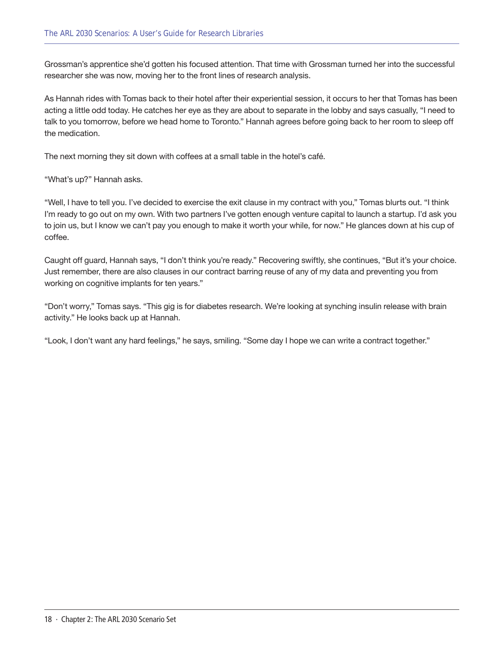Grossman's apprentice she'd gotten his focused attention. That time with Grossman turned her into the successful researcher she was now, moving her to the front lines of research analysis.

As Hannah rides with Tomas back to their hotel after their experiential session, it occurs to her that Tomas has been acting a little odd today. He catches her eye as they are about to separate in the lobby and says casually, "I need to talk to you tomorrow, before we head home to Toronto." Hannah agrees before going back to her room to sleep off the medication.

The next morning they sit down with coffees at a small table in the hotel's café.

"What's up?" Hannah asks.

"Well, I have to tell you. I've decided to exercise the exit clause in my contract with you," Tomas blurts out. "I think I'm ready to go out on my own. With two partners I've gotten enough venture capital to launch a startup. I'd ask you to join us, but I know we can't pay you enough to make it worth your while, for now." He glances down at his cup of coffee.

Caught off guard, Hannah says, "I don't think you're ready." Recovering swiftly, she continues, "But it's your choice. Just remember, there are also clauses in our contract barring reuse of any of my data and preventing you from working on cognitive implants for ten years."

"Don't worry," Tomas says. "This gig is for diabetes research. We're looking at synching insulin release with brain activity." He looks back up at Hannah.

"Look, I don't want any hard feelings," he says, smiling. "Some day I hope we can write a contract together."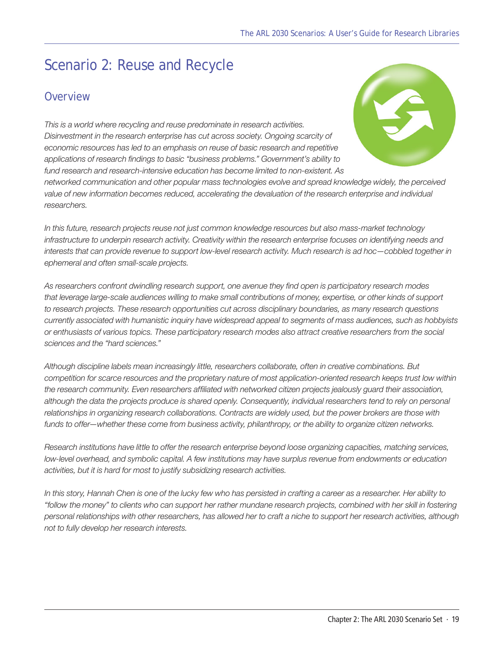# <span id="page-18-0"></span>Scenario 2: Reuse and Recycle

#### **Overview**

*This is a world where recycling and reuse predominate in research activities. Disinvestment in the research enterprise has cut across society. Ongoing scarcity of economic resources has led to an emphasis on reuse of basic research and repetitive applications of research findings to basic "business problems." Government's ability to fund research and research-intensive education has become limited to non-existent. As* 



*networked communication and other popular mass technologies evolve and spread knowledge widely, the perceived value of new information becomes reduced, accelerating the devaluation of the research enterprise and individual researchers.*

*In this future, research projects reuse not just common knowledge resources but also mass-market technology infrastructure to underpin research activity. Creativity within the research enterprise focuses on identifying needs and interests that can provide revenue to support low-level research activity. Much research is ad hoc—cobbled together in ephemeral and often small-scale projects.* 

*As researchers confront dwindling research support, one avenue they find open is participatory research modes that leverage large-scale audiences willing to make small contributions of money, expertise, or other kinds of support to research projects. These research opportunities cut across disciplinary boundaries, as many research questions currently associated with humanistic inquiry have widespread appeal to segments of mass audiences, such as hobbyists or enthusiasts of various topics. These participatory research modes also attract creative researchers from the social sciences and the "hard sciences."*

*Although discipline labels mean increasingly little, researchers collaborate, often in creative combinations. But competition for scarce resources and the proprietary nature of most application-oriented research keeps trust low within*  the research community. Even researchers affiliated with networked citizen projects jealously guard their association, *although the data the projects produce is shared openly. Consequently, individual researchers tend to rely on personal relationships in organizing research collaborations. Contracts are widely used, but the power brokers are those with funds to offer—whether these come from business activity, philanthropy, or the ability to organize citizen networks.*

*Research institutions have little to offer the research enterprise beyond loose organizing capacities, matching services, low-level overhead, and symbolic capital. A few institutions may have surplus revenue from endowments or education activities, but it is hard for most to justify subsidizing research activities.* 

*In this story, Hannah Chen is one of the lucky few who has persisted in crafting a career as a researcher. Her ability to "follow the money" to clients who can support her rather mundane research projects, combined with her skill in fostering personal relationships with other researchers, has allowed her to craft a niche to support her research activities, although not to fully develop her research interests.*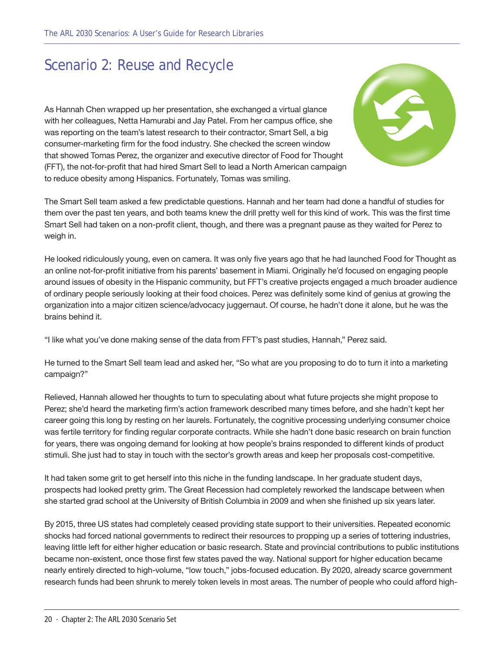#### Scenario 2: Reuse and Recycle

As Hannah Chen wrapped up her presentation, she exchanged a virtual glance with her colleagues, Netta Hamurabi and Jay Patel. From her campus office, she was reporting on the team's latest research to their contractor, Smart Sell, a big consumer-marketing firm for the food industry. She checked the screen window that showed Tomas Perez, the organizer and executive director of Food for Thought (FFT), the not-for-profit that had hired Smart Sell to lead a North American campaign to reduce obesity among Hispanics. Fortunately, Tomas was smiling.



The Smart Sell team asked a few predictable questions. Hannah and her team had done a handful of studies for them over the past ten years, and both teams knew the drill pretty well for this kind of work. This was the first time Smart Sell had taken on a non-profit client, though, and there was a pregnant pause as they waited for Perez to weigh in.

He looked ridiculously young, even on camera. It was only five years ago that he had launched Food for Thought as an online not-for-profit initiative from his parents' basement in Miami. Originally he'd focused on engaging people around issues of obesity in the Hispanic community, but FFT's creative projects engaged a much broader audience of ordinary people seriously looking at their food choices. Perez was definitely some kind of genius at growing the organization into a major citizen science/advocacy juggernaut. Of course, he hadn't done it alone, but he was the brains behind it.

"I like what you've done making sense of the data from FFT's past studies, Hannah," Perez said.

He turned to the Smart Sell team lead and asked her, "So what are you proposing to do to turn it into a marketing campaign?"

Relieved, Hannah allowed her thoughts to turn to speculating about what future projects she might propose to Perez; she'd heard the marketing firm's action framework described many times before, and she hadn't kept her career going this long by resting on her laurels. Fortunately, the cognitive processing underlying consumer choice was fertile territory for finding regular corporate contracts. While she hadn't done basic research on brain function for years, there was ongoing demand for looking at how people's brains responded to different kinds of product stimuli. She just had to stay in touch with the sector's growth areas and keep her proposals cost-competitive.

It had taken some grit to get herself into this niche in the funding landscape. In her graduate student days, prospects had looked pretty grim. The Great Recession had completely reworked the landscape between when she started grad school at the University of British Columbia in 2009 and when she finished up six years later.

By 2015, three US states had completely ceased providing state support to their universities. Repeated economic shocks had forced national governments to redirect their resources to propping up a series of tottering industries, leaving little left for either higher education or basic research. State and provincial contributions to public institutions became non-existent, once those first few states paved the way. National support for higher education became nearly entirely directed to high-volume, "low touch," jobs-focused education. By 2020, already scarce government research funds had been shrunk to merely token levels in most areas. The number of people who could afford high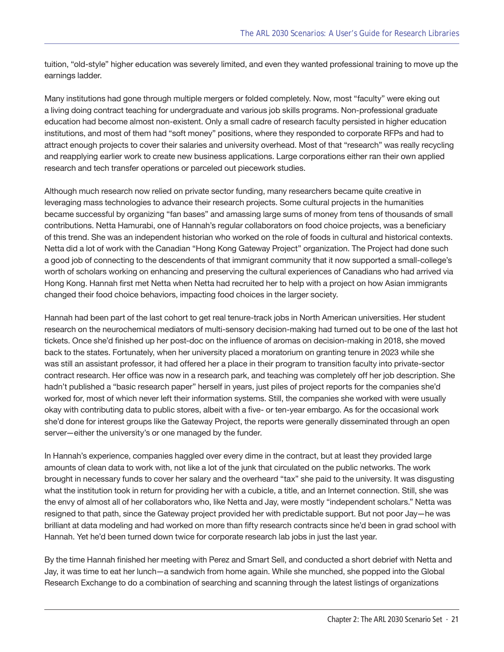tuition, "old-style" higher education was severely limited, and even they wanted professional training to move up the earnings ladder.

Many institutions had gone through multiple mergers or folded completely. Now, most "faculty" were eking out a living doing contract teaching for undergraduate and various job skills programs. Non-professional graduate education had become almost non-existent. Only a small cadre of research faculty persisted in higher education institutions, and most of them had "soft money" positions, where they responded to corporate RFPs and had to attract enough projects to cover their salaries and university overhead. Most of that "research" was really recycling and reapplying earlier work to create new business applications. Large corporations either ran their own applied research and tech transfer operations or parceled out piecework studies.

Although much research now relied on private sector funding, many researchers became quite creative in leveraging mass technologies to advance their research projects. Some cultural projects in the humanities became successful by organizing "fan bases" and amassing large sums of money from tens of thousands of small contributions. Netta Hamurabi, one of Hannah's regular collaborators on food choice projects, was a beneficiary of this trend. She was an independent historian who worked on the role of foods in cultural and historical contexts. Netta did a lot of work with the Canadian "Hong Kong Gateway Project" organization. The Project had done such a good job of connecting to the descendents of that immigrant community that it now supported a small-college's worth of scholars working on enhancing and preserving the cultural experiences of Canadians who had arrived via Hong Kong. Hannah first met Netta when Netta had recruited her to help with a project on how Asian immigrants changed their food choice behaviors, impacting food choices in the larger society.

Hannah had been part of the last cohort to get real tenure-track jobs in North American universities. Her student research on the neurochemical mediators of multi-sensory decision-making had turned out to be one of the last hot tickets. Once she'd finished up her post-doc on the influence of aromas on decision-making in 2018, she moved back to the states. Fortunately, when her university placed a moratorium on granting tenure in 2023 while she was still an assistant professor, it had offered her a place in their program to transition faculty into private-sector contract research. Her office was now in a research park, and teaching was completely off her job description. She hadn't published a "basic research paper" herself in years, just piles of project reports for the companies she'd worked for, most of which never left their information systems. Still, the companies she worked with were usually okay with contributing data to public stores, albeit with a five- or ten-year embargo. As for the occasional work she'd done for interest groups like the Gateway Project, the reports were generally disseminated through an open server—either the university's or one managed by the funder.

In Hannah's experience, companies haggled over every dime in the contract, but at least they provided large amounts of clean data to work with, not like a lot of the junk that circulated on the public networks. The work brought in necessary funds to cover her salary and the overheard "tax" she paid to the university. It was disgusting what the institution took in return for providing her with a cubicle, a title, and an Internet connection. Still, she was the envy of almost all of her collaborators who, like Netta and Jay, were mostly "independent scholars." Netta was resigned to that path, since the Gateway project provided her with predictable support. But not poor Jay—he was brilliant at data modeling and had worked on more than fifty research contracts since he'd been in grad school with Hannah. Yet he'd been turned down twice for corporate research lab jobs in just the last year.

By the time Hannah finished her meeting with Perez and Smart Sell, and conducted a short debrief with Netta and Jay, it was time to eat her lunch—a sandwich from home again. While she munched, she popped into the Global Research Exchange to do a combination of searching and scanning through the latest listings of organizations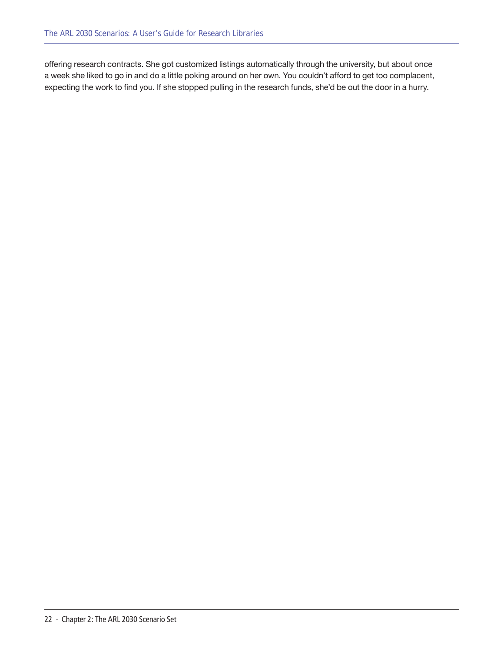offering research contracts. She got customized listings automatically through the university, but about once a week she liked to go in and do a little poking around on her own. You couldn't afford to get too complacent, expecting the work to find you. If she stopped pulling in the research funds, she'd be out the door in a hurry.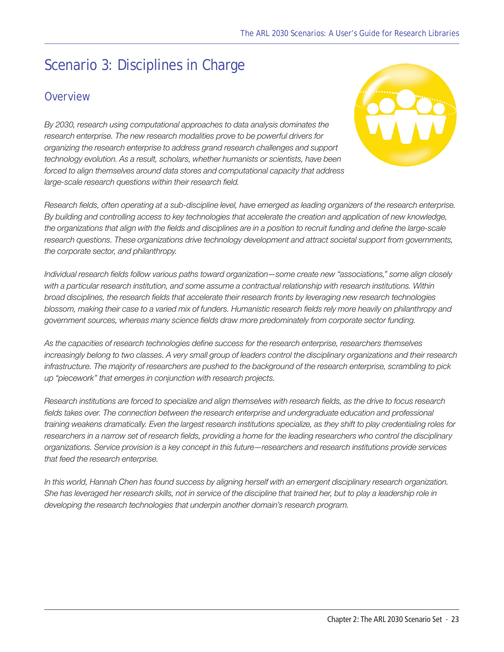# <span id="page-22-0"></span>Scenario 3: Disciplines in Charge

#### **Overview**

*By 2030, research using computational approaches to data analysis dominates the research enterprise. The new research modalities prove to be powerful drivers for organizing the research enterprise to address grand research challenges and support technology evolution. As a result, scholars, whether humanists or scientists, have been forced to align themselves around data stores and computational capacity that address large-scale research questions within their research field.* 



*Research fields, often operating at a sub-discipline level, have emerged as leading organizers of the research enterprise. By building and controlling access to key technologies that accelerate the creation and application of new knowledge, the organizations that align with the fields and disciplines are in a position to recruit funding and define the large-scale*  research questions. These organizations drive technology development and attract societal support from governments, *the corporate sector, and philanthropy.*

*Individual research fields follow various paths toward organization—some create new "associations," some align closely with a particular research institution, and some assume a contractual relationship with research institutions. Within broad disciplines, the research fields that accelerate their research fronts by leveraging new research technologies blossom, making their case to a varied mix of funders. Humanistic research fields rely more heavily on philanthropy and government sources, whereas many science fields draw more predominately from corporate sector funding.*

*As the capacities of research technologies define success for the research enterprise, researchers themselves increasingly belong to two classes. A very small group of leaders control the disciplinary organizations and their research infrastructure. The majority of researchers are pushed to the background of the research enterprise, scrambling to pick up "piecework" that emerges in conjunction with research projects.* 

*Research institutions are forced to specialize and align themselves with research fields, as the drive to focus research*  fields takes over. The connection between the research enterprise and undergraduate education and professional *training weakens dramatically. Even the largest research institutions specialize, as they shift to play credentialing roles for*  researchers in a narrow set of research fields, providing a home for the leading researchers who control the disciplinary *organizations. Service provision is a key concept in this future—researchers and research institutions provide services that feed the research enterprise.*

*In this world, Hannah Chen has found success by aligning herself with an emergent disciplinary research organization. She has leveraged her research skills, not in service of the discipline that trained her, but to play a leadership role in developing the research technologies that underpin another domain's research program.*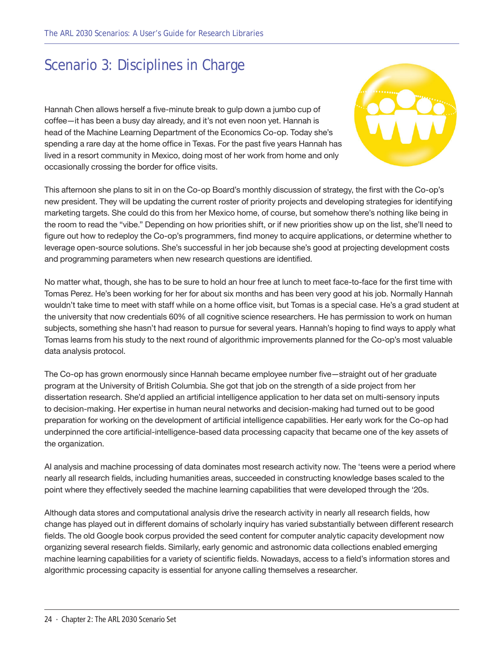### Scenario 3: Disciplines in Charge

Hannah Chen allows herself a five-minute break to gulp down a jumbo cup of coffee—it has been a busy day already, and it's not even noon yet. Hannah is head of the Machine Learning Department of the Economics Co-op. Today she's spending a rare day at the home office in Texas. For the past five years Hannah has lived in a resort community in Mexico, doing most of her work from home and only occasionally crossing the border for office visits.



This afternoon she plans to sit in on the Co-op Board's monthly discussion of strategy, the first with the Co-op's new president. They will be updating the current roster of priority projects and developing strategies for identifying marketing targets. She could do this from her Mexico home, of course, but somehow there's nothing like being in the room to read the "vibe." Depending on how priorities shift, or if new priorities show up on the list, she'll need to figure out how to redeploy the Co-op's programmers, find money to acquire applications, or determine whether to leverage open-source solutions. She's successful in her job because she's good at projecting development costs and programming parameters when new research questions are identified.

No matter what, though, she has to be sure to hold an hour free at lunch to meet face-to-face for the first time with Tomas Perez. He's been working for her for about six months and has been very good at his job. Normally Hannah wouldn't take time to meet with staff while on a home office visit, but Tomas is a special case. He's a grad student at the university that now credentials 60% of all cognitive science researchers. He has permission to work on human subjects, something she hasn't had reason to pursue for several years. Hannah's hoping to find ways to apply what Tomas learns from his study to the next round of algorithmic improvements planned for the Co-op's most valuable data analysis protocol.

The Co-op has grown enormously since Hannah became employee number five—straight out of her graduate program at the University of British Columbia. She got that job on the strength of a side project from her dissertation research. She'd applied an artificial intelligence application to her data set on multi-sensory inputs to decision-making. Her expertise in human neural networks and decision-making had turned out to be good preparation for working on the development of artificial intelligence capabilities. Her early work for the Co-op had underpinned the core artificial-intelligence-based data processing capacity that became one of the key assets of the organization.

AI analysis and machine processing of data dominates most research activity now. The 'teens were a period where nearly all research fields, including humanities areas, succeeded in constructing knowledge bases scaled to the point where they effectively seeded the machine learning capabilities that were developed through the '20s.

Although data stores and computational analysis drive the research activity in nearly all research fields, how change has played out in different domains of scholarly inquiry has varied substantially between different research fields. The old Google book corpus provided the seed content for computer analytic capacity development now organizing several research fields. Similarly, early genomic and astronomic data collections enabled emerging machine learning capabilities for a variety of scientific fields. Nowadays, access to a field's information stores and algorithmic processing capacity is essential for anyone calling themselves a researcher.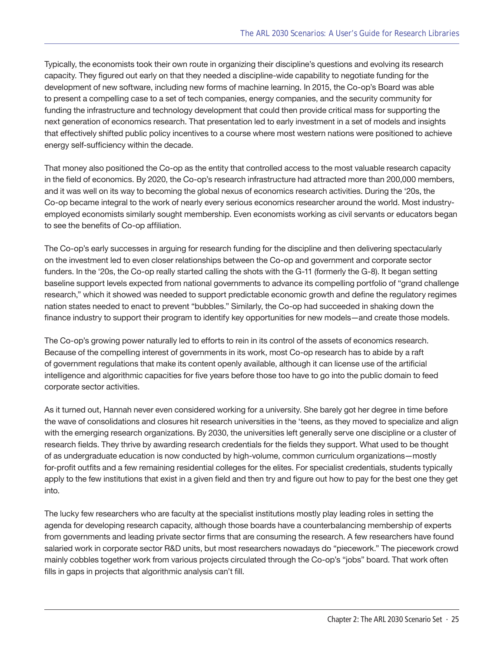Typically, the economists took their own route in organizing their discipline's questions and evolving its research capacity. They figured out early on that they needed a discipline-wide capability to negotiate funding for the development of new software, including new forms of machine learning. In 2015, the Co-op's Board was able to present a compelling case to a set of tech companies, energy companies, and the security community for funding the infrastructure and technology development that could then provide critical mass for supporting the next generation of economics research. That presentation led to early investment in a set of models and insights that effectively shifted public policy incentives to a course where most western nations were positioned to achieve energy self-sufficiency within the decade.

That money also positioned the Co-op as the entity that controlled access to the most valuable research capacity in the field of economics. By 2020, the Co-op's research infrastructure had attracted more than 200,000 members, and it was well on its way to becoming the global nexus of economics research activities. During the '20s, the Co-op became integral to the work of nearly every serious economics researcher around the world. Most industryemployed economists similarly sought membership. Even economists working as civil servants or educators began to see the benefits of Co-op affiliation.

The Co-op's early successes in arguing for research funding for the discipline and then delivering spectacularly on the investment led to even closer relationships between the Co-op and government and corporate sector funders. In the '20s, the Co-op really started calling the shots with the G-11 (formerly the G-8). It began setting baseline support levels expected from national governments to advance its compelling portfolio of "grand challenge research," which it showed was needed to support predictable economic growth and define the regulatory regimes nation states needed to enact to prevent "bubbles." Similarly, the Co-op had succeeded in shaking down the finance industry to support their program to identify key opportunities for new models—and create those models.

The Co-op's growing power naturally led to efforts to rein in its control of the assets of economics research. Because of the compelling interest of governments in its work, most Co-op research has to abide by a raft of government regulations that make its content openly available, although it can license use of the artificial intelligence and algorithmic capacities for five years before those too have to go into the public domain to feed corporate sector activities.

As it turned out, Hannah never even considered working for a university. She barely got her degree in time before the wave of consolidations and closures hit research universities in the 'teens, as they moved to specialize and align with the emerging research organizations. By 2030, the universities left generally serve one discipline or a cluster of research fields. They thrive by awarding research credentials for the fields they support. What used to be thought of as undergraduate education is now conducted by high-volume, common curriculum organizations—mostly for-profit outfits and a few remaining residential colleges for the elites. For specialist credentials, students typically apply to the few institutions that exist in a given field and then try and figure out how to pay for the best one they get into.

The lucky few researchers who are faculty at the specialist institutions mostly play leading roles in setting the agenda for developing research capacity, although those boards have a counterbalancing membership of experts from governments and leading private sector firms that are consuming the research. A few researchers have found salaried work in corporate sector R&D units, but most researchers nowadays do "piecework." The piecework crowd mainly cobbles together work from various projects circulated through the Co-op's "jobs" board. That work often fills in gaps in projects that algorithmic analysis can't fill.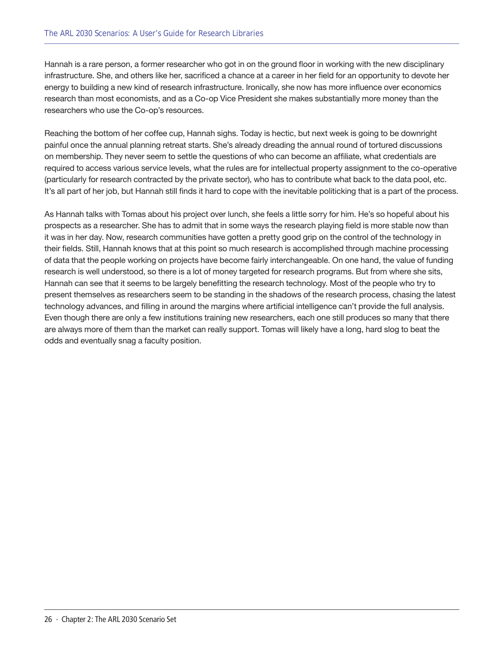Hannah is a rare person, a former researcher who got in on the ground floor in working with the new disciplinary infrastructure. She, and others like her, sacrificed a chance at a career in her field for an opportunity to devote her energy to building a new kind of research infrastructure. Ironically, she now has more influence over economics research than most economists, and as a Co-op Vice President she makes substantially more money than the researchers who use the Co-op's resources.

Reaching the bottom of her coffee cup, Hannah sighs. Today is hectic, but next week is going to be downright painful once the annual planning retreat starts. She's already dreading the annual round of tortured discussions on membership. They never seem to settle the questions of who can become an affiliate, what credentials are required to access various service levels, what the rules are for intellectual property assignment to the co-operative (particularly for research contracted by the private sector), who has to contribute what back to the data pool, etc. It's all part of her job, but Hannah still finds it hard to cope with the inevitable politicking that is a part of the process.

As Hannah talks with Tomas about his project over lunch, she feels a little sorry for him. He's so hopeful about his prospects as a researcher. She has to admit that in some ways the research playing field is more stable now than it was in her day. Now, research communities have gotten a pretty good grip on the control of the technology in their fields. Still, Hannah knows that at this point so much research is accomplished through machine processing of data that the people working on projects have become fairly interchangeable. On one hand, the value of funding research is well understood, so there is a lot of money targeted for research programs. But from where she sits, Hannah can see that it seems to be largely benefitting the research technology. Most of the people who try to present themselves as researchers seem to be standing in the shadows of the research process, chasing the latest technology advances, and filling in around the margins where artificial intelligence can't provide the full analysis. Even though there are only a few institutions training new researchers, each one still produces so many that there are always more of them than the market can really support. Tomas will likely have a long, hard slog to beat the odds and eventually snag a faculty position.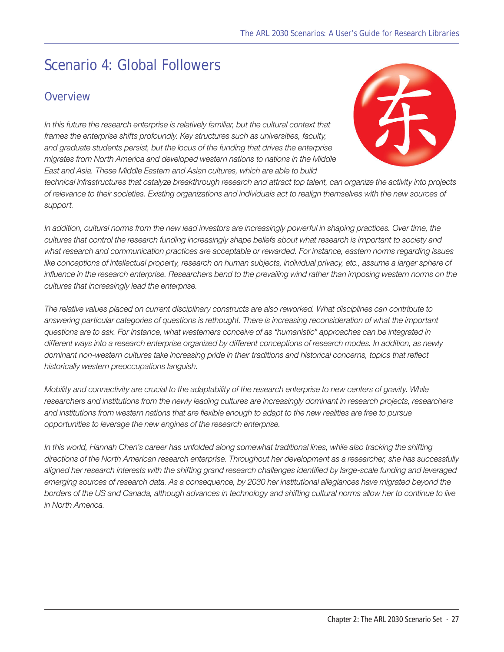# <span id="page-26-0"></span>Scenario 4: Global Followers

#### **Overview**

In this future the research enterprise is relatively familiar, but the cultural context that *frames the enterprise shifts profoundly. Key structures such as universities, faculty, and graduate students persist, but the locus of the funding that drives the enterprise migrates from North America and developed western nations to nations in the Middle East and Asia. These Middle Eastern and Asian cultures, which are able to build* 



*technical infrastructures that catalyze breakthrough research and attract top talent, can organize the activity into projects of relevance to their societies. Existing organizations and individuals act to realign themselves with the new sources of support.* 

In addition, cultural norms from the new lead investors are increasingly powerful in shaping practices. Over time, the *cultures that control the research funding increasingly shape beliefs about what research is important to society and what research and communication practices are acceptable or rewarded. For instance, eastern norms regarding issues*  like conceptions of intellectual property, research on human subjects, individual privacy, etc., assume a larger sphere of *influence in the research enterprise. Researchers bend to the prevailing wind rather than imposing western norms on the cultures that increasingly lead the enterprise.*

*The relative values placed on current disciplinary constructs are also reworked. What disciplines can contribute to answering particular categories of questions is rethought. There is increasing reconsideration of what the important questions are to ask. For instance, what westerners conceive of as "humanistic" approaches can be integrated in different ways into a research enterprise organized by different conceptions of research modes. In addition, as newly dominant non-western cultures take increasing pride in their traditions and historical concerns, topics that reflect historically western preoccupations languish.* 

*Mobility and connectivity are crucial to the adaptability of the research enterprise to new centers of gravity. While researchers and institutions from the newly leading cultures are increasingly dominant in research projects, researchers and institutions from western nations that are flexible enough to adapt to the new realities are free to pursue opportunities to leverage the new engines of the research enterprise.* 

In this world, Hannah Chen's career has unfolded along somewhat traditional lines, while also tracking the shifting *directions of the North American research enterprise. Throughout her development as a researcher, she has successfully aligned her research interests with the shifting grand research challenges identified by large-scale funding and leveraged emerging sources of research data. As a consequence, by 2030 her institutional allegiances have migrated beyond the borders of the US and Canada, although advances in technology and shifting cultural norms allow her to continue to live in North America.*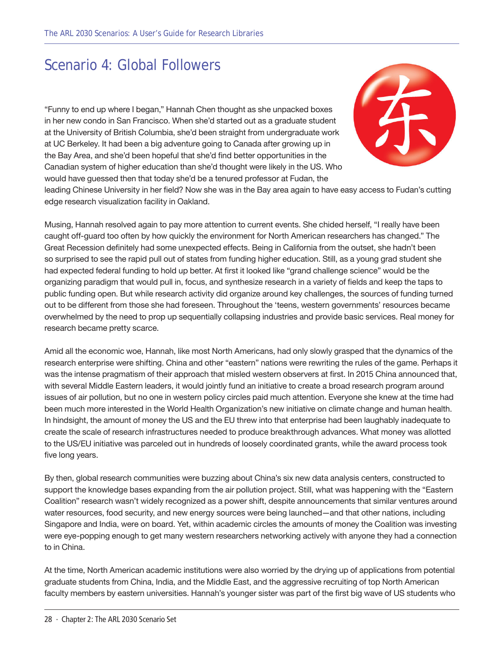### Scenario 4: Global Followers

"Funny to end up where I began," Hannah Chen thought as she unpacked boxes in her new condo in San Francisco. When she'd started out as a graduate student at the University of British Columbia, she'd been straight from undergraduate work at UC Berkeley. It had been a big adventure going to Canada after growing up in the Bay Area, and she'd been hopeful that she'd find better opportunities in the Canadian system of higher education than she'd thought were likely in the US. Who would have guessed then that today she'd be a tenured professor at Fudan, the



leading Chinese University in her field? Now she was in the Bay area again to have easy access to Fudan's cutting edge research visualization facility in Oakland.

Musing, Hannah resolved again to pay more attention to current events. She chided herself, "I really have been caught off-guard too often by how quickly the environment for North American researchers has changed." The Great Recession definitely had some unexpected effects. Being in California from the outset, she hadn't been so surprised to see the rapid pull out of states from funding higher education. Still, as a young grad student she had expected federal funding to hold up better. At first it looked like "grand challenge science" would be the organizing paradigm that would pull in, focus, and synthesize research in a variety of fields and keep the taps to public funding open. But while research activity did organize around key challenges, the sources of funding turned out to be different from those she had foreseen. Throughout the 'teens, western governments' resources became overwhelmed by the need to prop up sequentially collapsing industries and provide basic services. Real money for research became pretty scarce.

Amid all the economic woe, Hannah, like most North Americans, had only slowly grasped that the dynamics of the research enterprise were shifting. China and other "eastern" nations were rewriting the rules of the game. Perhaps it was the intense pragmatism of their approach that misled western observers at first. In 2015 China announced that, with several Middle Eastern leaders, it would jointly fund an initiative to create a broad research program around issues of air pollution, but no one in western policy circles paid much attention. Everyone she knew at the time had been much more interested in the World Health Organization's new initiative on climate change and human health. In hindsight, the amount of money the US and the EU threw into that enterprise had been laughably inadequate to create the scale of research infrastructures needed to produce breakthrough advances. What money was allotted to the US/EU initiative was parceled out in hundreds of loosely coordinated grants, while the award process took five long years.

By then, global research communities were buzzing about China's six new data analysis centers, constructed to support the knowledge bases expanding from the air pollution project. Still, what was happening with the "Eastern Coalition" research wasn't widely recognized as a power shift, despite announcements that similar ventures around water resources, food security, and new energy sources were being launched—and that other nations, including Singapore and India, were on board. Yet, within academic circles the amounts of money the Coalition was investing were eye-popping enough to get many western researchers networking actively with anyone they had a connection to in China.

At the time, North American academic institutions were also worried by the drying up of applications from potential graduate students from China, India, and the Middle East, and the aggressive recruiting of top North American faculty members by eastern universities. Hannah's younger sister was part of the first big wave of US students who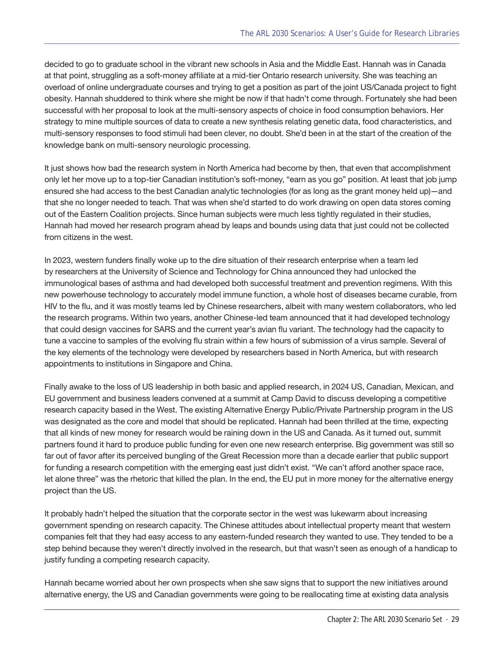decided to go to graduate school in the vibrant new schools in Asia and the Middle East. Hannah was in Canada at that point, struggling as a soft-money affiliate at a mid-tier Ontario research university. She was teaching an overload of online undergraduate courses and trying to get a position as part of the joint US/Canada project to fight obesity. Hannah shuddered to think where she might be now if that hadn't come through. Fortunately she had been successful with her proposal to look at the multi-sensory aspects of choice in food consumption behaviors. Her strategy to mine multiple sources of data to create a new synthesis relating genetic data, food characteristics, and multi-sensory responses to food stimuli had been clever, no doubt. She'd been in at the start of the creation of the knowledge bank on multi-sensory neurologic processing.

It just shows how bad the research system in North America had become by then, that even that accomplishment only let her move up to a top-tier Canadian institution's soft-money, "earn as you go" position. At least that job jump ensured she had access to the best Canadian analytic technologies (for as long as the grant money held up)—and that she no longer needed to teach. That was when she'd started to do work drawing on open data stores coming out of the Eastern Coalition projects. Since human subjects were much less tightly regulated in their studies, Hannah had moved her research program ahead by leaps and bounds using data that just could not be collected from citizens in the west.

In 2023, western funders finally woke up to the dire situation of their research enterprise when a team led by researchers at the University of Science and Technology for China announced they had unlocked the immunological bases of asthma and had developed both successful treatment and prevention regimens. With this new powerhouse technology to accurately model immune function, a whole host of diseases became curable, from HIV to the flu, and it was mostly teams led by Chinese researchers, albeit with many western collaborators, who led the research programs. Within two years, another Chinese-led team announced that it had developed technology that could design vaccines for SARS and the current year's avian flu variant. The technology had the capacity to tune a vaccine to samples of the evolving flu strain within a few hours of submission of a virus sample. Several of the key elements of the technology were developed by researchers based in North America, but with research appointments to institutions in Singapore and China.

Finally awake to the loss of US leadership in both basic and applied research, in 2024 US, Canadian, Mexican, and EU government and business leaders convened at a summit at Camp David to discuss developing a competitive research capacity based in the West. The existing Alternative Energy Public/Private Partnership program in the US was designated as the core and model that should be replicated. Hannah had been thrilled at the time, expecting that all kinds of new money for research would be raining down in the US and Canada. As it turned out, summit partners found it hard to produce public funding for even one new research enterprise. Big government was still so far out of favor after its perceived bungling of the Great Recession more than a decade earlier that public support for funding a research competition with the emerging east just didn't exist. "We can't afford another space race, let alone three" was the rhetoric that killed the plan. In the end, the EU put in more money for the alternative energy project than the US.

It probably hadn't helped the situation that the corporate sector in the west was lukewarm about increasing government spending on research capacity. The Chinese attitudes about intellectual property meant that western companies felt that they had easy access to any eastern-funded research they wanted to use. They tended to be a step behind because they weren't directly involved in the research, but that wasn't seen as enough of a handicap to justify funding a competing research capacity.

Hannah became worried about her own prospects when she saw signs that to support the new initiatives around alternative energy, the US and Canadian governments were going to be reallocating time at existing data analysis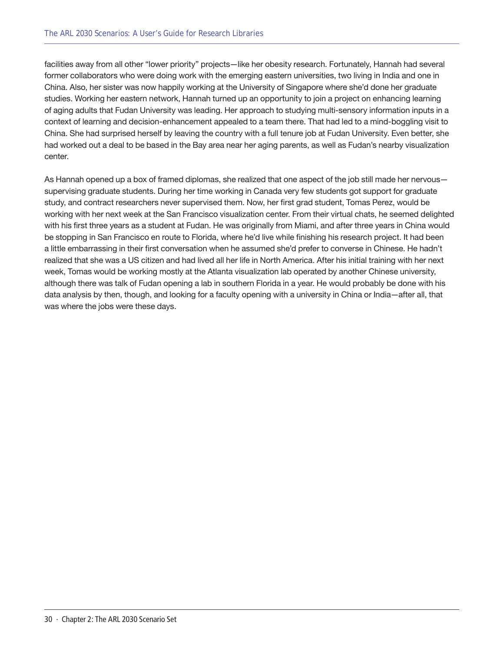facilities away from all other "lower priority" projects—like her obesity research. Fortunately, Hannah had several former collaborators who were doing work with the emerging eastern universities, two living in India and one in China. Also, her sister was now happily working at the University of Singapore where she'd done her graduate studies. Working her eastern network, Hannah turned up an opportunity to join a project on enhancing learning of aging adults that Fudan University was leading. Her approach to studying multi-sensory information inputs in a context of learning and decision-enhancement appealed to a team there. That had led to a mind-boggling visit to China. She had surprised herself by leaving the country with a full tenure job at Fudan University. Even better, she had worked out a deal to be based in the Bay area near her aging parents, as well as Fudan's nearby visualization center.

As Hannah opened up a box of framed diplomas, she realized that one aspect of the job still made her nervous supervising graduate students. During her time working in Canada very few students got support for graduate study, and contract researchers never supervised them. Now, her first grad student, Tomas Perez, would be working with her next week at the San Francisco visualization center. From their virtual chats, he seemed delighted with his first three years as a student at Fudan. He was originally from Miami, and after three years in China would be stopping in San Francisco en route to Florida, where he'd live while finishing his research project. It had been a little embarrassing in their first conversation when he assumed she'd prefer to converse in Chinese. He hadn't realized that she was a US citizen and had lived all her life in North America. After his initial training with her next week, Tomas would be working mostly at the Atlanta visualization lab operated by another Chinese university, although there was talk of Fudan opening a lab in southern Florida in a year. He would probably be done with his data analysis by then, though, and looking for a faculty opening with a university in China or India—after all, that was where the jobs were these days.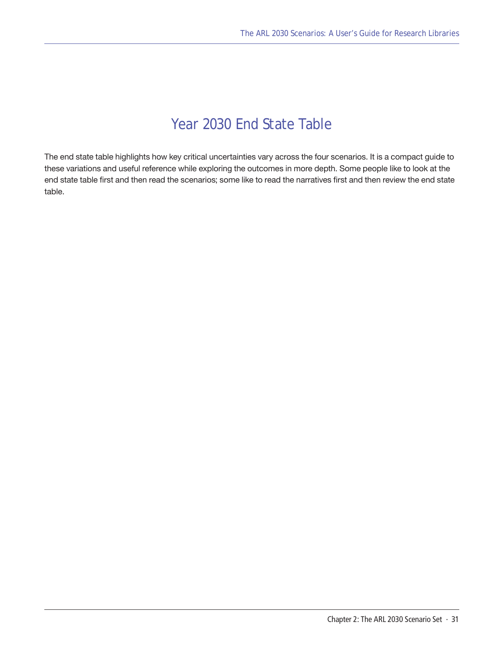### Year 2030 End State Table

<span id="page-30-0"></span>The end state table highlights how key critical uncertainties vary across the four scenarios. It is a compact guide to these variations and useful reference while exploring the outcomes in more depth. Some people like to look at the end state table first and then read the scenarios; some like to read the narratives first and then review the end state table.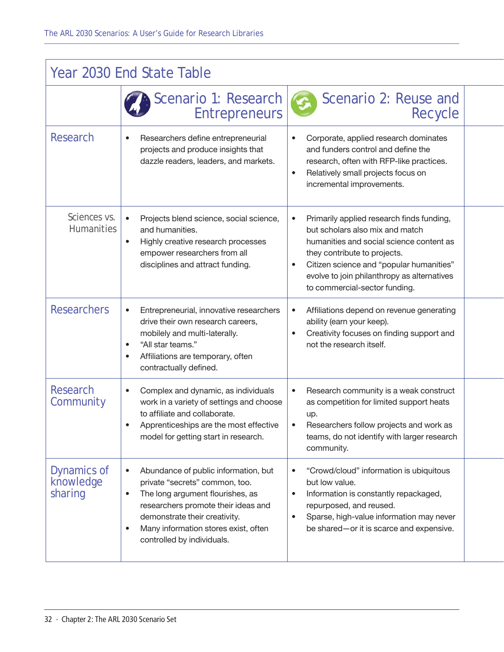| Year 2030 End State Table           |                                                                                                                                                                                                                                                                                                 |                                                                                                                                                                                                                                                                                      |  |
|-------------------------------------|-------------------------------------------------------------------------------------------------------------------------------------------------------------------------------------------------------------------------------------------------------------------------------------------------|--------------------------------------------------------------------------------------------------------------------------------------------------------------------------------------------------------------------------------------------------------------------------------------|--|
|                                     | Scenario 1: Research<br><b>Entrepreneurs</b>                                                                                                                                                                                                                                                    | Scenario 2: Reuse and<br>Recycle                                                                                                                                                                                                                                                     |  |
| <b>Research</b>                     | Researchers define entrepreneurial<br>$\bullet$<br>projects and produce insights that<br>dazzle readers, leaders, and markets.                                                                                                                                                                  | Corporate, applied research dominates<br>$\bullet$<br>and funders control and define the<br>research, often with RFP-like practices.<br>Relatively small projects focus on<br>$\bullet$<br>incremental improvements.                                                                 |  |
| Sciences vs.<br><b>Humanities</b>   | Projects blend science, social science,<br>$\bullet$<br>and humanities.<br>Highly creative research processes<br>$\bullet$<br>empower researchers from all<br>disciplines and attract funding.                                                                                                  | Primarily applied research finds funding,<br>but scholars also mix and match<br>humanities and social science content as<br>they contribute to projects.<br>Citizen science and "popular humanities"<br>evolve to join philanthropy as alternatives<br>to commercial-sector funding. |  |
| <b>Researchers</b>                  | Entrepreneurial, innovative researchers<br>$\bullet$<br>drive their own research careers,<br>mobilely and multi-laterally.<br>"All star teams."<br>$\bullet$<br>Affiliations are temporary, often<br>$\bullet$<br>contractually defined.                                                        | Affiliations depend on revenue generating<br>$\bullet$<br>ability (earn your keep).<br>Creativity focuses on finding support and<br>not the research itself.                                                                                                                         |  |
| Research<br>Community               | Complex and dynamic, as individuals<br>$\bullet$<br>work in a variety of settings and choose<br>to affiliate and collaborate.<br>Apprenticeships are the most effective<br>$\bullet$<br>model for getting start in research.                                                                    | Research community is a weak construct<br>$\bullet$<br>as competition for limited support heats<br>up.<br>Researchers follow projects and work as<br>teams, do not identify with larger research<br>community.                                                                       |  |
| Dynamics of<br>knowledge<br>sharing | Abundance of public information, but<br>$\bullet$<br>private "secrets" common, too.<br>The long argument flourishes, as<br>$\bullet$<br>researchers promote their ideas and<br>demonstrate their creativity.<br>Many information stores exist, often<br>$\bullet$<br>controlled by individuals. | "Crowd/cloud" information is ubiquitous<br>but low value.<br>Information is constantly repackaged,<br>$\bullet$<br>repurposed, and reused.<br>Sparse, high-value information may never<br>$\bullet$<br>be shared-or it is scarce and expensive.                                      |  |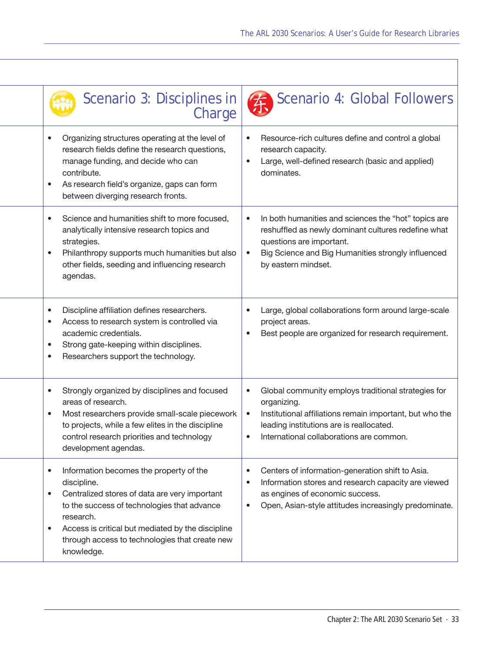| Scenario 3: Disciplines in                                                                                                                                                                                                                                                                                                      | Scenario 4: Global Followers<br>Charge                                                                                                                                                                                                                        |
|---------------------------------------------------------------------------------------------------------------------------------------------------------------------------------------------------------------------------------------------------------------------------------------------------------------------------------|---------------------------------------------------------------------------------------------------------------------------------------------------------------------------------------------------------------------------------------------------------------|
| Organizing structures operating at the level of<br>$\bullet$<br>research fields define the research questions,<br>manage funding, and decide who can<br>contribute.<br>As research field's organize, gaps can form<br>$\bullet$<br>between diverging research fronts.                                                           | Resource-rich cultures define and control a global<br>$\bullet$<br>research capacity.<br>Large, well-defined research (basic and applied)<br>$\bullet$<br>dominates.                                                                                          |
| Science and humanities shift to more focused,<br>$\bullet$<br>analytically intensive research topics and<br>strategies.<br>Philanthropy supports much humanities but also<br>$\bullet$<br>other fields, seeding and influencing research<br>agendas.                                                                            | In both humanities and sciences the "hot" topics are<br>$\bullet$<br>reshuffled as newly dominant cultures redefine what<br>questions are important.<br>Big Science and Big Humanities strongly influenced<br>$\bullet$<br>by eastern mindset.                |
| Discipline affiliation defines researchers.<br>$\bullet$<br>Access to research system is controlled via<br>$\bullet$<br>academic credentials.<br>Strong gate-keeping within disciplines.<br>$\bullet$<br>Researchers support the technology.<br>$\bullet$                                                                       | Large, global collaborations form around large-scale<br>$\bullet$<br>project areas.<br>Best people are organized for research requirement.<br>$\bullet$                                                                                                       |
| Strongly organized by disciplines and focused<br>$\bullet$<br>areas of research.<br>Most researchers provide small-scale piecework<br>$\bullet$<br>to projects, while a few elites in the discipline<br>control research priorities and technology<br>development agendas.                                                      | Global community employs traditional strategies for<br>$\bullet$<br>organizing.<br>Institutional affiliations remain important, but who the<br>$\bullet$<br>leading institutions are is reallocated.<br>International collaborations are common.<br>$\bullet$ |
| Information becomes the property of the<br>$\bullet$<br>discipline.<br>Centralized stores of data are very important<br>$\bullet$<br>to the success of technologies that advance<br>research.<br>Access is critical but mediated by the discipline<br>$\bullet$<br>through access to technologies that create new<br>knowledge. | Centers of information-generation shift to Asia.<br>$\bullet$<br>Information stores and research capacity are viewed<br>$\bullet$<br>as engines of economic success.<br>Open, Asian-style attitudes increasingly predominate.<br>$\bullet$                    |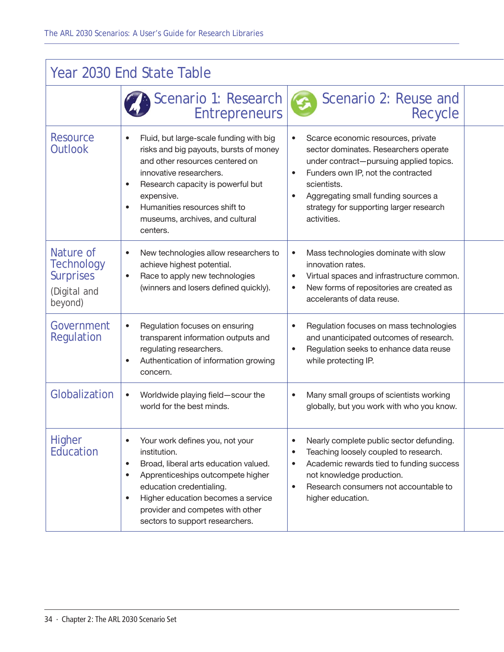| Year 2030 End State Table                                                     |                                                                                                                                                                                                                                                                                                                   |                                                                                                                                                                                                                                                                                                                     |  |
|-------------------------------------------------------------------------------|-------------------------------------------------------------------------------------------------------------------------------------------------------------------------------------------------------------------------------------------------------------------------------------------------------------------|---------------------------------------------------------------------------------------------------------------------------------------------------------------------------------------------------------------------------------------------------------------------------------------------------------------------|--|
|                                                                               | Scenario 1: Research<br><b>Entrepreneurs</b>                                                                                                                                                                                                                                                                      | Scenario 2: Reuse and<br>Recycle                                                                                                                                                                                                                                                                                    |  |
| <b>Resource</b><br>Outlook                                                    | Fluid, but large-scale funding with big<br>۰<br>risks and big payouts, bursts of money<br>and other resources centered on<br>innovative researchers.<br>Research capacity is powerful but<br>$\bullet$<br>expensive.<br>Humanities resources shift to<br>$\bullet$<br>museums, archives, and cultural<br>centers. | Scarce economic resources, private<br>$\bullet$<br>sector dominates. Researchers operate<br>under contract-pursuing applied topics.<br>Funders own IP, not the contracted<br>$\bullet$<br>scientists.<br>Aggregating small funding sources a<br>$\bullet$<br>strategy for supporting larger research<br>activities. |  |
| Nature of<br><b>Technology</b><br><b>Surprises</b><br>(Digital and<br>beyond) | New technologies allow researchers to<br>$\bullet$<br>achieve highest potential.<br>Race to apply new technologies<br>$\bullet$<br>(winners and losers defined quickly).                                                                                                                                          | Mass technologies dominate with slow<br>$\bullet$<br>innovation rates.<br>Virtual spaces and infrastructure common.<br>$\bullet$<br>New forms of repositories are created as<br>$\bullet$<br>accelerants of data reuse.                                                                                             |  |
| Government<br>Regulation                                                      | Regulation focuses on ensuring<br>$\bullet$<br>transparent information outputs and<br>regulating researchers.<br>Authentication of information growing<br>$\bullet$<br>concern.                                                                                                                                   | Regulation focuses on mass technologies<br>$\bullet$<br>and unanticipated outcomes of research.<br>Regulation seeks to enhance data reuse<br>$\bullet$<br>while protecting IP.                                                                                                                                      |  |
| Globalization                                                                 | Worldwide playing field-scour the<br>$\bullet$<br>world for the best minds.                                                                                                                                                                                                                                       | Many small groups of scientists working<br>$\bullet$<br>globally, but you work with who you know.                                                                                                                                                                                                                   |  |
| <b>Higher</b><br>Education                                                    | Your work defines you, not your<br>۰<br>institution.<br>Broad, liberal arts education valued.<br>$\bullet$<br>Apprenticeships outcompete higher<br>۰<br>education credentialing.<br>Higher education becomes a service<br>$\bullet$<br>provider and competes with other<br>sectors to support researchers.        | Nearly complete public sector defunding.<br>$\bullet$<br>Teaching loosely coupled to research.<br>$\bullet$<br>Academic rewards tied to funding success<br>$\bullet$<br>not knowledge production.<br>Research consumers not accountable to<br>$\bullet$<br>higher education.                                        |  |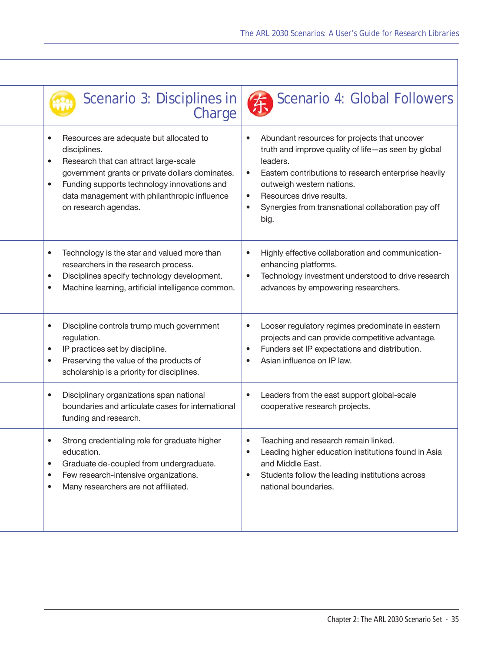| Scenario 3: Disciplines in<br>Charge                                                                                                                                                                                                                                                                              | Scenario 4: Global Followers                                                                                                                                                                                                                                                                                                                       |
|-------------------------------------------------------------------------------------------------------------------------------------------------------------------------------------------------------------------------------------------------------------------------------------------------------------------|----------------------------------------------------------------------------------------------------------------------------------------------------------------------------------------------------------------------------------------------------------------------------------------------------------------------------------------------------|
| Resources are adequate but allocated to<br>$\bullet$<br>disciplines.<br>Research that can attract large-scale<br>$\bullet$<br>government grants or private dollars dominates.<br>Funding supports technology innovations and<br>$\bullet$<br>data management with philanthropic influence<br>on research agendas. | Abundant resources for projects that uncover<br>$\bullet$<br>truth and improve quality of life-as seen by global<br>leaders.<br>Eastern contributions to research enterprise heavily<br>$\bullet$<br>outweigh western nations.<br>Resources drive results.<br>$\bullet$<br>Synergies from transnational collaboration pay off<br>$\bullet$<br>big. |
| Technology is the star and valued more than<br>$\bullet$<br>researchers in the research process.<br>Disciplines specify technology development.<br>$\bullet$<br>Machine learning, artificial intelligence common.<br>$\bullet$                                                                                    | Highly effective collaboration and communication-<br>$\bullet$<br>enhancing platforms.<br>Technology investment understood to drive research<br>$\bullet$<br>advances by empowering researchers.                                                                                                                                                   |
| Discipline controls trump much government<br>$\bullet$<br>regulation.<br>IP practices set by discipline.<br>$\bullet$<br>Preserving the value of the products of<br>$\bullet$<br>scholarship is a priority for disciplines.                                                                                       | Looser regulatory regimes predominate in eastern<br>$\bullet$<br>projects and can provide competitive advantage.<br>Funders set IP expectations and distribution.<br>$\bullet$<br>Asian influence on IP law.<br>$\bullet$                                                                                                                          |
| Disciplinary organizations span national<br>$\bullet$<br>boundaries and articulate cases for international<br>funding and research.                                                                                                                                                                               | Leaders from the east support global-scale<br>$\bullet$<br>cooperative research projects.                                                                                                                                                                                                                                                          |
| Strong credentialing role for graduate higher<br>education.<br>Graduate de-coupled from undergraduate.<br>$\bullet$<br>Few research-intensive organizations.<br>$\bullet$<br>Many researchers are not affiliated.<br>$\bullet$                                                                                    | Teaching and research remain linked.<br>Leading higher education institutions found in Asia<br>$\bullet$<br>and Middle East.<br>Students follow the leading institutions across<br>$\bullet$<br>national boundaries.                                                                                                                               |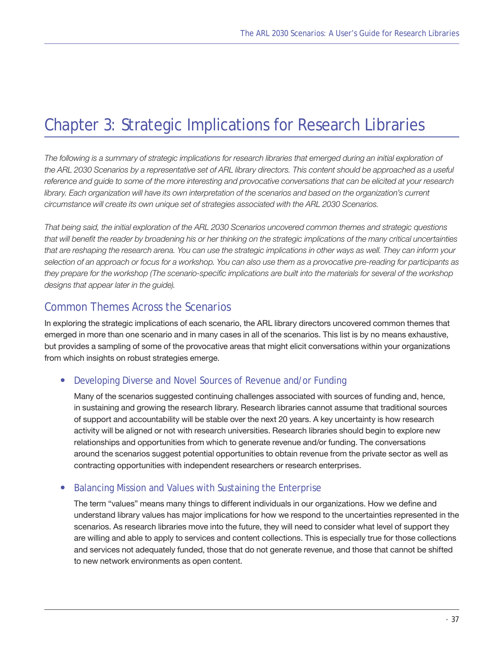## Chapter 3: Strategic Implications for Research Libraries

*The following is a summary of strategic implications for research libraries that emerged during an initial exploration of*  the ARL 2030 Scenarios by a representative set of ARL library directors. This content should be approached as a useful *reference and guide to some of the more interesting and provocative conversations that can be elicited at your research*  library. Each organization will have its own interpretation of the scenarios and based on the organization's current *circumstance will create its own unique set of strategies associated with the ARL 2030 Scenarios.* 

*That being said, the initial exploration of the ARL 2030 Scenarios uncovered common themes and strategic questions that will benefit the reader by broadening his or her thinking on the strategic implications of the many critical uncertainties that are reshaping the research arena. You can use the strategic implications in other ways as well. They can inform your selection of an approach or focus for a workshop. You can also use them as a provocative pre-reading for participants as they prepare for the workshop (The scenario-specific implications are built into the materials for several of the workshop designs that appear later in the guide).*

## Common Themes Across the Scenarios

In exploring the strategic implications of each scenario, the ARL library directors uncovered common themes that emerged in more than one scenario and in many cases in all of the scenarios. This list is by no means exhaustive, but provides a sampling of some of the provocative areas that might elicit conversations within your organizations from which insights on robust strategies emerge.

## Developing Diverse and Novel Sources of Revenue and/or Funding

Many of the scenarios suggested continuing challenges associated with sources of funding and, hence, in sustaining and growing the research library. Research libraries cannot assume that traditional sources of support and accountability will be stable over the next 20 years. A key uncertainty is how research activity will be aligned or not with research universities. Research libraries should begin to explore new relationships and opportunities from which to generate revenue and/or funding. The conversations around the scenarios suggest potential opportunities to obtain revenue from the private sector as well as contracting opportunities with independent researchers or research enterprises.

## **Balancing Mission and Values with Sustaining the Enterprise**

The term "values" means many things to different individuals in our organizations. How we define and understand library values has major implications for how we respond to the uncertainties represented in the scenarios. As research libraries move into the future, they will need to consider what level of support they are willing and able to apply to services and content collections. This is especially true for those collections and services not adequately funded, those that do not generate revenue, and those that cannot be shifted to new network environments as open content.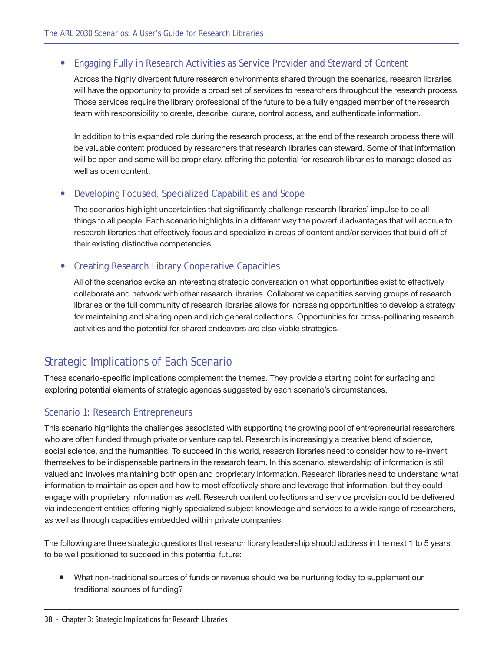## • Engaging Fully in Research Activities as Service Provider and Steward of Content

Across the highly divergent future research environments shared through the scenarios, research libraries will have the opportunity to provide a broad set of services to researchers throughout the research process. Those services require the library professional of the future to be a fully engaged member of the research team with responsibility to create, describe, curate, control access, and authenticate information.

In addition to this expanded role during the research process, at the end of the research process there will be valuable content produced by researchers that research libraries can steward. Some of that information will be open and some will be proprietary, offering the potential for research libraries to manage closed as well as open content.

## **Developing Focused, Specialized Capabilities and Scope**

The scenarios highlight uncertainties that significantly challenge research libraries' impulse to be all things to all people. Each scenario highlights in a different way the powerful advantages that will accrue to research libraries that effectively focus and specialize in areas of content and/or services that build off of their existing distinctive competencies.

## **Creating Research Library Cooperative Capacities**

All of the scenarios evoke an interesting strategic conversation on what opportunities exist to effectively collaborate and network with other research libraries. Collaborative capacities serving groups of research libraries or the full community of research libraries allows for increasing opportunities to develop a strategy for maintaining and sharing open and rich general collections. Opportunities for cross-pollinating research activities and the potential for shared endeavors are also viable strategies.

## Strategic Implications of Each Scenario

These scenario-specific implications complement the themes. They provide a starting point for surfacing and exploring potential elements of strategic agendas suggested by each scenario's circumstances.

## Scenario 1: Research Entrepreneurs

This scenario highlights the challenges associated with supporting the growing pool of entrepreneurial researchers who are often funded through private or venture capital. Research is increasingly a creative blend of science, social science, and the humanities. To succeed in this world, research libraries need to consider how to re-invent themselves to be indispensable partners in the research team. In this scenario, stewardship of information is still valued and involves maintaining both open and proprietary information. Research libraries need to understand what information to maintain as open and how to most effectively share and leverage that information, but they could engage with proprietary information as well. Research content collections and service provision could be delivered via independent entities offering highly specialized subject knowledge and services to a wide range of researchers, as well as through capacities embedded within private companies.

The following are three strategic questions that research library leadership should address in the next 1 to 5 years to be well positioned to succeed in this potential future:

 What non-traditional sources of funds or revenue should we be nurturing today to supplement our traditional sources of funding?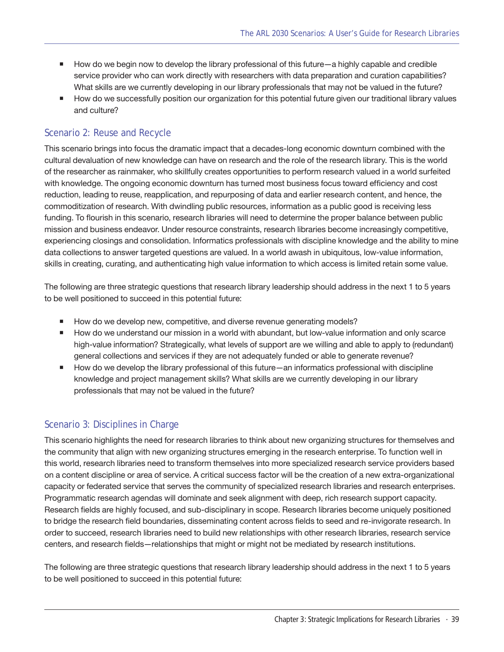- How do we begin now to develop the library professional of this future—a highly capable and credible service provider who can work directly with researchers with data preparation and curation capabilities? What skills are we currently developing in our library professionals that may not be valued in the future?
- How do we successfully position our organization for this potential future given our traditional library values and culture?

## Scenario 2: Reuse and Recycle

This scenario brings into focus the dramatic impact that a decades-long economic downturn combined with the cultural devaluation of new knowledge can have on research and the role of the research library. This is the world of the researcher as rainmaker, who skillfully creates opportunities to perform research valued in a world surfeited with knowledge. The ongoing economic downturn has turned most business focus toward efficiency and cost reduction, leading to reuse, reapplication, and repurposing of data and earlier research content, and hence, the commoditization of research. With dwindling public resources, information as a public good is receiving less funding. To flourish in this scenario, research libraries will need to determine the proper balance between public mission and business endeavor. Under resource constraints, research libraries become increasingly competitive, experiencing closings and consolidation. Informatics professionals with discipline knowledge and the ability to mine data collections to answer targeted questions are valued. In a world awash in ubiquitous, low-value information, skills in creating, curating, and authenticating high value information to which access is limited retain some value.

The following are three strategic questions that research library leadership should address in the next 1 to 5 years to be well positioned to succeed in this potential future:

- How do we develop new, competitive, and diverse revenue generating models?
- How do we understand our mission in a world with abundant, but low-value information and only scarce high-value information? Strategically, what levels of support are we willing and able to apply to (redundant) general collections and services if they are not adequately funded or able to generate revenue?
- How do we develop the library professional of this future—an informatics professional with discipline knowledge and project management skills? What skills are we currently developing in our library professionals that may not be valued in the future?

## Scenario 3: Disciplines in Charge

This scenario highlights the need for research libraries to think about new organizing structures for themselves and the community that align with new organizing structures emerging in the research enterprise. To function well in this world, research libraries need to transform themselves into more specialized research service providers based on a content discipline or area of service. A critical success factor will be the creation of a new extra-organizational capacity or federated service that serves the community of specialized research libraries and research enterprises. Programmatic research agendas will dominate and seek alignment with deep, rich research support capacity. Research fields are highly focused, and sub-disciplinary in scope. Research libraries become uniquely positioned to bridge the research field boundaries, disseminating content across fields to seed and re-invigorate research. In order to succeed, research libraries need to build new relationships with other research libraries, research service centers, and research fields—relationships that might or might not be mediated by research institutions.

The following are three strategic questions that research library leadership should address in the next 1 to 5 years to be well positioned to succeed in this potential future: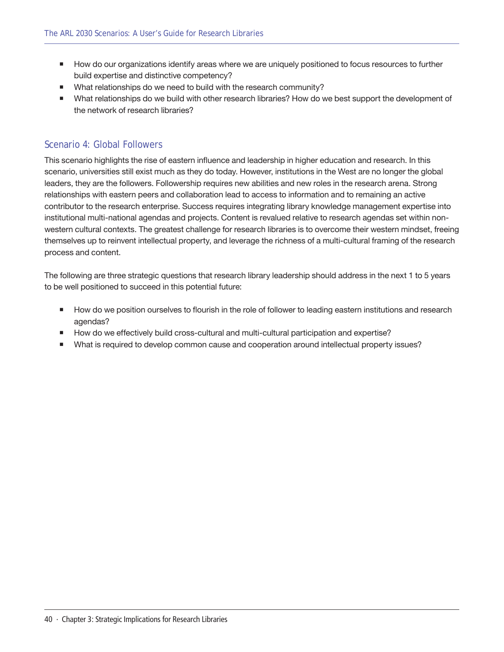- **How do our organizations identify areas where we are uniquely positioned to focus resources to further** build expertise and distinctive competency?
- What relationships do we need to build with the research community?
- What relationships do we build with other research libraries? How do we best support the development of the network of research libraries?

## Scenario 4: Global Followers

This scenario highlights the rise of eastern influence and leadership in higher education and research. In this scenario, universities still exist much as they do today. However, institutions in the West are no longer the global leaders, they are the followers. Followership requires new abilities and new roles in the research arena. Strong relationships with eastern peers and collaboration lead to access to information and to remaining an active contributor to the research enterprise. Success requires integrating library knowledge management expertise into institutional multi-national agendas and projects. Content is revalued relative to research agendas set within nonwestern cultural contexts. The greatest challenge for research libraries is to overcome their western mindset, freeing themselves up to reinvent intellectual property, and leverage the richness of a multi-cultural framing of the research process and content.

The following are three strategic questions that research library leadership should address in the next 1 to 5 years to be well positioned to succeed in this potential future:

- How do we position ourselves to flourish in the role of follower to leading eastern institutions and research agendas?
- **How do we effectively build cross-cultural and multi-cultural participation and expertise?**
- What is required to develop common cause and cooperation around intellectual property issues?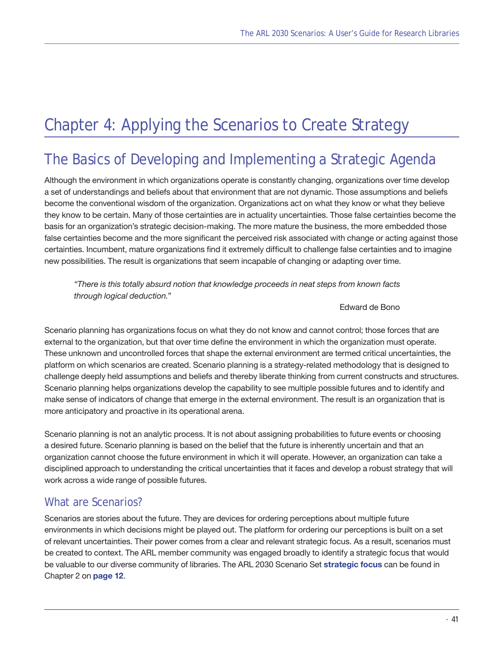# Chapter 4: Applying the Scenarios to Create Strategy

## The Basics of Developing and Implementing a Strategic Agenda

Although the environment in which organizations operate is constantly changing, organizations over time develop a set of understandings and beliefs about that environment that are not dynamic. Those assumptions and beliefs become the conventional wisdom of the organization. Organizations act on what they know or what they believe they know to be certain. Many of those certainties are in actuality uncertainties. Those false certainties become the basis for an organization's strategic decision-making. The more mature the business, the more embedded those false certainties become and the more significant the perceived risk associated with change or acting against those certainties. Incumbent, mature organizations find it extremely difficult to challenge false certainties and to imagine new possibilities. The result is organizations that seem incapable of changing or adapting over time.

*"There is this totally absurd notion that knowledge proceeds in neat steps from known facts through logical deduction."*

Edward de Bono

Scenario planning has organizations focus on what they do not know and cannot control; those forces that are external to the organization, but that over time define the environment in which the organization must operate. These unknown and uncontrolled forces that shape the external environment are termed critical uncertainties, the platform on which scenarios are created. Scenario planning is a strategy-related methodology that is designed to challenge deeply held assumptions and beliefs and thereby liberate thinking from current constructs and structures. Scenario planning helps organizations develop the capability to see multiple possible futures and to identify and make sense of indicators of change that emerge in the external environment. The result is an organization that is more anticipatory and proactive in its operational arena.

Scenario planning is not an analytic process. It is not about assigning probabilities to future events or choosing a desired future. Scenario planning is based on the belief that the future is inherently uncertain and that an organization cannot choose the future environment in which it will operate. However, an organization can take a disciplined approach to understanding the critical uncertainties that it faces and develop a robust strategy that will work across a wide range of possible futures.

## What are Scenarios?

Scenarios are stories about the future. They are devices for ordering perceptions about multiple future environments in which decisions might be played out. The platform for ordering our perceptions is built on a set of relevant uncertainties. Their power comes from a clear and relevant strategic focus. As a result, scenarios must be created to context. The ARL member community was engaged broadly to identify a strategic focus that would be valuable to our diverse community of libraries. The ARL 2030 Scenario Set **[strategic focus](#page-11-0)** can be found in Chapter 2 on **[page 12](#page-11-0)**.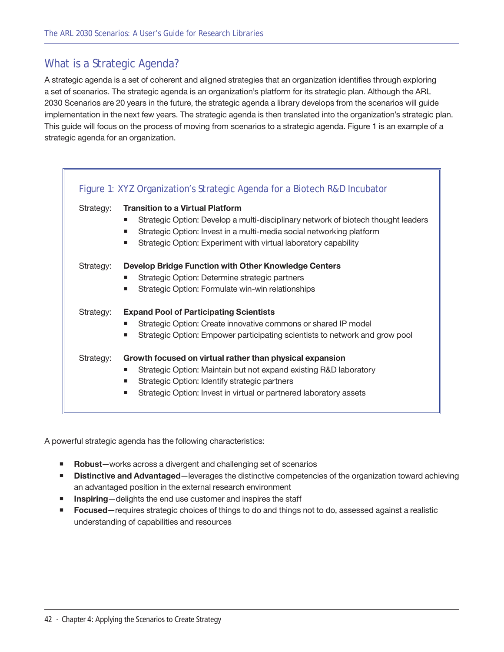## What is a Strategic Agenda?

A strategic agenda is a set of coherent and aligned strategies that an organization identifies through exploring a set of scenarios. The strategic agenda is an organization's platform for its strategic plan. Although the ARL 2030 Scenarios are 20 years in the future, the strategic agenda a library develops from the scenarios will guide implementation in the next few years. The strategic agenda is then translated into the organization's strategic plan. This guide will focus on the process of moving from scenarios to a strategic agenda. Figure 1 is an example of a strategic agenda for an organization.

<span id="page-41-0"></span>

| Strategy: | <b>Transition to a Virtual Platform</b>                                                |
|-----------|----------------------------------------------------------------------------------------|
|           | Strategic Option: Develop a multi-disciplinary network of biotech thought leaders<br>٠ |
|           | Strategic Option: Invest in a multi-media social networking platform<br>٠              |
|           | Strategic Option: Experiment with virtual laboratory capability<br>ш                   |
| Strategy: | Develop Bridge Function with Other Knowledge Centers                                   |
|           | Strategic Option: Determine strategic partners<br>п                                    |
|           | Strategic Option: Formulate win-win relationships<br>п                                 |
| Strategy: | <b>Expand Pool of Participating Scientists</b>                                         |
|           | Strategic Option: Create innovative commons or shared IP model<br>п                    |
|           | Strategic Option: Empower participating scientists to network and grow pool<br>п       |
| Strategy: | Growth focused on virtual rather than physical expansion                               |
|           | Strategic Option: Maintain but not expand existing R&D laboratory                      |
|           | Strategic Option: Identify strategic partners<br>п                                     |
|           | Strategic Option: Invest in virtual or partnered laboratory assets<br>п                |

<span id="page-41-1"></span>A powerful strategic agenda has the following characteristics:

- **Robust**—works across a divergent and challenging set of scenarios
- **Distinctive and Advantaged**—leverages the distinctive competencies of the organization toward achieving an advantaged position in the external research environment
- **Inspiring**—delights the end use customer and inspires the staff
- **Focused**—requires strategic choices of things to do and things not to do, assessed against a realistic understanding of capabilities and resources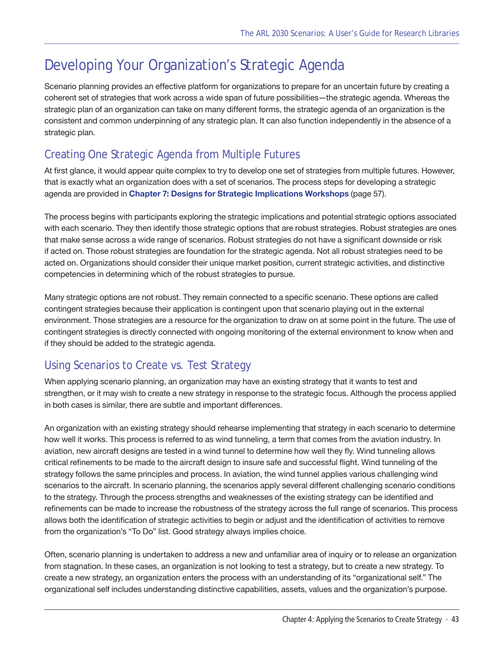## Developing Your Organization's Strategic Agenda

Scenario planning provides an effective platform for organizations to prepare for an uncertain future by creating a coherent set of strategies that work across a wide span of future possibilities—the strategic agenda. Whereas the strategic plan of an organization can take on many different forms, the strategic agenda of an organization is the consistent and common underpinning of any strategic plan. It can also function independently in the absence of a strategic plan.

## Creating One Strategic Agenda from Multiple Futures

At first glance, it would appear quite complex to try to develop one set of strategies from multiple futures. However, that is exactly what an organization does with a set of scenarios. The process steps for developing a strategic agenda are provided in **Chapter 7: Designs for [Strategic Implications Workshops](#page-56-0)** [\(page 57](#page-56-0)).

The process begins with participants exploring the strategic implications and potential strategic options associated with each scenario. They then identify those strategic options that are robust strategies. Robust strategies are ones that make sense across a wide range of scenarios. Robust strategies do not have a significant downside or risk if acted on. Those robust strategies are foundation for the strategic agenda. Not all robust strategies need to be acted on. Organizations should consider their unique market position, current strategic activities, and distinctive competencies in determining which of the robust strategies to pursue.

Many strategic options are not robust. They remain connected to a specific scenario. These options are called contingent strategies because their application is contingent upon that scenario playing out in the external environment. Those strategies are a resource for the organization to draw on at some point in the future. The use of contingent strategies is directly connected with ongoing monitoring of the external environment to know when and if they should be added to the strategic agenda.

## Using Scenarios to Create vs. Test Strategy

When applying scenario planning, an organization may have an existing strategy that it wants to test and strengthen, or it may wish to create a new strategy in response to the strategic focus. Although the process applied in both cases is similar, there are subtle and important differences.

An organization with an existing strategy should rehearse implementing that strategy in each scenario to determine how well it works. This process is referred to as wind tunneling, a term that comes from the aviation industry. In aviation, new aircraft designs are tested in a wind tunnel to determine how well they fly. Wind tunneling allows critical refinements to be made to the aircraft design to insure safe and successful flight. Wind tunneling of the strategy follows the same principles and process. In aviation, the wind tunnel applies various challenging wind scenarios to the aircraft. In scenario planning, the scenarios apply several different challenging scenario conditions to the strategy. Through the process strengths and weaknesses of the existing strategy can be identified and refinements can be made to increase the robustness of the strategy across the full range of scenarios. This process allows both the identification of strategic activities to begin or adjust and the identification of activities to remove from the organization's "To Do" list. Good strategy always implies choice.

Often, scenario planning is undertaken to address a new and unfamiliar area of inquiry or to release an organization from stagnation. In these cases, an organization is not looking to test a strategy, but to create a new strategy. To create a new strategy, an organization enters the process with an understanding of its "organizational self." The organizational self includes understanding distinctive capabilities, assets, values and the organization's purpose.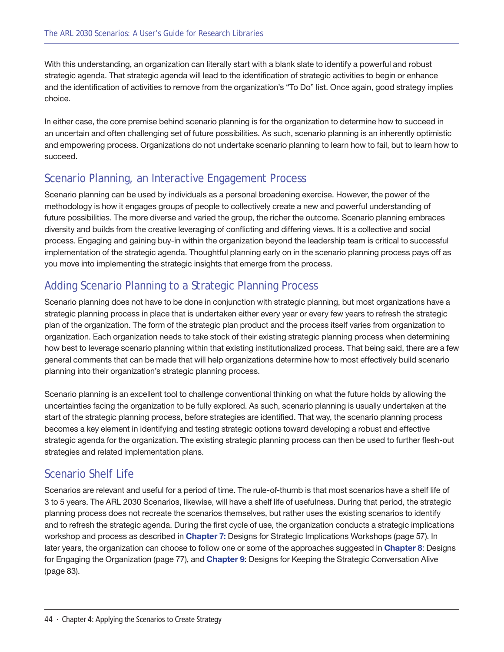With this understanding, an organization can literally start with a blank slate to identify a powerful and robust strategic agenda. That strategic agenda will lead to the identification of strategic activities to begin or enhance and the identification of activities to remove from the organization's "To Do" list. Once again, good strategy implies choice.

In either case, the core premise behind scenario planning is for the organization to determine how to succeed in an uncertain and often challenging set of future possibilities. As such, scenario planning is an inherently optimistic and empowering process. Organizations do not undertake scenario planning to learn how to fail, but to learn how to succeed.

## Scenario Planning, an Interactive Engagement Process

Scenario planning can be used by individuals as a personal broadening exercise. However, the power of the methodology is how it engages groups of people to collectively create a new and powerful understanding of future possibilities. The more diverse and varied the group, the richer the outcome. Scenario planning embraces diversity and builds from the creative leveraging of conflicting and differing views. It is a collective and social process. Engaging and gaining buy-in within the organization beyond the leadership team is critical to successful implementation of the strategic agenda. Thoughtful planning early on in the scenario planning process pays off as you move into implementing the strategic insights that emerge from the process.

## Adding Scenario Planning to a Strategic Planning Process

Scenario planning does not have to be done in conjunction with strategic planning, but most organizations have a strategic planning process in place that is undertaken either every year or every few years to refresh the strategic plan of the organization. The form of the strategic plan product and the process itself varies from organization to organization. Each organization needs to take stock of their existing strategic planning process when determining how best to leverage scenario planning within that existing institutionalized process. That being said, there are a few general comments that can be made that will help organizations determine how to most effectively build scenario planning into their organization's strategic planning process.

Scenario planning is an excellent tool to challenge conventional thinking on what the future holds by allowing the uncertainties facing the organization to be fully explored. As such, scenario planning is usually undertaken at the start of the strategic planning process, before strategies are identified. That way, the scenario planning process becomes a key element in identifying and testing strategic options toward developing a robust and effective strategic agenda for the organization. The existing strategic planning process can then be used to further flesh-out strategies and related implementation plans.

## Scenario Shelf Life

Scenarios are relevant and useful for a period of time. The rule-of-thumb is that most scenarios have a shelf life of 3 to 5 years. The ARL 2030 Scenarios, likewise, will have a shelf life of usefulness. During that period, the strategic planning process does not recreate the scenarios themselves, but rather uses the existing scenarios to identify and to refresh the strategic agenda. During the first cycle of use, the organization conducts a strategic implications workshop and process as described in **Chapter 7:** [Designs for Strategic Implications Workshops](#page-56-0) [\(page 57](#page-56-0)). In later years, the organization can choose to follow one or some of the approaches suggested in **[Chapter 8](#page-76-0)**: Designs for Engaging the Organization ([page 77\)](#page-76-0), and **[Chapter 9](#page-82-0)**: Designs for Keeping the Strategic Conversation Alive ([page 83](#page-82-0)).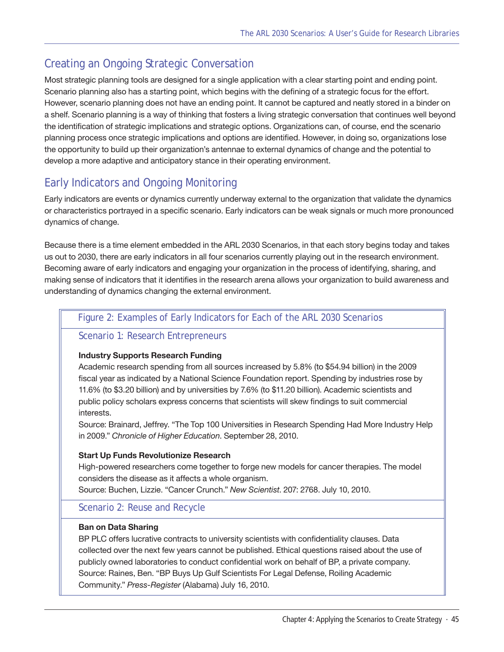## Creating an Ongoing Strategic Conversation

Most strategic planning tools are designed for a single application with a clear starting point and ending point. Scenario planning also has a starting point, which begins with the defining of a strategic focus for the effort. However, scenario planning does not have an ending point. It cannot be captured and neatly stored in a binder on a shelf. Scenario planning is a way of thinking that fosters a living strategic conversation that continues well beyond the identification of strategic implications and strategic options. Organizations can, of course, end the scenario planning process once strategic implications and options are identified. However, in doing so, organizations lose the opportunity to build up their organization's antennae to external dynamics of change and the potential to develop a more adaptive and anticipatory stance in their operating environment.

## Early Indicators and Ongoing Monitoring

Early indicators are events or dynamics currently underway external to the organization that validate the dynamics or characteristics portrayed in a specific scenario. Early indicators can be weak signals or much more pronounced dynamics of change.

Because there is a time element embedded in the ARL 2030 Scenarios, in that each story begins today and takes us out to 2030, there are early indicators in all four scenarios currently playing out in the research environment. Becoming aware of early indicators and engaging your organization in the process of identifying, sharing, and making sense of indicators that it identifies in the research arena allows your organization to build awareness and understanding of dynamics changing the external environment.

## Figure 2: Examples of Early Indicators for Each of the ARL 2030 Scenarios

## Scenario 1: Research Entrepreneurs

## **Industry Supports Research Funding**

Academic research spending from all sources increased by 5.8% (to \$54.94 billion) in the 2009 fiscal year as indicated by a National Science Foundation report. Spending by industries rose by 11.6% (to \$3.20 billion) and by universities by 7.6% (to \$11.20 billion). Academic scientists and public policy scholars express concerns that scientists will skew findings to suit commercial interests.

Source: Brainard, Jeffrey. "The Top 100 Universities in Research Spending Had More Industry Help in 2009." *Chronicle of Higher Education*. September 28, 2010.

## **Start Up Funds Revolutionize Research**

High-powered researchers come together to forge new models for cancer therapies. The model considers the disease as it affects a whole organism.

Source: Buchen, Lizzie. "Cancer Crunch." *New Scientist*. 207: 2768. July 10, 2010.

## Scenario 2: Reuse and Recycle

## **Ban on Data Sharing**

BP PLC offers lucrative contracts to university scientists with confidentiality clauses. Data collected over the next few years cannot be published. Ethical questions raised about the use of publicly owned laboratories to conduct confidential work on behalf of BP, a private company. Source: Raines, Ben. "BP Buys Up Gulf Scientists For Legal Defense, Roiling Academic Community." *Press-Register* (Alabama) July 16, 2010.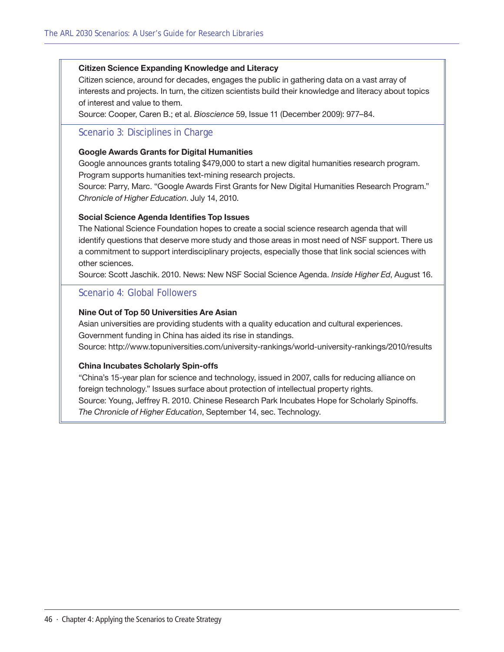#### **Citizen Science Expanding Knowledge and Literacy**

Citizen science, around for decades, engages the public in gathering data on a vast array of interests and projects. In turn, the citizen scientists build their knowledge and literacy about topics of interest and value to them.

Source: Cooper, Caren B.; et al. *Bioscience* 59, Issue 11 (December 2009): 977–84.

## Scenario 3: Disciplines in Charge

#### **Google Awards Grants for Digital Humanities**

Google announces grants totaling \$479,000 to start a new digital humanities research program. Program supports humanities text-mining research projects.

Source: Parry, Marc. "Google Awards First Grants for New Digital Humanities Research Program." *Chronicle of Higher Education*. July 14, 2010.

#### **Social Science Agenda Identifies Top Issues**

The National Science Foundation hopes to create a social science research agenda that will identify questions that deserve more study and those areas in most need of NSF support. There us a commitment to support interdisciplinary projects, especially those that link social sciences with other sciences.

Source: Scott Jaschik. 2010. News: New NSF Social Science Agenda. *Inside Higher Ed*, August 16.

### Scenario 4: Global Followers

#### **Nine Out of Top 50 Universities Are Asian**

Asian universities are providing students with a quality education and cultural experiences. Government funding in China has aided its rise in standings. Source: http://www.topuniversities.com/university-rankings/world-university-rankings/2010/results

#### **China Incubates Scholarly Spin-offs**

"China's 15-year plan for science and technology, issued in 2007, calls for reducing alliance on foreign technology." Issues surface about protection of intellectual property rights. Source: Young, Jeffrey R. 2010. Chinese Research Park Incubates Hope for Scholarly Spinoffs. *The Chronicle of Higher Education*, September 14, sec. Technology.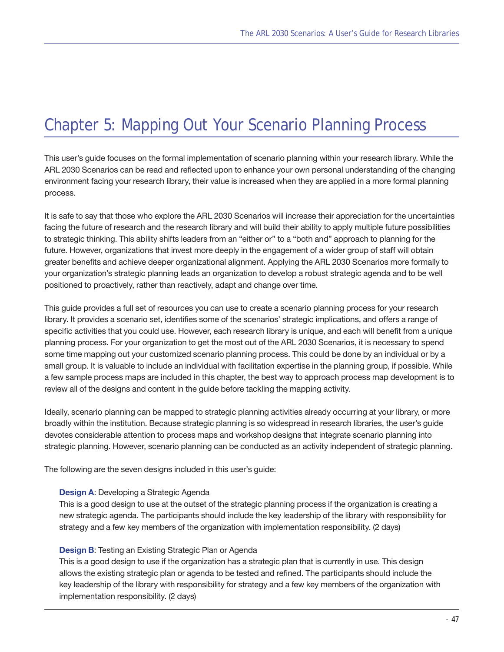## Chapter 5: Mapping Out Your Scenario Planning Process

This user's guide focuses on the formal implementation of scenario planning within your research library. While the ARL 2030 Scenarios can be read and reflected upon to enhance your own personal understanding of the changing environment facing your research library, their value is increased when they are applied in a more formal planning process.

It is safe to say that those who explore the ARL 2030 Scenarios will increase their appreciation for the uncertainties facing the future of research and the research library and will build their ability to apply multiple future possibilities to strategic thinking. This ability shifts leaders from an "either or" to a "both and" approach to planning for the future. However, organizations that invest more deeply in the engagement of a wider group of staff will obtain greater benefits and achieve deeper organizational alignment. Applying the ARL 2030 Scenarios more formally to your organization's strategic planning leads an organization to develop a robust strategic agenda and to be well positioned to proactively, rather than reactively, adapt and change over time.

This guide provides a full set of resources you can use to create a scenario planning process for your research library. It provides a scenario set, identifies some of the scenarios' strategic implications, and offers a range of specific activities that you could use. However, each research library is unique, and each will benefit from a unique planning process. For your organization to get the most out of the ARL 2030 Scenarios, it is necessary to spend some time mapping out your customized scenario planning process. This could be done by an individual or by a small group. It is valuable to include an individual with facilitation expertise in the planning group, if possible. While a few sample process maps are included in this chapter, the best way to approach process map development is to review all of the designs and content in the guide before tackling the mapping activity.

Ideally, scenario planning can be mapped to strategic planning activities already occurring at your library, or more broadly within the institution. Because strategic planning is so widespread in research libraries, the user's guide devotes considerable attention to process maps and workshop designs that integrate scenario planning into strategic planning. However, scenario planning can be conducted as an activity independent of strategic planning.

The following are the seven designs included in this user's guide:

#### **[Design](#page-58-0) A**: Developing a Strategic Agenda

This is a good design to use at the outset of the strategic planning process if the organization is creating a new strategic agenda. The participants should include the key leadership of the library with responsibility for strategy and a few key members of the organization with implementation responsibility. (2 days)

#### **[Design](#page-64-0) B**: Testing an Existing Strategic Plan or Agenda

This is a good design to use if the organization has a strategic plan that is currently in use. This design allows the existing strategic plan or agenda to be tested and refined. The participants should include the key leadership of the library with responsibility for strategy and a few key members of the organization with implementation responsibility. (2 days)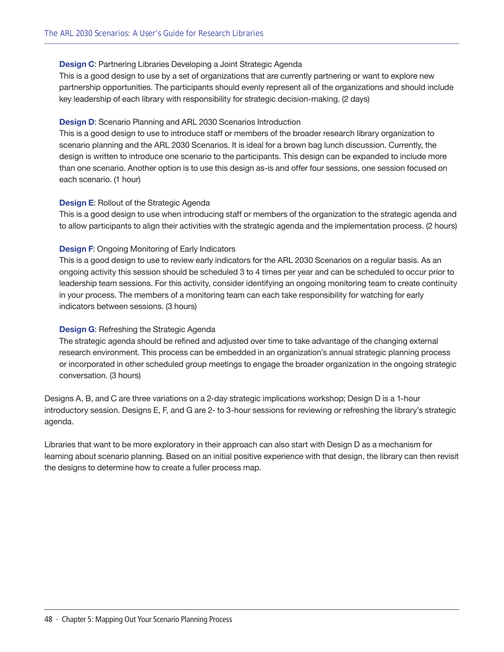#### **[Design](#page-70-0) C**: Partnering Libraries Developing a Joint Strategic Agenda

This is a good design to use by a set of organizations that are currently partnering or want to explore new partnership opportunities. The participants should evenly represent all of the organizations and should include key leadership of each library with responsibility for strategic decision-making. (2 days)

### **[Design](#page-77-0) D**: Scenario Planning and ARL 2030 Scenarios Introduction

This is a good design to use to introduce staff or members of the broader research library organization to scenario planning and the ARL 2030 Scenarios. It is ideal for a brown bag lunch discussion. Currently, the design is written to introduce one scenario to the participants. This design can be expanded to include more than one scenario. Another option is to use this design as-is and offer four sessions, one session focused on each scenario. (1 hour)

#### **[Design](#page-79-0) E**: Rollout of the Strategic Agenda

This is a good design to use when introducing staff or members of the organization to the strategic agenda and to allow participants to align their activities with the strategic agenda and the implementation process. (2 hours)

### **[Design](#page-83-0) F**: Ongoing Monitoring of Early Indicators

This is a good design to use to review early indicators for the ARL 2030 Scenarios on a regular basis. As an ongoing activity this session should be scheduled 3 to 4 times per year and can be scheduled to occur prior to leadership team sessions. For this activity, consider identifying an ongoing monitoring team to create continuity in your process. The members of a monitoring team can each take responsibility for watching for early indicators between sessions. (3 hours)

#### **[Design](#page-85-0) G**: Refreshing the Strategic Agenda

The strategic agenda should be refined and adjusted over time to take advantage of the changing external research environment. This process can be embedded in an organization's annual strategic planning process or incorporated in other scheduled group meetings to engage the broader organization in the ongoing strategic conversation. (3 hours)

Designs A, B, and C are three variations on a 2-day strategic implications workshop; Design D is a 1-hour introductory session. Designs E, F, and G are 2- to 3-hour sessions for reviewing or refreshing the library's strategic agenda.

Libraries that want to be more exploratory in their approach can also start with Design D as a mechanism for learning about scenario planning. Based on an initial positive experience with that design, the library can then revisit the designs to determine how to create a fuller process map.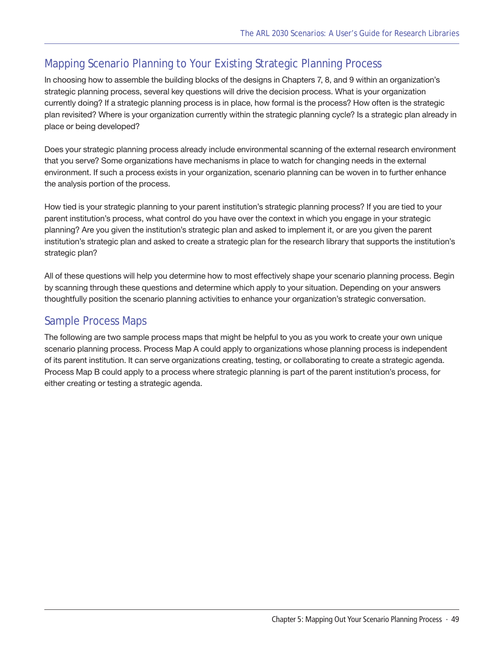## Mapping Scenario Planning to Your Existing Strategic Planning Process

In choosing how to assemble the building blocks of the designs in Chapters 7, 8, and 9 within an organization's strategic planning process, several key questions will drive the decision process. What is your organization currently doing? If a strategic planning process is in place, how formal is the process? How often is the strategic plan revisited? Where is your organization currently within the strategic planning cycle? Is a strategic plan already in place or being developed?

Does your strategic planning process already include environmental scanning of the external research environment that you serve? Some organizations have mechanisms in place to watch for changing needs in the external environment. If such a process exists in your organization, scenario planning can be woven in to further enhance the analysis portion of the process.

How tied is your strategic planning to your parent institution's strategic planning process? If you are tied to your parent institution's process, what control do you have over the context in which you engage in your strategic planning? Are you given the institution's strategic plan and asked to implement it, or are you given the parent institution's strategic plan and asked to create a strategic plan for the research library that supports the institution's strategic plan?

All of these questions will help you determine how to most effectively shape your scenario planning process. Begin by scanning through these questions and determine which apply to your situation. Depending on your answers thoughtfully position the scenario planning activities to enhance your organization's strategic conversation.

## Sample Process Maps

The following are two sample process maps that might be helpful to you as you work to create your own unique scenario planning process. Process Map A could apply to organizations whose planning process is independent of its parent institution. It can serve organizations creating, testing, or collaborating to create a strategic agenda. Process Map B could apply to a process where strategic planning is part of the parent institution's process, for either creating or testing a strategic agenda.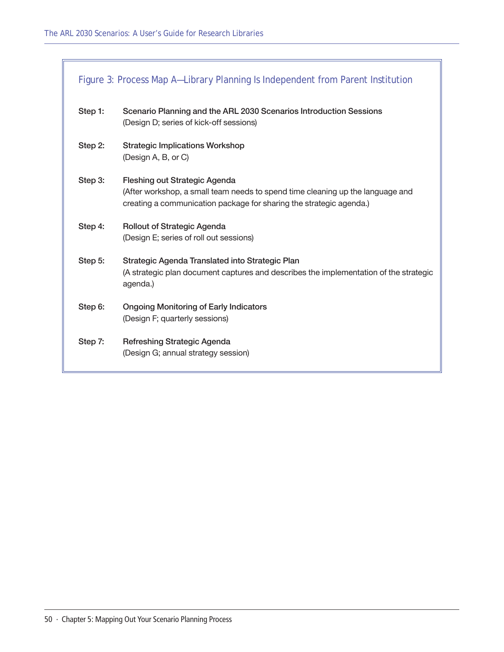<span id="page-49-0"></span>

| Figure 3: Process Map A-Library Planning Is Independent from Parent Institution |                                                                                                                                                                                               |
|---------------------------------------------------------------------------------|-----------------------------------------------------------------------------------------------------------------------------------------------------------------------------------------------|
| Step 1:                                                                         | Scenario Planning and the ARL 2030 Scenarios Introduction Sessions<br>(Design D; series of kick-off sessions)                                                                                 |
| Step 2:                                                                         | <b>Strategic Implications Workshop</b><br>(Design A, B, or C)                                                                                                                                 |
| Step 3:                                                                         | <b>Fleshing out Strategic Agenda</b><br>(After workshop, a small team needs to spend time cleaning up the language and<br>creating a communication package for sharing the strategic agenda.) |
| Step 4:                                                                         | <b>Rollout of Strategic Agenda</b><br>(Design E; series of roll out sessions)                                                                                                                 |
| Step 5:                                                                         | Strategic Agenda Translated into Strategic Plan<br>(A strategic plan document captures and describes the implementation of the strategic<br>agenda.)                                          |
| Step 6:                                                                         | <b>Ongoing Monitoring of Early Indicators</b><br>(Design F; quarterly sessions)                                                                                                               |
| Step 7:                                                                         | Refreshing Strategic Agenda<br>(Design G; annual strategy session)                                                                                                                            |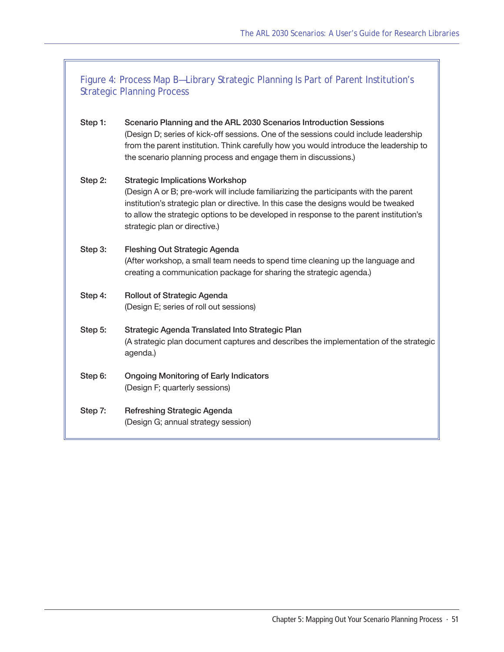| Figure 4: Process Map B-Library Strategic Planning Is Part of Parent Institution's<br><b>Strategic Planning Process</b> |                                                                                                                                                                                                                                                                                                                                                   |
|-------------------------------------------------------------------------------------------------------------------------|---------------------------------------------------------------------------------------------------------------------------------------------------------------------------------------------------------------------------------------------------------------------------------------------------------------------------------------------------|
| Step 1:                                                                                                                 | Scenario Planning and the ARL 2030 Scenarios Introduction Sessions<br>(Design D; series of kick-off sessions. One of the sessions could include leadership<br>from the parent institution. Think carefully how you would introduce the leadership to<br>the scenario planning process and engage them in discussions.)                            |
| Step 2:                                                                                                                 | <b>Strategic Implications Workshop</b><br>(Design A or B; pre-work will include familiarizing the participants with the parent<br>institution's strategic plan or directive. In this case the designs would be tweaked<br>to allow the strategic options to be developed in response to the parent institution's<br>strategic plan or directive.) |
| Step 3:                                                                                                                 | <b>Fleshing Out Strategic Agenda</b><br>(After workshop, a small team needs to spend time cleaning up the language and<br>creating a communication package for sharing the strategic agenda.)                                                                                                                                                     |
| Step 4:                                                                                                                 | <b>Rollout of Strategic Agenda</b><br>(Design E; series of roll out sessions)                                                                                                                                                                                                                                                                     |
| Step 5:                                                                                                                 | Strategic Agenda Translated Into Strategic Plan<br>(A strategic plan document captures and describes the implementation of the strategic<br>agenda.)                                                                                                                                                                                              |
| Step 6:                                                                                                                 | <b>Ongoing Monitoring of Early Indicators</b><br>(Design F; quarterly sessions)                                                                                                                                                                                                                                                                   |
| Step 7:                                                                                                                 | <b>Refreshing Strategic Agenda</b><br>(Design G; annual strategy session)                                                                                                                                                                                                                                                                         |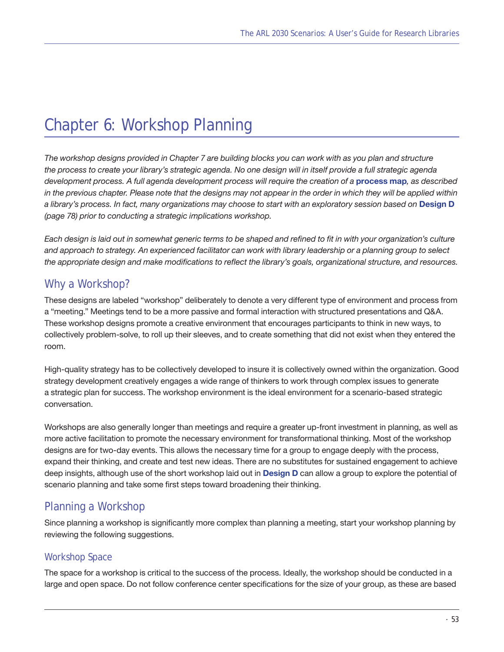## <span id="page-52-0"></span>[Chapter 6: Workshop Planning](#page-52-0)

*The workshop designs provided in Chapter 7 are building blocks you can work with as you plan and structure the process to create your library's strategic agenda. No one design will in itself provide a full strategic agenda development process. A full agenda development process will require the creation of a* **[process map](#page-49-0)***, as described in the previous chapter. Please note that the designs may not appear in the order in which they will be applied within a library's process. In fact, many organizations may choose to start with an exploratory session based on* **[Design D](#page-77-0)**  *([page 78\)](#page-77-0) prior to conducting a strategic implications workshop.*

*Each design is laid out in somewhat generic terms to be shaped and refined to fit in with your organization's culture and approach to strategy. An experienced facilitator can work with library leadership or a planning group to select the appropriate design and make modifications to reflect the library's goals, organizational structure, and resources.* 

## Why a Workshop?

These designs are labeled "workshop" deliberately to denote a very different type of environment and process from a "meeting." Meetings tend to be a more passive and formal interaction with structured presentations and Q&A. These workshop designs promote a creative environment that encourages participants to think in new ways, to collectively problem-solve, to roll up their sleeves, and to create something that did not exist when they entered the room.

High-quality strategy has to be collectively developed to insure it is collectively owned within the organization. Good strategy development creatively engages a wide range of thinkers to work through complex issues to generate a strategic plan for success. The workshop environment is the ideal environment for a scenario-based strategic conversation.

Workshops are also generally longer than meetings and require a greater up-front investment in planning, as well as more active facilitation to promote the necessary environment for transformational thinking. Most of the workshop designs are for two-day events. This allows the necessary time for a group to engage deeply with the process, expand their thinking, and create and test new ideas. There are no substitutes for sustained engagement to achieve deep insights, although use of the short workshop laid out in **[Design D](#page-77-0)** can allow a group to explore the potential of scenario planning and take some first steps toward broadening their thinking.

## Planning a Workshop

Since planning a workshop is significantly more complex than planning a meeting, start your workshop planning by reviewing the following suggestions.

## Workshop Space

The space for a workshop is critical to the success of the process. Ideally, the workshop should be conducted in a large and open space. Do not follow conference center specifications for the size of your group, as these are based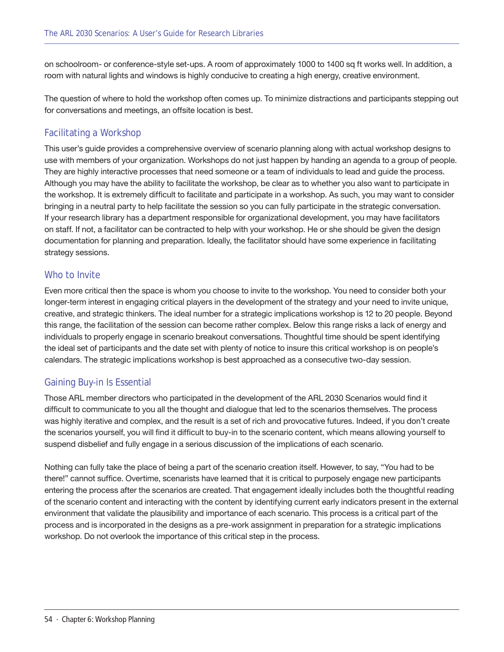on schoolroom- or conference-style set-ups. A room of approximately 1000 to 1400 sq ft works well. In addition, a room with natural lights and windows is highly conducive to creating a high energy, creative environment.

The question of where to hold the workshop often comes up. To minimize distractions and participants stepping out for conversations and meetings, an offsite location is best.

## Facilitating a Workshop

This user's guide provides a comprehensive overview of scenario planning along with actual workshop designs to use with members of your organization. Workshops do not just happen by handing an agenda to a group of people. They are highly interactive processes that need someone or a team of individuals to lead and guide the process. Although you may have the ability to facilitate the workshop, be clear as to whether you also want to participate in the workshop. It is extremely difficult to facilitate and participate in a workshop. As such, you may want to consider bringing in a neutral party to help facilitate the session so you can fully participate in the strategic conversation. If your research library has a department responsible for organizational development, you may have facilitators on staff. If not, a facilitator can be contracted to help with your workshop. He or she should be given the design documentation for planning and preparation. Ideally, the facilitator should have some experience in facilitating strategy sessions.

## Who to Invite

Even more critical then the space is whom you choose to invite to the workshop. You need to consider both your longer-term interest in engaging critical players in the development of the strategy and your need to invite unique, creative, and strategic thinkers. The ideal number for a strategic implications workshop is 12 to 20 people. Beyond this range, the facilitation of the session can become rather complex. Below this range risks a lack of energy and individuals to properly engage in scenario breakout conversations. Thoughtful time should be spent identifying the ideal set of participants and the date set with plenty of notice to insure this critical workshop is on people's calendars. The strategic implications workshop is best approached as a consecutive two-day session.

## Gaining Buy-in Is Essential

Those ARL member directors who participated in the development of the ARL 2030 Scenarios would find it difficult to communicate to you all the thought and dialogue that led to the scenarios themselves. The process was highly iterative and complex, and the result is a set of rich and provocative futures. Indeed, if you don't create the scenarios yourself, you will find it difficult to buy-in to the scenario content, which means allowing yourself to suspend disbelief and fully engage in a serious discussion of the implications of each scenario.

Nothing can fully take the place of being a part of the scenario creation itself. However, to say, "You had to be there!" cannot suffice. Overtime, scenarists have learned that it is critical to purposely engage new participants entering the process after the scenarios are created. That engagement ideally includes both the thoughtful reading of the scenario content and interacting with the content by identifying current early indicators present in the external environment that validate the plausibility and importance of each scenario. This process is a critical part of the process and is incorporated in the designs as a pre-work assignment in preparation for a strategic implications workshop. Do not overlook the importance of this critical step in the process.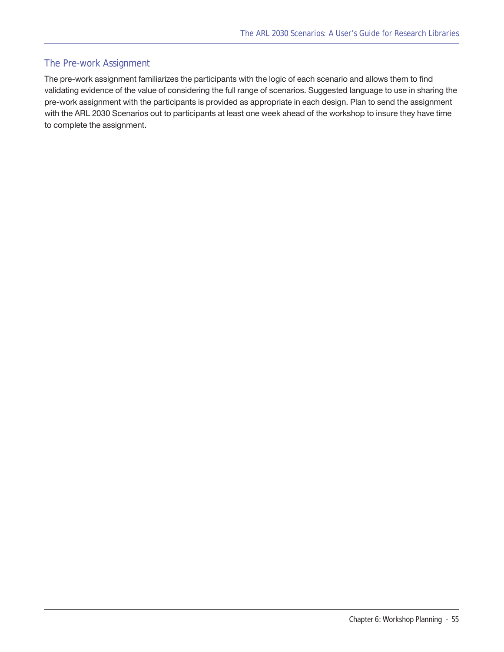## The Pre-work Assignment

The pre-work assignment familiarizes the participants with the logic of each scenario and allows them to find validating evidence of the value of considering the full range of scenarios. Suggested language to use in sharing the pre-work assignment with the participants is provided as appropriate in each design. Plan to send the assignment with the ARL 2030 Scenarios out to participants at least one week ahead of the workshop to insure they have time to complete the assignment.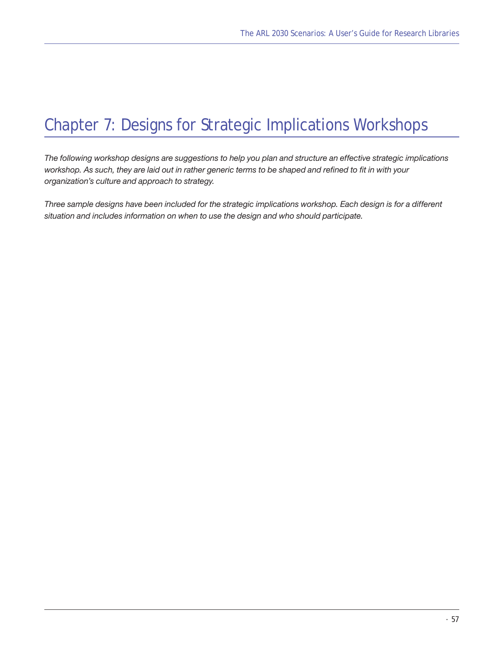## <span id="page-56-0"></span>Chapter 7: Designs for Strategic Implications Workshops

*The following workshop designs are suggestions to help you plan and structure an effective strategic implications workshop. As such, they are laid out in rather generic terms to be shaped and refined to fit in with your organization's culture and approach to strategy.*

*Three sample designs have been included for the strategic implications workshop. Each design is for a different situation and includes information on when to use the design and who should participate.*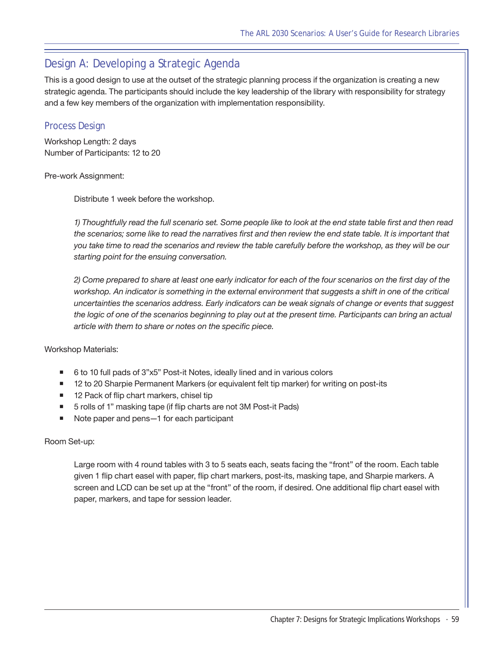## <span id="page-58-0"></span>Design A: Developing a Strategic Agenda

This is a good design to use at the outset of the strategic planning process if the organization is creating a new strategic agenda. The participants should include the key leadership of the library with responsibility for strategy and a few key members of the organization with implementation responsibility.

## Process Design

Workshop Length: 2 days Number of Participants: 12 to 20

#### Pre-work Assignment:

Distribute 1 week before the workshop.

*1) Thoughtfully read the full scenario set. Some people like to look at the end state table first and then read the scenarios; some like to read the narratives first and then review the end state table. It is important that you take time to read the scenarios and review the table carefully before the workshop, as they will be our starting point for the ensuing conversation.*

*2) Come prepared to share at least one early indicator for each of the four scenarios on the first day of the*  workshop. An indicator is something in the external environment that suggests a shift in one of the critical *uncertainties the scenarios address. Early indicators can be weak signals of change or events that suggest the logic of one of the scenarios beginning to play out at the present time. Participants can bring an actual article with them to share or notes on the specific piece.*

Workshop Materials:

- 6 to 10 full pads of 3"x5" Post-it Notes, ideally lined and in various colors
- 12 to 20 Sharpie Permanent Markers (or equivalent felt tip marker) for writing on post-its
- 12 Pack of flip chart markers, chisel tip
- 5 rolls of 1" masking tape (if flip charts are not 3M Post-it Pads)
- Note paper and pens—1 for each participant

#### Room Set-up:

Large room with 4 round tables with 3 to 5 seats each, seats facing the "front" of the room. Each table given 1 flip chart easel with paper, flip chart markers, post-its, masking tape, and Sharpie markers. A screen and LCD can be set up at the "front" of the room, if desired. One additional flip chart easel with paper, markers, and tape for session leader.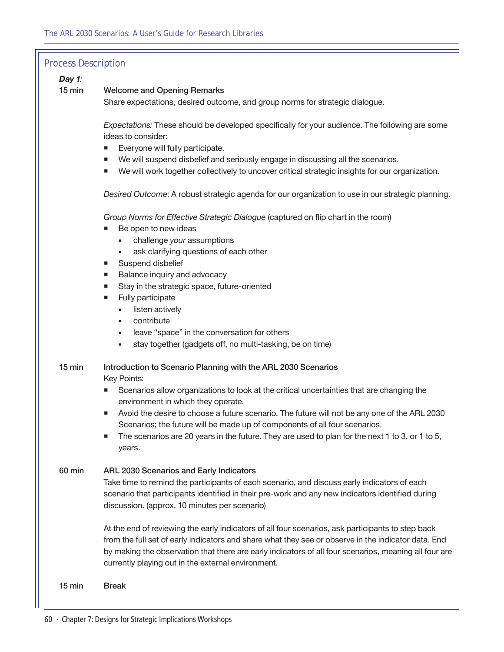| <b>Process Description</b> |                                                                                                                                                                               |
|----------------------------|-------------------------------------------------------------------------------------------------------------------------------------------------------------------------------|
| Day 1:                     |                                                                                                                                                                               |
| $15$ min                   | <b>Welcome and Opening Remarks</b><br>Share expectations, desired outcome, and group norms for strategic dialogue.                                                            |
|                            |                                                                                                                                                                               |
|                            | Expectations: These should be developed specifically for your audience. The following are some                                                                                |
|                            | ideas to consider:                                                                                                                                                            |
|                            | Everyone will fully participate.<br>We will suspend disbelief and seriously engage in discussing all the scenarios.                                                           |
|                            | We will work together collectively to uncover critical strategic insights for our organization.                                                                               |
|                            | Desired Outcome: A robust strategic agenda for our organization to use in our strategic planning.                                                                             |
|                            | Group Norms for Effective Strategic Dialogue (captured on flip chart in the room)<br>Be open to new ideas                                                                     |
|                            | challenge your assumptions                                                                                                                                                    |
|                            | ask clarifying questions of each other<br>$\bullet$                                                                                                                           |
|                            | Suspend disbelief<br>ш<br>Balance inquiry and advocacy                                                                                                                        |
|                            | Stay in the strategic space, future-oriented                                                                                                                                  |
|                            | Fully participate<br>ш                                                                                                                                                        |
|                            | listen actively                                                                                                                                                               |
|                            | contribute<br>$\bullet$                                                                                                                                                       |
|                            | leave "space" in the conversation for others<br>$\bullet$<br>stay together (gadgets off, no multi-tasking, be on time)<br>$\bullet$                                           |
|                            |                                                                                                                                                                               |
| 15 min                     | Introduction to Scenario Planning with the ARL 2030 Scenarios                                                                                                                 |
|                            | Key Points:                                                                                                                                                                   |
|                            | Scenarios allow organizations to look at the critical uncertainties that are changing the<br>environment in which they operate.                                               |
|                            | Avoid the desire to choose a future scenario. The future will not be any one of the ARL 2030                                                                                  |
|                            | Scenarios; the future will be made up of components of all four scenarios.<br>The scenarios are 20 years in the future. They are used to plan for the next 1 to 3, or 1 to 5, |
|                            | years.                                                                                                                                                                        |
| 60 min                     | ARL 2030 Scenarios and Early Indicators                                                                                                                                       |
|                            | Take time to remind the participants of each scenario, and discuss early indicators of each                                                                                   |
|                            | scenario that participants identified in their pre-work and any new indicators identified during                                                                              |
|                            | discussion. (approx. 10 minutes per scenario)                                                                                                                                 |
|                            | At the end of reviewing the early indicators of all four scenarios, ask participants to step back                                                                             |
|                            | from the full set of early indicators and share what they see or observe in the indicator data. End                                                                           |
|                            | by making the observation that there are early indicators of all four scenarios, meaning all four are<br>currently playing out in the external environment.                   |
| 15 min                     | <b>Break</b>                                                                                                                                                                  |
|                            |                                                                                                                                                                               |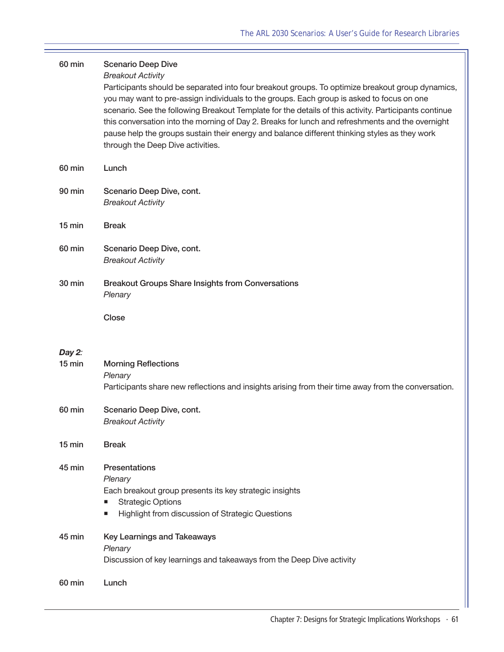| 60 min             | <b>Scenario Deep Dive</b><br><b>Breakout Activity</b><br>Participants should be separated into four breakout groups. To optimize breakout group dynamics,<br>you may want to pre-assign individuals to the groups. Each group is asked to focus on one<br>scenario. See the following Breakout Template for the details of this activity. Participants continue<br>this conversation into the morning of Day 2. Breaks for lunch and refreshments and the overnight<br>pause help the groups sustain their energy and balance different thinking styles as they work<br>through the Deep Dive activities. |
|--------------------|-----------------------------------------------------------------------------------------------------------------------------------------------------------------------------------------------------------------------------------------------------------------------------------------------------------------------------------------------------------------------------------------------------------------------------------------------------------------------------------------------------------------------------------------------------------------------------------------------------------|
| 60 min             | Lunch                                                                                                                                                                                                                                                                                                                                                                                                                                                                                                                                                                                                     |
| 90 min             | Scenario Deep Dive, cont.<br><b>Breakout Activity</b>                                                                                                                                                                                                                                                                                                                                                                                                                                                                                                                                                     |
| $15 \text{ min}$   | <b>Break</b>                                                                                                                                                                                                                                                                                                                                                                                                                                                                                                                                                                                              |
| 60 min             | Scenario Deep Dive, cont.<br><b>Breakout Activity</b>                                                                                                                                                                                                                                                                                                                                                                                                                                                                                                                                                     |
| 30 min             | <b>Breakout Groups Share Insights from Conversations</b><br>Plenary                                                                                                                                                                                                                                                                                                                                                                                                                                                                                                                                       |
|                    | Close                                                                                                                                                                                                                                                                                                                                                                                                                                                                                                                                                                                                     |
| Day 2:<br>$15$ min | <b>Morning Reflections</b><br>Plenary<br>Participants share new reflections and insights arising from their time away from the conversation.                                                                                                                                                                                                                                                                                                                                                                                                                                                              |
| 60 min             | Scenario Deep Dive, cont.<br><b>Breakout Activity</b>                                                                                                                                                                                                                                                                                                                                                                                                                                                                                                                                                     |
| $15 \text{ min}$   | <b>Break</b>                                                                                                                                                                                                                                                                                                                                                                                                                                                                                                                                                                                              |
| 45 min             | <b>Presentations</b><br>Plenary<br>Each breakout group presents its key strategic insights<br><b>Strategic Options</b><br>п<br>Highlight from discussion of Strategic Questions<br>п                                                                                                                                                                                                                                                                                                                                                                                                                      |
| 45 min             | <b>Key Learnings and Takeaways</b><br>Plenary<br>Discussion of key learnings and takeaways from the Deep Dive activity                                                                                                                                                                                                                                                                                                                                                                                                                                                                                    |
| 60 min             | Lunch                                                                                                                                                                                                                                                                                                                                                                                                                                                                                                                                                                                                     |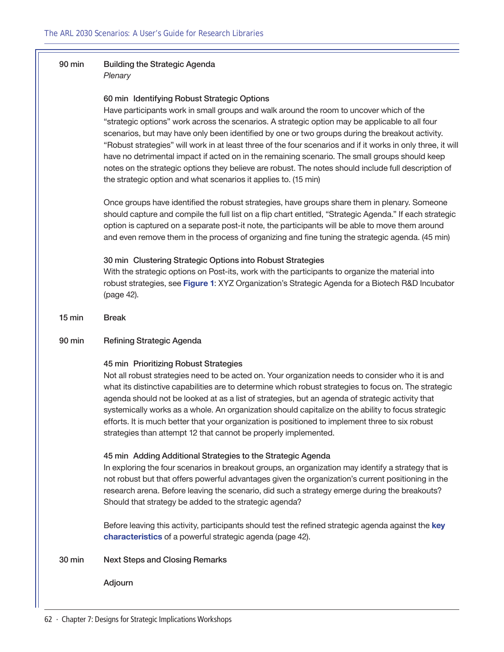## 90 min Building the Strategic Agenda

*Plenary*

#### 60 min Identifying Robust Strategic Options

Have participants work in small groups and walk around the room to uncover which of the "strategic options" work across the scenarios. A strategic option may be applicable to all four scenarios, but may have only been identified by one or two groups during the breakout activity. "Robust strategies" will work in at least three of the four scenarios and if it works in only three, it will have no detrimental impact if acted on in the remaining scenario. The small groups should keep notes on the strategic options they believe are robust. The notes should include full description of the strategic option and what scenarios it applies to. (15 min)

Once groups have identified the robust strategies, have groups share them in plenary. Someone should capture and compile the full list on a flip chart entitled, "Strategic Agenda." If each strategic option is captured on a separate post-it note, the participants will be able to move them around and even remove them in the process of organizing and fine tuning the strategic agenda. (45 min)

#### 30 min Clustering Strategic Options into Robust Strategies

With the strategic options on Post-its, work with the participants to organize the material into robust strategies, see **[Figure 1](#page-41-0)**: XYZ Organization's Strategic Agenda for a Biotech R&D Incubator ([page 42\)](#page-41-0).

15 min Break

#### 90 min Refining Strategic Agenda

#### 45 min Prioritizing Robust Strategies

Not all robust strategies need to be acted on. Your organization needs to consider who it is and what its distinctive capabilities are to determine which robust strategies to focus on. The strategic agenda should not be looked at as a list of strategies, but an agenda of strategic activity that systemically works as a whole. An organization should capitalize on the ability to focus strategic efforts. It is much better that your organization is positioned to implement three to six robust strategies than attempt 12 that cannot be properly implemented.

#### 45 min Adding Additional Strategies to the Strategic Agenda

In exploring the four scenarios in breakout groups, an organization may identify a strategy that is not robust but that offers powerful advantages given the organization's current positioning in the research arena. Before leaving the scenario, did such a strategy emerge during the breakouts? Should that strategy be added to the strategic agenda?

Before leaving this activity, participants should test the refined strategic agenda against the **[key](#page-41-1)  [characteristics](#page-41-1)** of a powerful strategic agenda [\(page 42](#page-41-1)).

#### 30 min Next Steps and Closing Remarks

Adjourn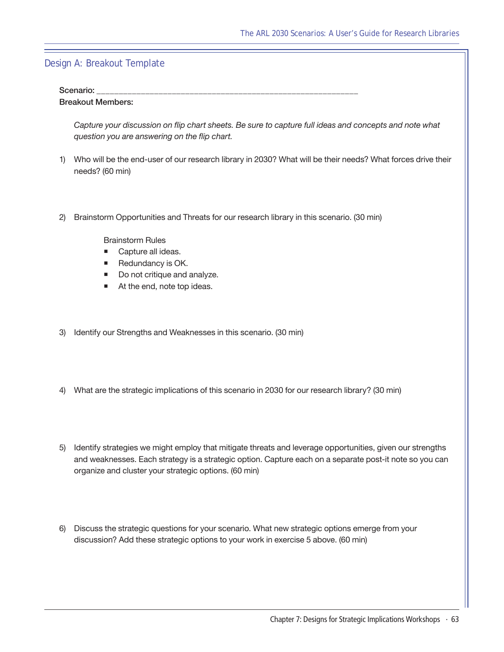## Design A: Breakout Template

#### Scenario:

#### Breakout Members:

*Capture your discussion on flip chart sheets. Be sure to capture full ideas and concepts and note what question you are answering on the flip chart.*

- 1) Who will be the end-user of our research library in 2030? What will be their needs? What forces drive their needs? (60 min)
- 2) Brainstorm Opportunities and Threats for our research library in this scenario. (30 min)

Brainstorm Rules

- Capture all ideas.
- Redundancy is OK.
- Do not critique and analyze.
- At the end, note top ideas.
- 3) Identify our Strengths and Weaknesses in this scenario. (30 min)
- 4) What are the strategic implications of this scenario in 2030 for our research library? (30 min)
- 5) Identify strategies we might employ that mitigate threats and leverage opportunities, given our strengths and weaknesses. Each strategy is a strategic option. Capture each on a separate post-it note so you can organize and cluster your strategic options. (60 min)
- 6) Discuss the strategic questions for your scenario. What new strategic options emerge from your discussion? Add these strategic options to your work in exercise 5 above. (60 min)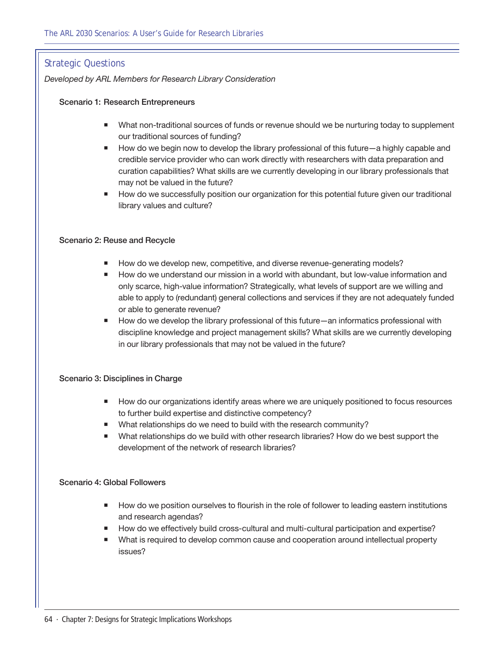## Strategic Questions

*Developed by ARL Members for Research Library Consideration*

#### Scenario 1: Research Entrepreneurs

- **Nhat non-traditional sources of funds or revenue should we be nurturing today to supplement** our traditional sources of funding?
- How do we begin now to develop the library professional of this future—a highly capable and credible service provider who can work directly with researchers with data preparation and curation capabilities? What skills are we currently developing in our library professionals that may not be valued in the future?
- **How do we successfully position our organization for this potential future given our traditional** library values and culture?

#### Scenario 2: Reuse and Recycle

- How do we develop new, competitive, and diverse revenue-generating models?
- How do we understand our mission in a world with abundant, but low-value information and only scarce, high-value information? Strategically, what levels of support are we willing and able to apply to (redundant) general collections and services if they are not adequately funded or able to generate revenue?
- How do we develop the library professional of this future—an informatics professional with discipline knowledge and project management skills? What skills are we currently developing in our library professionals that may not be valued in the future?

#### Scenario 3: Disciplines in Charge

- How do our organizations identify areas where we are uniquely positioned to focus resources to further build expertise and distinctive competency?
- What relationships do we need to build with the research community?
- What relationships do we build with other research libraries? How do we best support the development of the network of research libraries?

#### Scenario 4: Global Followers

- **How do we position ourselves to flourish in the role of follower to leading eastern institutions** and research agendas?
- How do we effectively build cross-cultural and multi-cultural participation and expertise?
- What is required to develop common cause and cooperation around intellectual property issues?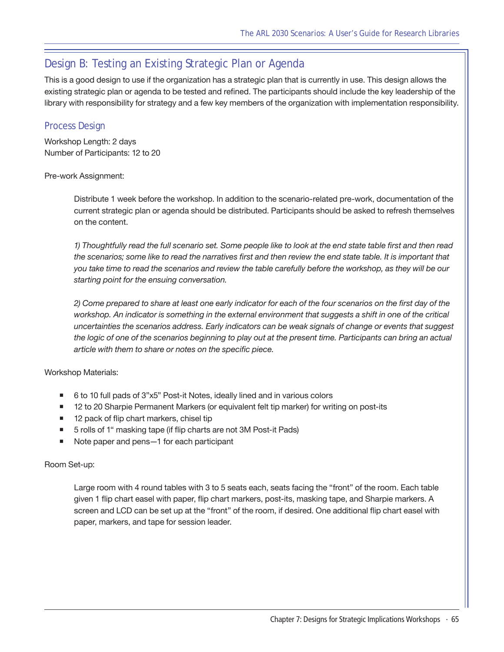## <span id="page-64-0"></span>Design B: Testing an Existing Strategic Plan or Agenda

This is a good design to use if the organization has a strategic plan that is currently in use. This design allows the existing strategic plan or agenda to be tested and refined. The participants should include the key leadership of the library with responsibility for strategy and a few key members of the organization with implementation responsibility.

## Process Design

Workshop Length: 2 days Number of Participants: 12 to 20

### Pre-work Assignment:

Distribute 1 week before the workshop. In addition to the scenario-related pre-work, documentation of the current strategic plan or agenda should be distributed. Participants should be asked to refresh themselves on the content.

*1) Thoughtfully read the full scenario set. Some people like to look at the end state table first and then read*  the scenarios; some like to read the narratives first and then review the end state table. It is important that *you take time to read the scenarios and review the table carefully before the workshop, as they will be our starting point for the ensuing conversation.*

*2) Come prepared to share at least one early indicator for each of the four scenarios on the first day of the*  workshop. An indicator is something in the external environment that suggests a shift in one of the critical *uncertainties the scenarios address. Early indicators can be weak signals of change or events that suggest the logic of one of the scenarios beginning to play out at the present time. Participants can bring an actual article with them to share or notes on the specific piece.*

Workshop Materials:

- 6 to 10 full pads of 3"x5" Post-it Notes, ideally lined and in various colors
- 12 to 20 Sharpie Permanent Markers (or equivalent felt tip marker) for writing on post-its
- 12 pack of flip chart markers, chisel tip
- 5 rolls of 1" masking tape (if flip charts are not 3M Post-it Pads)
- Note paper and pens—1 for each participant

### Room Set-up:

Large room with 4 round tables with 3 to 5 seats each, seats facing the "front" of the room. Each table given 1 flip chart easel with paper, flip chart markers, post-its, masking tape, and Sharpie markers. A screen and LCD can be set up at the "front" of the room, if desired. One additional flip chart easel with paper, markers, and tape for session leader.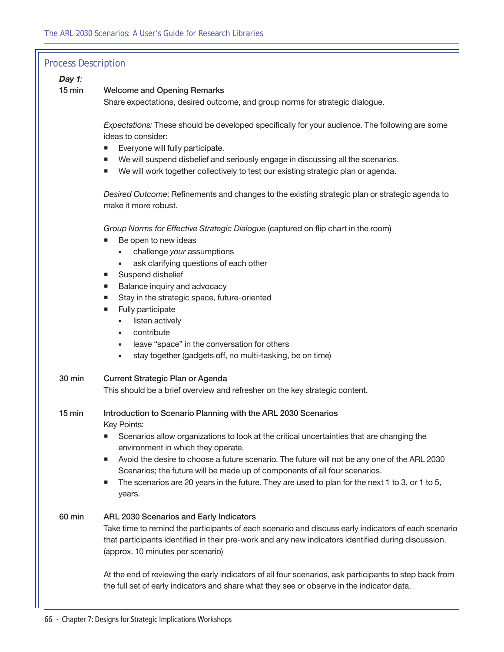| <b>Process Description</b> |                                                                                                                                                                                                                                                       |
|----------------------------|-------------------------------------------------------------------------------------------------------------------------------------------------------------------------------------------------------------------------------------------------------|
| Day 1:                     |                                                                                                                                                                                                                                                       |
| $15$ min                   | <b>Welcome and Opening Remarks</b>                                                                                                                                                                                                                    |
|                            | Share expectations, desired outcome, and group norms for strategic dialogue.                                                                                                                                                                          |
|                            | Expectations: These should be developed specifically for your audience. The following are some                                                                                                                                                        |
|                            | ideas to consider:                                                                                                                                                                                                                                    |
|                            | Everyone will fully participate.<br>п                                                                                                                                                                                                                 |
|                            | We will suspend disbelief and seriously engage in discussing all the scenarios.<br>ш                                                                                                                                                                  |
|                            | We will work together collectively to test our existing strategic plan or agenda.<br>п                                                                                                                                                                |
|                            | Desired Outcome: Refinements and changes to the existing strategic plan or strategic agenda to<br>make it more robust.                                                                                                                                |
|                            | Group Norms for Effective Strategic Dialogue (captured on flip chart in the room)<br>Be open to new ideas<br>ш                                                                                                                                        |
|                            | challenge your assumptions                                                                                                                                                                                                                            |
|                            | ask clarifying questions of each other                                                                                                                                                                                                                |
|                            | Suspend disbelief<br>ш                                                                                                                                                                                                                                |
|                            | Balance inquiry and advocacy<br>п                                                                                                                                                                                                                     |
|                            | Stay in the strategic space, future-oriented<br>ш                                                                                                                                                                                                     |
|                            | Fully participate<br>ш                                                                                                                                                                                                                                |
|                            | listen actively<br>$\bullet$<br>contribute<br>$\bullet$                                                                                                                                                                                               |
|                            | leave "space" in the conversation for others<br>$\bullet$                                                                                                                                                                                             |
|                            | stay together (gadgets off, no multi-tasking, be on time)<br>$\bullet$                                                                                                                                                                                |
|                            |                                                                                                                                                                                                                                                       |
| 30 min                     | Current Strategic Plan or Agenda                                                                                                                                                                                                                      |
|                            | This should be a brief overview and refresher on the key strategic content.                                                                                                                                                                           |
| $15 \text{ min}$           | Introduction to Scenario Planning with the ARL 2030 Scenarios<br>Key Points:                                                                                                                                                                          |
|                            | Scenarios allow organizations to look at the critical uncertainties that are changing the                                                                                                                                                             |
|                            | environment in which they operate.                                                                                                                                                                                                                    |
|                            | Avoid the desire to choose a future scenario. The future will not be any one of the ARL 2030<br>п                                                                                                                                                     |
|                            | Scenarios; the future will be made up of components of all four scenarios.                                                                                                                                                                            |
|                            | The scenarios are 20 years in the future. They are used to plan for the next 1 to 3, or 1 to 5,<br>п<br>years.                                                                                                                                        |
| 60 min                     | ARL 2030 Scenarios and Early Indicators<br>Take time to remind the participants of each scenario and discuss early indicators of each scenario<br>that participants identified in their pre-work and any new indicators identified during discussion. |
|                            | (approx. 10 minutes per scenario)                                                                                                                                                                                                                     |
|                            | At the end of reviewing the early indicators of all four scenarios, ask participants to step back from<br>the full set of early indicators and share what they see or observe in the indicator data.                                                  |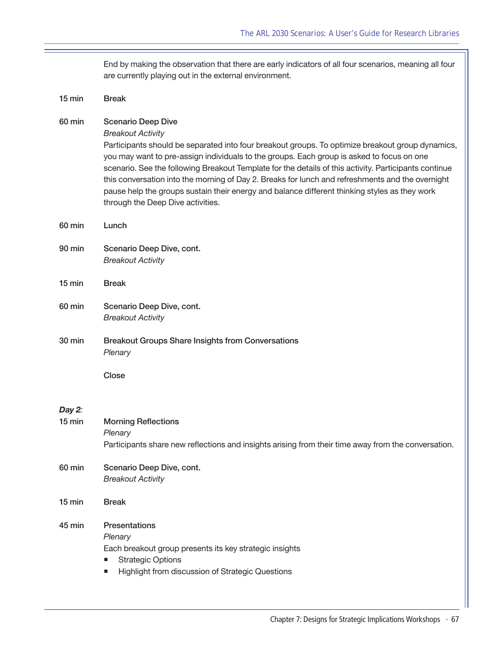End by making the observation that there are early indicators of all four scenarios, meaning all four are currently playing out in the external environment.

| $15 \text{ min}$   | <b>Break</b>                                                                                                                                                                                                                                                                                                                                                                                                                                                                                                                                                                                              |
|--------------------|-----------------------------------------------------------------------------------------------------------------------------------------------------------------------------------------------------------------------------------------------------------------------------------------------------------------------------------------------------------------------------------------------------------------------------------------------------------------------------------------------------------------------------------------------------------------------------------------------------------|
| 60 min             | <b>Scenario Deep Dive</b><br><b>Breakout Activity</b><br>Participants should be separated into four breakout groups. To optimize breakout group dynamics,<br>you may want to pre-assign individuals to the groups. Each group is asked to focus on one<br>scenario. See the following Breakout Template for the details of this activity. Participants continue<br>this conversation into the morning of Day 2. Breaks for lunch and refreshments and the overnight<br>pause help the groups sustain their energy and balance different thinking styles as they work<br>through the Deep Dive activities. |
| 60 min             | Lunch                                                                                                                                                                                                                                                                                                                                                                                                                                                                                                                                                                                                     |
| 90 min             | Scenario Deep Dive, cont.<br><b>Breakout Activity</b>                                                                                                                                                                                                                                                                                                                                                                                                                                                                                                                                                     |
| $15 \text{ min}$   | <b>Break</b>                                                                                                                                                                                                                                                                                                                                                                                                                                                                                                                                                                                              |
| 60 min             | Scenario Deep Dive, cont.<br><b>Breakout Activity</b>                                                                                                                                                                                                                                                                                                                                                                                                                                                                                                                                                     |
| 30 min             | <b>Breakout Groups Share Insights from Conversations</b><br>Plenary                                                                                                                                                                                                                                                                                                                                                                                                                                                                                                                                       |
|                    | Close                                                                                                                                                                                                                                                                                                                                                                                                                                                                                                                                                                                                     |
| Day 2:<br>$15$ min | <b>Morning Reflections</b><br>Plenary<br>Participants share new reflections and insights arising from their time away from the conversation.                                                                                                                                                                                                                                                                                                                                                                                                                                                              |
| 60 min             | Scenario Deep Dive, cont.<br><b>Breakout Activity</b>                                                                                                                                                                                                                                                                                                                                                                                                                                                                                                                                                     |
| $15$ min           | <b>Break</b>                                                                                                                                                                                                                                                                                                                                                                                                                                                                                                                                                                                              |
| 45 min             | <b>Presentations</b><br>Plenary<br>Each breakout group presents its key strategic insights<br><b>Strategic Options</b><br>Highlight from discussion of Strategic Questions<br>ш                                                                                                                                                                                                                                                                                                                                                                                                                           |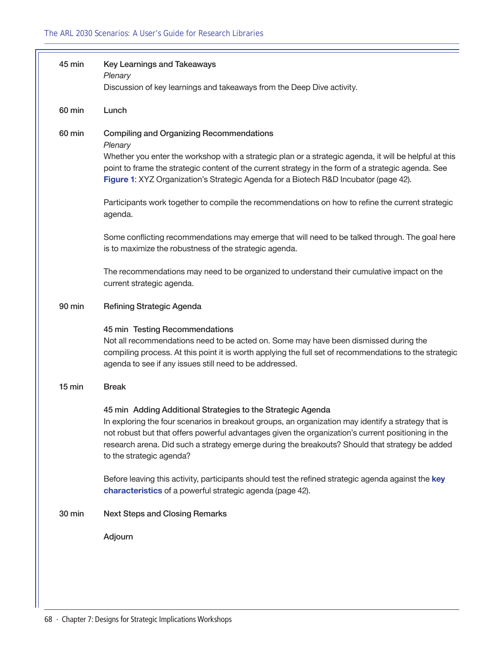| 45 min   | <b>Key Learnings and Takeaways</b><br>Plenary                                                                                                                                                                                                                                                                                                                                                          |
|----------|--------------------------------------------------------------------------------------------------------------------------------------------------------------------------------------------------------------------------------------------------------------------------------------------------------------------------------------------------------------------------------------------------------|
|          | Discussion of key learnings and takeaways from the Deep Dive activity.                                                                                                                                                                                                                                                                                                                                 |
| 60 min   | Lunch                                                                                                                                                                                                                                                                                                                                                                                                  |
| 60 min   | <b>Compiling and Organizing Recommendations</b><br>Plenary<br>Whether you enter the workshop with a strategic plan or a strategic agenda, it will be helpful at this<br>point to frame the strategic content of the current strategy in the form of a strategic agenda. See<br>Figure 1: XYZ Organization's Strategic Agenda for a Biotech R&D Incubator (page 42).                                    |
|          | Participants work together to compile the recommendations on how to refine the current strategic<br>agenda.                                                                                                                                                                                                                                                                                            |
|          | Some conflicting recommendations may emerge that will need to be talked through. The goal here<br>is to maximize the robustness of the strategic agenda.                                                                                                                                                                                                                                               |
|          | The recommendations may need to be organized to understand their cumulative impact on the<br>current strategic agenda.                                                                                                                                                                                                                                                                                 |
| 90 min   | <b>Refining Strategic Agenda</b>                                                                                                                                                                                                                                                                                                                                                                       |
|          | 45 min Testing Recommendations<br>Not all recommendations need to be acted on. Some may have been dismissed during the<br>compiling process. At this point it is worth applying the full set of recommendations to the strategic<br>agenda to see if any issues still need to be addressed.                                                                                                            |
| $15$ min | <b>Break</b>                                                                                                                                                                                                                                                                                                                                                                                           |
|          | 45 min Adding Additional Strategies to the Strategic Agenda<br>In exploring the four scenarios in breakout groups, an organization may identify a strategy that is<br>not robust but that offers powerful advantages given the organization's current positioning in the<br>research arena. Did such a strategy emerge during the breakouts? Should that strategy be added<br>to the strategic agenda? |
|          | Before leaving this activity, participants should test the refined strategic agenda against the key<br>characteristics of a powerful strategic agenda (page 42).                                                                                                                                                                                                                                       |
| 30 min   | <b>Next Steps and Closing Remarks</b>                                                                                                                                                                                                                                                                                                                                                                  |
|          | Adjourn                                                                                                                                                                                                                                                                                                                                                                                                |
|          |                                                                                                                                                                                                                                                                                                                                                                                                        |
|          |                                                                                                                                                                                                                                                                                                                                                                                                        |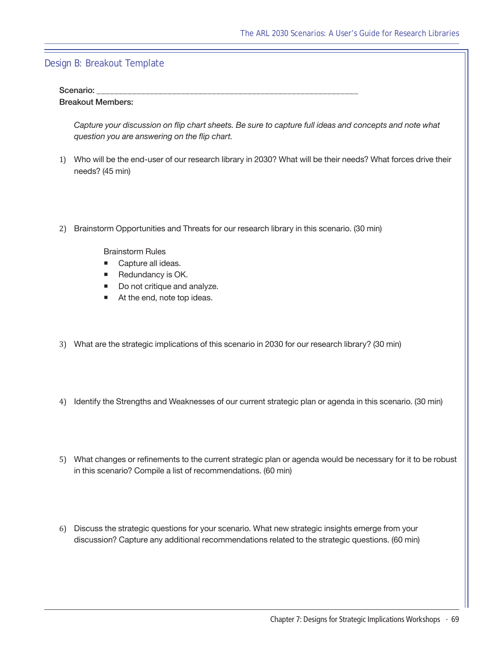## Design B: Breakout Template

#### Scenario:

#### Breakout Members:

*Capture your discussion on flip chart sheets. Be sure to capture full ideas and concepts and note what question you are answering on the flip chart.*

- 1) Who will be the end-user of our research library in 2030? What will be their needs? What forces drive their needs? (45 min)
- 2) Brainstorm Opportunities and Threats for our research library in this scenario. (30 min)

Brainstorm Rules

- Capture all ideas.
- Redundancy is OK.
- Do not critique and analyze.
- At the end, note top ideas.
- 3) What are the strategic implications of this scenario in 2030 for our research library? (30 min)
- 4) Identify the Strengths and Weaknesses of our current strategic plan or agenda in this scenario. (30 min)
- 5) What changes or refinements to the current strategic plan or agenda would be necessary for it to be robust in this scenario? Compile a list of recommendations. (60 min)
- 6) Discuss the strategic questions for your scenario. What new strategic insights emerge from your discussion? Capture any additional recommendations related to the strategic questions. (60 min)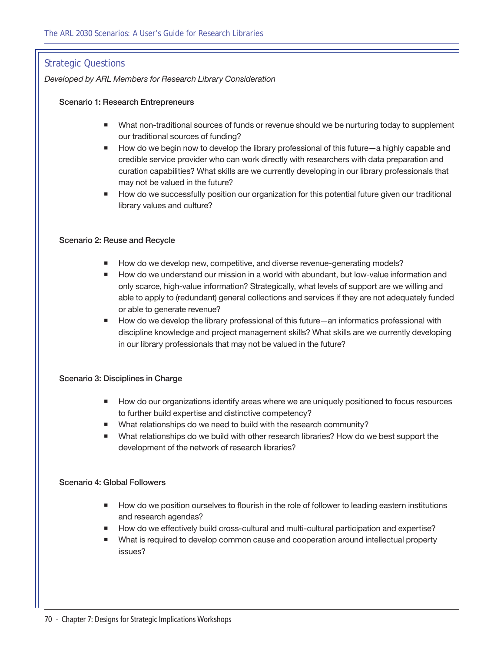## Strategic Questions

*Developed by ARL Members for Research Library Consideration*

#### Scenario 1: Research Entrepreneurs

- **Nhat non-traditional sources of funds or revenue should we be nurturing today to supplement** our traditional sources of funding?
- How do we begin now to develop the library professional of this future—a highly capable and credible service provider who can work directly with researchers with data preparation and curation capabilities? What skills are we currently developing in our library professionals that may not be valued in the future?
- **How do we successfully position our organization for this potential future given our traditional** library values and culture?

#### Scenario 2: Reuse and Recycle

- How do we develop new, competitive, and diverse revenue-generating models?
- How do we understand our mission in a world with abundant, but low-value information and only scarce, high-value information? Strategically, what levels of support are we willing and able to apply to (redundant) general collections and services if they are not adequately funded or able to generate revenue?
- How do we develop the library professional of this future—an informatics professional with discipline knowledge and project management skills? What skills are we currently developing in our library professionals that may not be valued in the future?

### Scenario 3: Disciplines in Charge

- How do our organizations identify areas where we are uniquely positioned to focus resources to further build expertise and distinctive competency?
- What relationships do we need to build with the research community?
- What relationships do we build with other research libraries? How do we best support the development of the network of research libraries?

#### Scenario 4: Global Followers

- **How do we position ourselves to flourish in the role of follower to leading eastern institutions** and research agendas?
- How do we effectively build cross-cultural and multi-cultural participation and expertise?
- What is required to develop common cause and cooperation around intellectual property issues?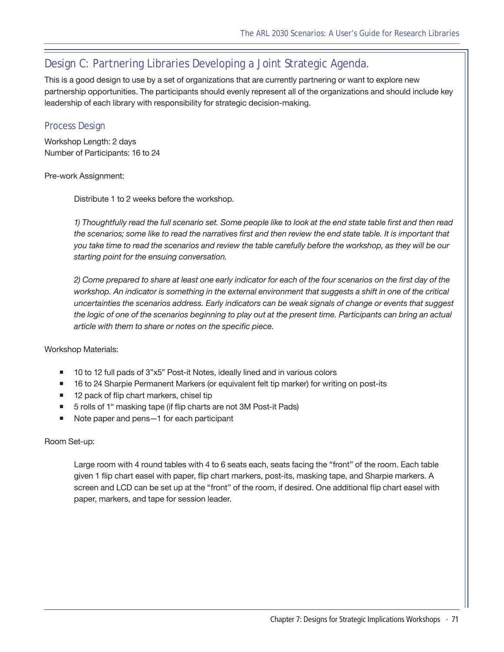## <span id="page-70-0"></span>Design C: Partnering Libraries Developing a Joint Strategic Agenda.

This is a good design to use by a set of organizations that are currently partnering or want to explore new partnership opportunities. The participants should evenly represent all of the organizations and should include key leadership of each library with responsibility for strategic decision-making.

## Process Design

Workshop Length: 2 days Number of Participants: 16 to 24

### Pre-work Assignment:

Distribute 1 to 2 weeks before the workshop.

*1) Thoughtfully read the full scenario set. Some people like to look at the end state table first and then read the scenarios; some like to read the narratives first and then review the end state table. It is important that you take time to read the scenarios and review the table carefully before the workshop, as they will be our starting point for the ensuing conversation.*

*2) Come prepared to share at least one early indicator for each of the four scenarios on the first day of the*  workshop. An indicator is something in the external environment that suggests a shift in one of the critical *uncertainties the scenarios address. Early indicators can be weak signals of change or events that suggest*  the logic of one of the scenarios beginning to play out at the present time. Participants can bring an actual *article with them to share or notes on the specific piece.*

Workshop Materials:

- 10 to 12 full pads of 3"x5" Post-it Notes, ideally lined and in various colors
- **16 to 24 Sharpie Permanent Markers (or equivalent felt tip marker) for writing on post-its**
- 12 pack of flip chart markers, chisel tip
- 5 rolls of 1" masking tape (if flip charts are not 3M Post-it Pads)
- Note paper and pens—1 for each participant

### Room Set-up:

Large room with 4 round tables with 4 to 6 seats each, seats facing the "front" of the room. Each table given 1 flip chart easel with paper, flip chart markers, post-its, masking tape, and Sharpie markers. A screen and LCD can be set up at the "front" of the room, if desired. One additional flip chart easel with paper, markers, and tape for session leader.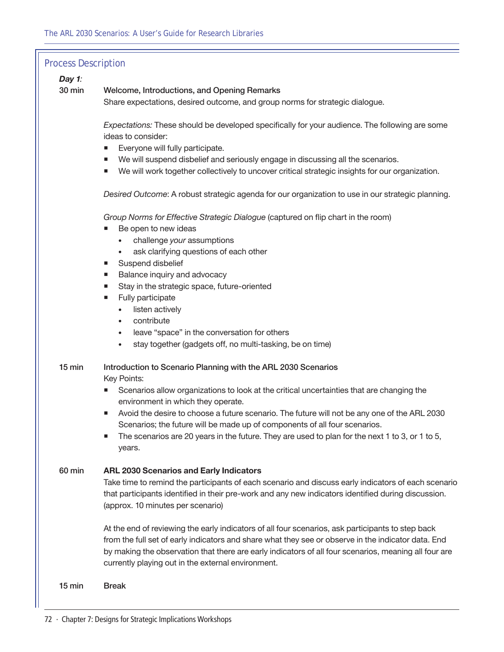## Process Description

## *Day 1:*

30 min Welcome, Introductions, and Opening Remarks

Share expectations, desired outcome, and group norms for strategic dialogue.

*Expectations:* These should be developed specifically for your audience. The following are some ideas to consider:

- Everyone will fully participate.
- We will suspend disbelief and seriously engage in discussing all the scenarios.
- We will work together collectively to uncover critical strategic insights for our organization.

*Desired Outcome*: A robust strategic agenda for our organization to use in our strategic planning.

*Group Norms for Effective Strategic Dialogue* (captured on flip chart in the room)

- Be open to new ideas
	- • challenge *your* assumptions
	- ask clarifying questions of each other
- Suspend disbelief
- **Balance inquiry and advocacy**
- Stay in the strategic space, future-oriented
- Fully participate
	- listen actively
	- contribute
	- leave "space" in the conversation for others
	- stay together (gadgets off, no multi-tasking, be on time)
- 15 min Introduction to Scenario Planning with the ARL 2030 Scenarios

Key Points:

- **Scenarios allow organizations to look at the critical uncertainties that are changing the** environment in which they operate.
- Avoid the desire to choose a future scenario. The future will not be any one of the ARL 2030 Scenarios; the future will be made up of components of all four scenarios.
- $\blacksquare$  The scenarios are 20 years in the future. They are used to plan for the next 1 to 3, or 1 to 5, years.

#### 60 min **ARL 2030 Scenarios and Early Indicators**

Take time to remind the participants of each scenario and discuss early indicators of each scenario that participants identified in their pre-work and any new indicators identified during discussion. (approx. 10 minutes per scenario)

At the end of reviewing the early indicators of all four scenarios, ask participants to step back from the full set of early indicators and share what they see or observe in the indicator data. End by making the observation that there are early indicators of all four scenarios, meaning all four are currently playing out in the external environment.

15 min Break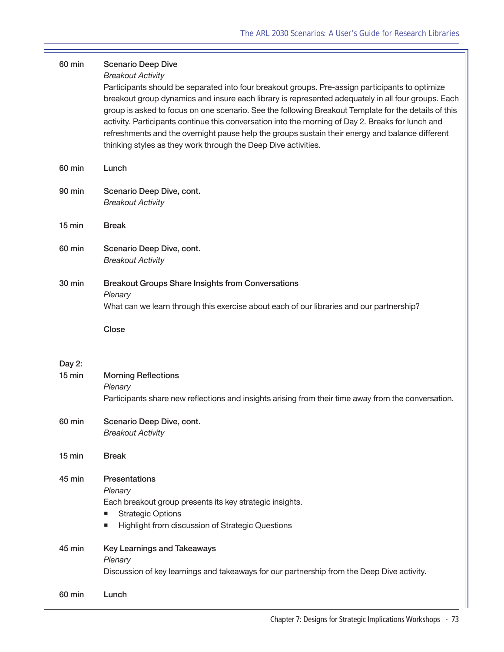| 60 min             | <b>Scenario Deep Dive</b><br><b>Breakout Activity</b><br>Participants should be separated into four breakout groups. Pre-assign participants to optimize<br>breakout group dynamics and insure each library is represented adequately in all four groups. Each<br>group is asked to focus on one scenario. See the following Breakout Template for the details of this<br>activity. Participants continue this conversation into the morning of Day 2. Breaks for lunch and<br>refreshments and the overnight pause help the groups sustain their energy and balance different<br>thinking styles as they work through the Deep Dive activities. |
|--------------------|--------------------------------------------------------------------------------------------------------------------------------------------------------------------------------------------------------------------------------------------------------------------------------------------------------------------------------------------------------------------------------------------------------------------------------------------------------------------------------------------------------------------------------------------------------------------------------------------------------------------------------------------------|
| 60 min             | Lunch                                                                                                                                                                                                                                                                                                                                                                                                                                                                                                                                                                                                                                            |
| 90 min             | Scenario Deep Dive, cont.<br><b>Breakout Activity</b>                                                                                                                                                                                                                                                                                                                                                                                                                                                                                                                                                                                            |
| $15 \text{ min}$   | <b>Break</b>                                                                                                                                                                                                                                                                                                                                                                                                                                                                                                                                                                                                                                     |
| 60 min             | Scenario Deep Dive, cont.<br><b>Breakout Activity</b>                                                                                                                                                                                                                                                                                                                                                                                                                                                                                                                                                                                            |
| <b>30 min</b>      | <b>Breakout Groups Share Insights from Conversations</b><br>Plenary<br>What can we learn through this exercise about each of our libraries and our partnership?                                                                                                                                                                                                                                                                                                                                                                                                                                                                                  |
|                    | Close                                                                                                                                                                                                                                                                                                                                                                                                                                                                                                                                                                                                                                            |
| Day 2:<br>$15$ min | <b>Morning Reflections</b><br>Plenary<br>Participants share new reflections and insights arising from their time away from the conversation.                                                                                                                                                                                                                                                                                                                                                                                                                                                                                                     |
| 60 min             | Scenario Deep Dive, cont.<br><b>Breakout Activity</b>                                                                                                                                                                                                                                                                                                                                                                                                                                                                                                                                                                                            |
| $15 \text{ min}$   | <b>Break</b>                                                                                                                                                                                                                                                                                                                                                                                                                                                                                                                                                                                                                                     |
| 45 min             | <b>Presentations</b><br>Plenary<br>Each breakout group presents its key strategic insights.<br><b>Strategic Options</b><br>Highlight from discussion of Strategic Questions<br>п                                                                                                                                                                                                                                                                                                                                                                                                                                                                 |
| 45 min             | <b>Key Learnings and Takeaways</b><br>Plenary<br>Discussion of key learnings and takeaways for our partnership from the Deep Dive activity.                                                                                                                                                                                                                                                                                                                                                                                                                                                                                                      |
| 60 min             | Lunch                                                                                                                                                                                                                                                                                                                                                                                                                                                                                                                                                                                                                                            |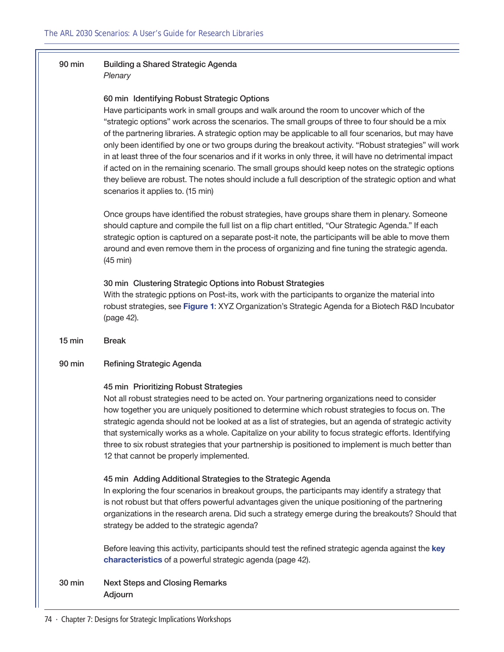# 90 min Building a Shared Strategic Agenda

*Plenary*

#### 60 min Identifying Robust Strategic Options

Have participants work in small groups and walk around the room to uncover which of the "strategic options" work across the scenarios. The small groups of three to four should be a mix of the partnering libraries. A strategic option may be applicable to all four scenarios, but may have only been identified by one or two groups during the breakout activity. "Robust strategies" will work in at least three of the four scenarios and if it works in only three, it will have no detrimental impact if acted on in the remaining scenario. The small groups should keep notes on the strategic options they believe are robust. The notes should include a full description of the strategic option and what scenarios it applies to. (15 min)

Once groups have identified the robust strategies, have groups share them in plenary. Someone should capture and compile the full list on a flip chart entitled, "Our Strategic Agenda." If each strategic option is captured on a separate post-it note, the participants will be able to move them around and even remove them in the process of organizing and fine tuning the strategic agenda. (45 min)

### 30 min Clustering Strategic Options into Robust Strategies

With the strategic pptions on Post-its, work with the participants to organize the material into robust strategies, see **[Figure 1](#page-41-0)**: XYZ Organization's Strategic Agenda for a Biotech R&D Incubator ([page 42\)](#page-41-0).

15 min Break

#### 90 min Refining Strategic Agenda

#### 45 min Prioritizing Robust Strategies

Not all robust strategies need to be acted on. Your partnering organizations need to consider how together you are uniquely positioned to determine which robust strategies to focus on. The strategic agenda should not be looked at as a list of strategies, but an agenda of strategic activity that systemically works as a whole. Capitalize on your ability to focus strategic efforts. Identifying three to six robust strategies that your partnership is positioned to implement is much better than 12 that cannot be properly implemented.

#### 45 min Adding Additional Strategies to the Strategic Agenda

In exploring the four scenarios in breakout groups, the participants may identify a strategy that is not robust but that offers powerful advantages given the unique positioning of the partnering organizations in the research arena. Did such a strategy emerge during the breakouts? Should that strategy be added to the strategic agenda?

Before leaving this activity, participants should test the refined strategic agenda against the **[key](#page-41-1)  [characteristics](#page-41-1)** of a powerful strategic agenda [\(page 42](#page-41-1)).

30 min Next Steps and Closing Remarks Adjourn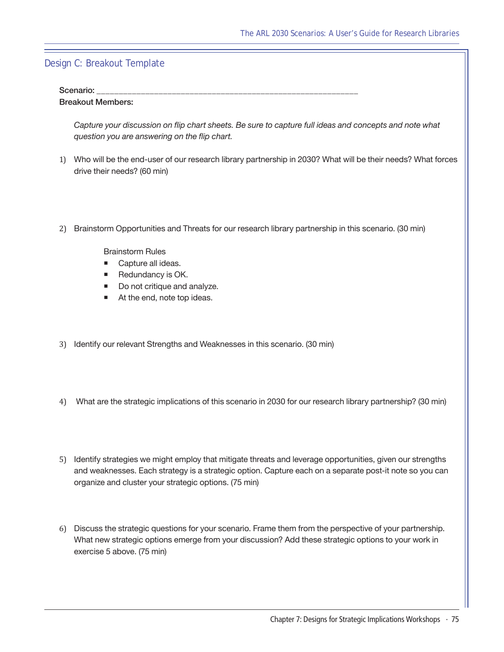### Design C: Breakout Template

#### Scenario:

#### Breakout Members:

*Capture your discussion on flip chart sheets. Be sure to capture full ideas and concepts and note what question you are answering on the flip chart.*

- 1) Who will be the end-user of our research library partnership in 2030? What will be their needs? What forces drive their needs? (60 min)
- 2) Brainstorm Opportunities and Threats for our research library partnership in this scenario. (30 min)

Brainstorm Rules

- Capture all ideas.
- Redundancy is OK.
- Do not critique and analyze.
- At the end, note top ideas.
- 3) Identify our relevant Strengths and Weaknesses in this scenario. (30 min)
- 4) What are the strategic implications of this scenario in 2030 for our research library partnership? (30 min)
- 5) Identify strategies we might employ that mitigate threats and leverage opportunities, given our strengths and weaknesses. Each strategy is a strategic option. Capture each on a separate post-it note so you can organize and cluster your strategic options. (75 min)
- 6) Discuss the strategic questions for your scenario. Frame them from the perspective of your partnership. What new strategic options emerge from your discussion? Add these strategic options to your work in exercise 5 above. (75 min)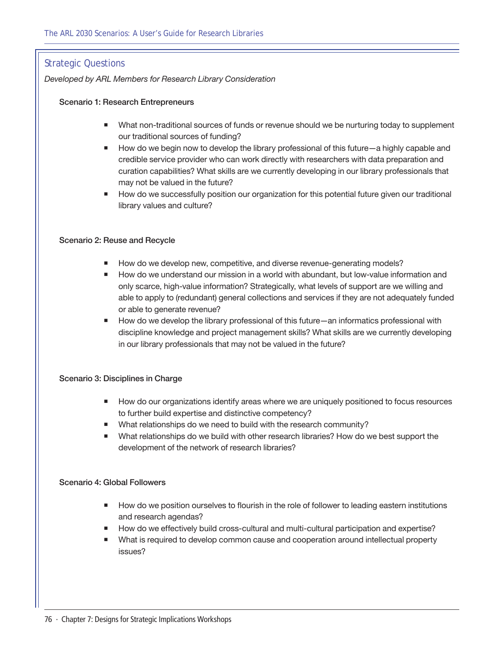## Strategic Questions

*Developed by ARL Members for Research Library Consideration*

#### Scenario 1: Research Entrepreneurs

- **Nhat non-traditional sources of funds or revenue should we be nurturing today to supplement** our traditional sources of funding?
- How do we begin now to develop the library professional of this future—a highly capable and credible service provider who can work directly with researchers with data preparation and curation capabilities? What skills are we currently developing in our library professionals that may not be valued in the future?
- **How do we successfully position our organization for this potential future given our traditional** library values and culture?

#### Scenario 2: Reuse and Recycle

- How do we develop new, competitive, and diverse revenue-generating models?
- How do we understand our mission in a world with abundant, but low-value information and only scarce, high-value information? Strategically, what levels of support are we willing and able to apply to (redundant) general collections and services if they are not adequately funded or able to generate revenue?
- How do we develop the library professional of this future—an informatics professional with discipline knowledge and project management skills? What skills are we currently developing in our library professionals that may not be valued in the future?

#### Scenario 3: Disciplines in Charge

- How do our organizations identify areas where we are uniquely positioned to focus resources to further build expertise and distinctive competency?
- What relationships do we need to build with the research community?
- What relationships do we build with other research libraries? How do we best support the development of the network of research libraries?

#### Scenario 4: Global Followers

- **How do we position ourselves to flourish in the role of follower to leading eastern institutions** and research agendas?
- How do we effectively build cross-cultural and multi-cultural participation and expertise?
- What is required to develop common cause and cooperation around intellectual property issues?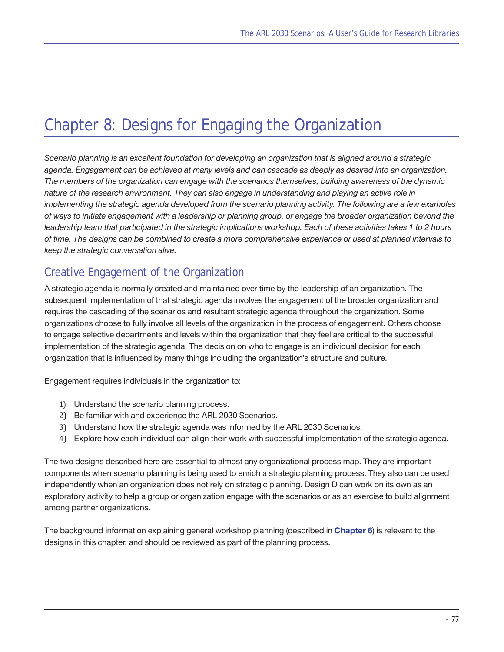# Chapter 8: Designs for Engaging the Organization

*Scenario planning is an excellent foundation for developing an organization that is aligned around a strategic agenda. Engagement can be achieved at many levels and can cascade as deeply as desired into an organization. The members of the organization can engage with the scenarios themselves, building awareness of the dynamic nature of the research environment. They can also engage in understanding and playing an active role in implementing the strategic agenda developed from the scenario planning activity. The following are a few examples of ways to initiate engagement with a leadership or planning group, or engage the broader organization beyond the leadership team that participated in the strategic implications workshop. Each of these activities takes 1 to 2 hours of time. The designs can be combined to create a more comprehensive experience or used at planned intervals to keep the strategic conversation alive.*

# Creative Engagement of the Organization

A strategic agenda is normally created and maintained over time by the leadership of an organization. The subsequent implementation of that strategic agenda involves the engagement of the broader organization and requires the cascading of the scenarios and resultant strategic agenda throughout the organization. Some organizations choose to fully involve all levels of the organization in the process of engagement. Others choose to engage selective departments and levels within the organization that they feel are critical to the successful implementation of the strategic agenda. The decision on who to engage is an individual decision for each organization that is influenced by many things including the organization's structure and culture.

Engagement requires individuals in the organization to:

- 1) Understand the scenario planning process.
- 2) Be familiar with and experience the ARL 2030 Scenarios.
- 3) Understand how the strategic agenda was informed by the ARL 2030 Scenarios.
- 4) Explore how each individual can align their work with successful implementation of the strategic agenda.

The two designs described here are essential to almost any organizational process map. They are important components when scenario planning is being used to enrich a strategic planning process. They also can be used independently when an organization does not rely on strategic planning. Design D can work on its own as an exploratory activity to help a group or organization engage with the scenarios or as an exercise to build alignment among partner organizations.

The background information explaining general workshop planning (described in **[Chapter 6](#page-52-0)**) is relevant to the designs in this chapter, and should be reviewed as part of the planning process.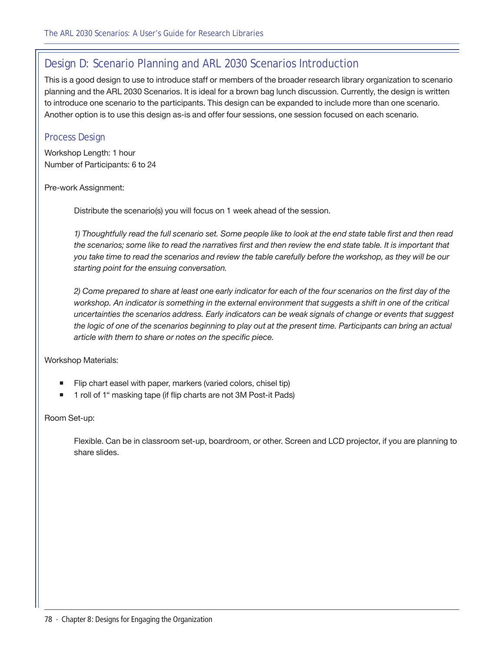# Design D: Scenario Planning and ARL 2030 Scenarios Introduction

This is a good design to use to introduce staff or members of the broader research library organization to scenario planning and the ARL 2030 Scenarios. It is ideal for a brown bag lunch discussion. Currently, the design is written to introduce one scenario to the participants. This design can be expanded to include more than one scenario. Another option is to use this design as-is and offer four sessions, one session focused on each scenario.

### Process Design

Workshop Length: 1 hour Number of Participants: 6 to 24

Pre-work Assignment:

Distribute the scenario(s) you will focus on 1 week ahead of the session.

*1) Thoughtfully read the full scenario set. Some people like to look at the end state table first and then read*  the scenarios; some like to read the narratives first and then review the end state table. It is important that *you take time to read the scenarios and review the table carefully before the workshop, as they will be our starting point for the ensuing conversation.*

*2) Come prepared to share at least one early indicator for each of the four scenarios on the first day of the*  workshop. An indicator is something in the external environment that suggests a shift in one of the critical *uncertainties the scenarios address. Early indicators can be weak signals of change or events that suggest*  the logic of one of the scenarios beginning to play out at the present time. Participants can bring an actual *article with them to share or notes on the specific piece.*

Workshop Materials:

- Flip chart easel with paper, markers (varied colors, chisel tip)
- 1 roll of 1" masking tape (if flip charts are not 3M Post-it Pads)

Room Set-up:

Flexible. Can be in classroom set-up, boardroom, or other. Screen and LCD projector, if you are planning to share slides.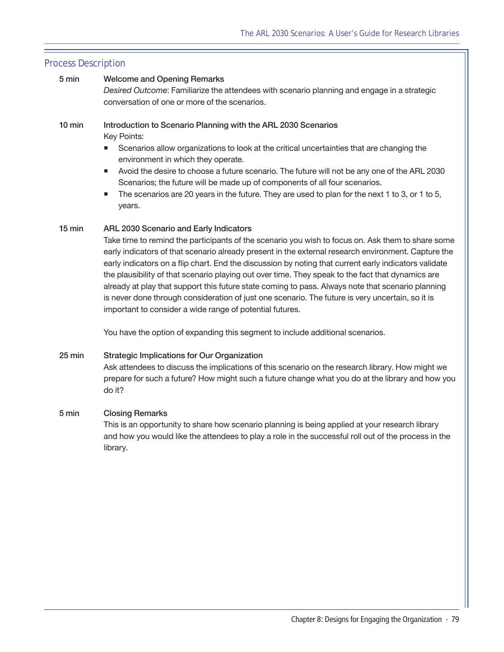#### 5 min Welcome and Opening Remarks

*Desired Outcome*: Familiarize the attendees with scenario planning and engage in a strategic conversation of one or more of the scenarios.

#### 10 min Introduction to Scenario Planning with the ARL 2030 Scenarios Key Points:

- Scenarios allow organizations to look at the critical uncertainties that are changing the environment in which they operate.
- Avoid the desire to choose a future scenario. The future will not be any one of the ARL 2030 Scenarios; the future will be made up of components of all four scenarios.
- The scenarios are 20 years in the future. They are used to plan for the next 1 to 3, or 1 to 5, years.

#### 15 min ARL 2030 Scenario and Early Indicators

Take time to remind the participants of the scenario you wish to focus on. Ask them to share some early indicators of that scenario already present in the external research environment. Capture the early indicators on a flip chart. End the discussion by noting that current early indicators validate the plausibility of that scenario playing out over time. They speak to the fact that dynamics are already at play that support this future state coming to pass. Always note that scenario planning is never done through consideration of just one scenario. The future is very uncertain, so it is important to consider a wide range of potential futures.

You have the option of expanding this segment to include additional scenarios.

# 25 min Strategic Implications for Our Organization

Ask attendees to discuss the implications of this scenario on the research library. How might we prepare for such a future? How might such a future change what you do at the library and how you do it?

#### 5 min Closing Remarks

This is an opportunity to share how scenario planning is being applied at your research library and how you would like the attendees to play a role in the successful roll out of the process in the library.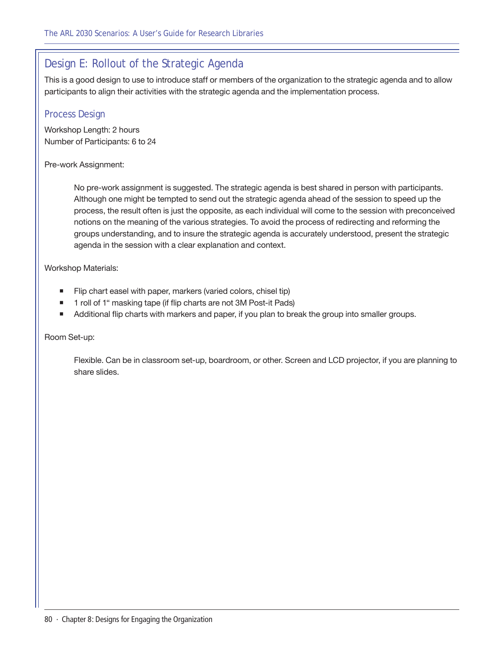# Design E: Rollout of the Strategic Agenda

This is a good design to use to introduce staff or members of the organization to the strategic agenda and to allow participants to align their activities with the strategic agenda and the implementation process.

## Process Design

Workshop Length: 2 hours Number of Participants: 6 to 24

#### Pre-work Assignment:

No pre-work assignment is suggested. The strategic agenda is best shared in person with participants. Although one might be tempted to send out the strategic agenda ahead of the session to speed up the process, the result often is just the opposite, as each individual will come to the session with preconceived notions on the meaning of the various strategies. To avoid the process of redirecting and reforming the groups understanding, and to insure the strategic agenda is accurately understood, present the strategic agenda in the session with a clear explanation and context.

Workshop Materials:

- Filip chart easel with paper, markers (varied colors, chisel tip)
- 1 roll of 1" masking tape (if flip charts are not 3M Post-it Pads)
- Additional flip charts with markers and paper, if you plan to break the group into smaller groups.

Room Set-up:

Flexible. Can be in classroom set-up, boardroom, or other. Screen and LCD projector, if you are planning to share slides.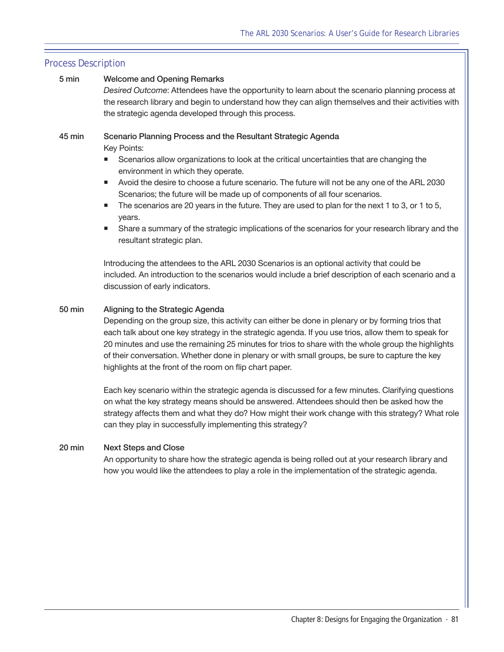#### 5 min Welcome and Opening Remarks

*Desired Outcome*: Attendees have the opportunity to learn about the scenario planning process at the research library and begin to understand how they can align themselves and their activities with the strategic agenda developed through this process.

### 45 min Scenario Planning Process and the Resultant Strategic Agenda

Key Points:

- **Scenarios allow organizations to look at the critical uncertainties that are changing the** environment in which they operate.
- Avoid the desire to choose a future scenario. The future will not be any one of the ARL 2030 Scenarios; the future will be made up of components of all four scenarios.
- $\blacksquare$  The scenarios are 20 years in the future. They are used to plan for the next 1 to 3, or 1 to 5, years.
- Share a summary of the strategic implications of the scenarios for your research library and the resultant strategic plan.

Introducing the attendees to the ARL 2030 Scenarios is an optional activity that could be included. An introduction to the scenarios would include a brief description of each scenario and a discussion of early indicators.

#### 50 min Aligning to the Strategic Agenda

Depending on the group size, this activity can either be done in plenary or by forming trios that each talk about one key strategy in the strategic agenda. If you use trios, allow them to speak for 20 minutes and use the remaining 25 minutes for trios to share with the whole group the highlights of their conversation. Whether done in plenary or with small groups, be sure to capture the key highlights at the front of the room on flip chart paper.

Each key scenario within the strategic agenda is discussed for a few minutes. Clarifying questions on what the key strategy means should be answered. Attendees should then be asked how the strategy affects them and what they do? How might their work change with this strategy? What role can they play in successfully implementing this strategy?

#### 20 min Next Steps and Close

An opportunity to share how the strategic agenda is being rolled out at your research library and how you would like the attendees to play a role in the implementation of the strategic agenda.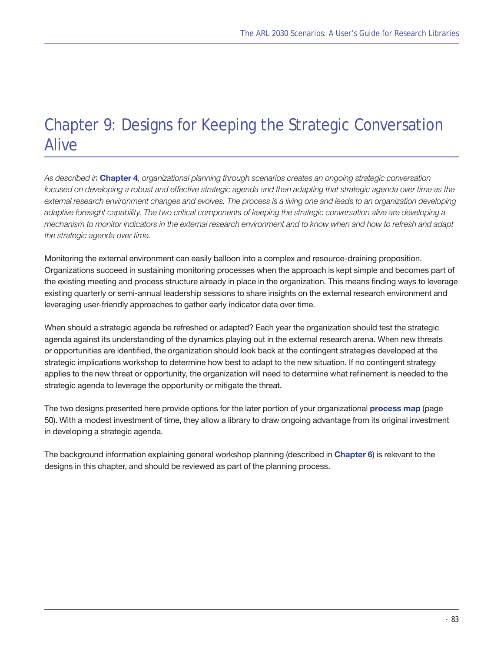# Chapter 9: Designs for Keeping the Strategic Conversation **Alive**

*As described in* **[Chapter 4](#page-40-0)***, organizational planning through scenarios creates an ongoing strategic conversation*  focused on developing a robust and effective strategic agenda and then adapting that strategic agenda over time as the *external research environment changes and evolves. The process is a living one and leads to an organization developing adaptive foresight capability. The two critical components of keeping the strategic conversation alive are developing a mechanism to monitor indicators in the external research environment and to know when and how to refresh and adapt the strategic agenda over time.* 

Monitoring the external environment can easily balloon into a complex and resource-draining proposition. Organizations succeed in sustaining monitoring processes when the approach is kept simple and becomes part of the existing meeting and process structure already in place in the organization. This means finding ways to leverage existing quarterly or semi-annual leadership sessions to share insights on the external research environment and leveraging user-friendly approaches to gather early indicator data over time.

When should a strategic agenda be refreshed or adapted? Each year the organization should test the strategic agenda against its understanding of the dynamics playing out in the external research arena. When new threats or opportunities are identified, the organization should look back at the contingent strategies developed at the strategic implications workshop to determine how best to adapt to the new situation. If no contingent strategy applies to the new threat or opportunity, the organization will need to determine what refinement is needed to the strategic agenda to leverage the opportunity or mitigate the threat.

The two designs presented here provide options for the later portion of your organizational **[process map](#page-49-0)** [\(page](#page-49-0)  [50\)](#page-49-0). With a modest investment of time, they allow a library to draw ongoing advantage from its original investment in developing a strategic agenda.

The background information explaining general workshop planning (described in **Chapter 6**) is relevant to the designs in this chapter, and should be reviewed as part of the planning process.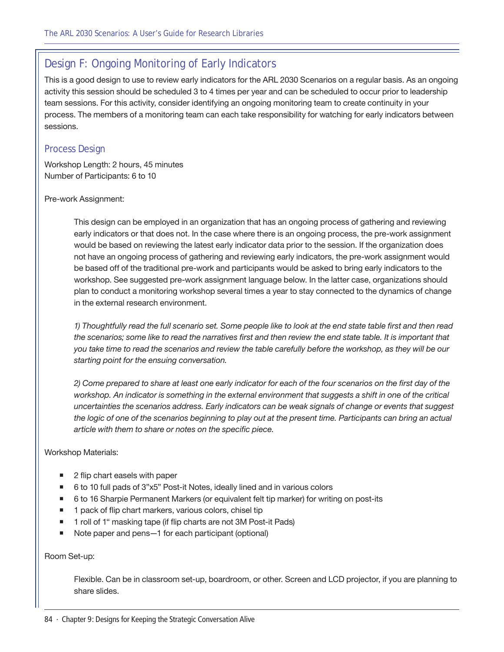# Design F: Ongoing Monitoring of Early Indicators

This is a good design to use to review early indicators for the ARL 2030 Scenarios on a regular basis. As an ongoing activity this session should be scheduled 3 to 4 times per year and can be scheduled to occur prior to leadership team sessions. For this activity, consider identifying an ongoing monitoring team to create continuity in your process. The members of a monitoring team can each take responsibility for watching for early indicators between sessions.

## Process Design

Workshop Length: 2 hours, 45 minutes Number of Participants: 6 to 10

#### Pre-work Assignment:

This design can be employed in an organization that has an ongoing process of gathering and reviewing early indicators or that does not. In the case where there is an ongoing process, the pre-work assignment would be based on reviewing the latest early indicator data prior to the session. If the organization does not have an ongoing process of gathering and reviewing early indicators, the pre-work assignment would be based off of the traditional pre-work and participants would be asked to bring early indicators to the workshop. See suggested pre-work assignment language below. In the latter case, organizations should plan to conduct a monitoring workshop several times a year to stay connected to the dynamics of change in the external research environment.

*1) Thoughtfully read the full scenario set. Some people like to look at the end state table first and then read*  the scenarios; some like to read the narratives first and then review the end state table. It is important that *you take time to read the scenarios and review the table carefully before the workshop, as they will be our starting point for the ensuing conversation.*

*2) Come prepared to share at least one early indicator for each of the four scenarios on the first day of the*  workshop. An indicator is something in the external environment that suggests a shift in one of the critical *uncertainties the scenarios address. Early indicators can be weak signals of change or events that suggest*  the logic of one of the scenarios beginning to play out at the present time. Participants can bring an actual *article with them to share or notes on the specific piece.*

#### Workshop Materials:

- 2 flip chart easels with paper
- 6 to 10 full pads of 3"x5" Post-it Notes, ideally lined and in various colors
- 6 to 16 Sharpie Permanent Markers (or equivalent felt tip marker) for writing on post-its
- 1 pack of flip chart markers, various colors, chisel tip
- 1 roll of 1" masking tape (if flip charts are not 3M Post-it Pads)
- Note paper and pens—1 for each participant (optional)

#### Room Set-up:

Flexible. Can be in classroom set-up, boardroom, or other. Screen and LCD projector, if you are planning to share slides.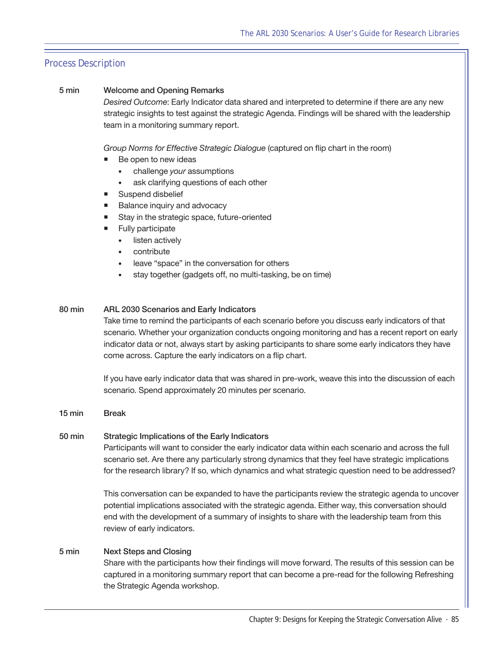#### 5 min Welcome and Opening Remarks

*Desired Outcome*: Early Indicator data shared and interpreted to determine if there are any new strategic insights to test against the strategic Agenda. Findings will be shared with the leadership team in a monitoring summary report.

*Group Norms for Effective Strategic Dialogue* (captured on flip chart in the room)

- Be open to new ideas
	- • challenge *your* assumptions
	- ask clarifying questions of each other
- Suspend disbelief
- Balance inquiry and advocacy
- Stay in the strategic space, future-oriented
- **Fully participate** 
	- listen actively
	- contribute
	- leave "space" in the conversation for others
	- stay together (gadgets off, no multi-tasking, be on time)

#### 80 min ARL 2030 Scenarios and Early Indicators

Take time to remind the participants of each scenario before you discuss early indicators of that scenario. Whether your organization conducts ongoing monitoring and has a recent report on early indicator data or not, always start by asking participants to share some early indicators they have come across. Capture the early indicators on a flip chart.

If you have early indicator data that was shared in pre-work, weave this into the discussion of each scenario. Spend approximately 20 minutes per scenario.

#### 15 min Break

#### 50 min Strategic Implications of the Early Indicators

Participants will want to consider the early indicator data within each scenario and across the full scenario set. Are there any particularly strong dynamics that they feel have strategic implications for the research library? If so, which dynamics and what strategic question need to be addressed?

This conversation can be expanded to have the participants review the strategic agenda to uncover potential implications associated with the strategic agenda. Either way, this conversation should end with the development of a summary of insights to share with the leadership team from this review of early indicators.

#### 5 min Next Steps and Closing

Share with the participants how their findings will move forward. The results of this session can be captured in a monitoring summary report that can become a pre-read for the following Refreshing the Strategic Agenda workshop.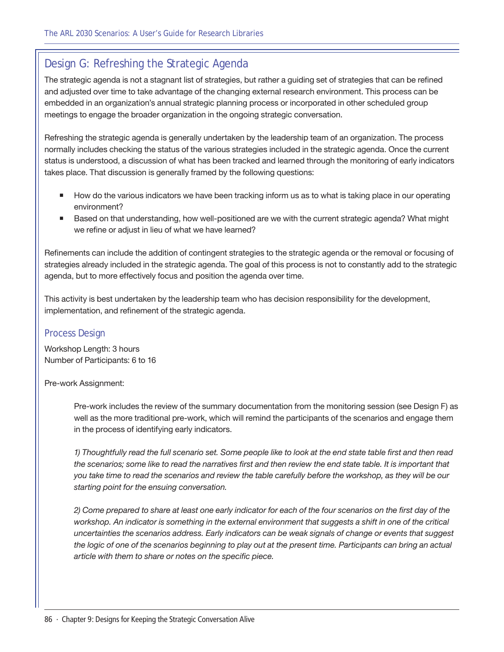# Design G: Refreshing the Strategic Agenda

The strategic agenda is not a stagnant list of strategies, but rather a guiding set of strategies that can be refined and adjusted over time to take advantage of the changing external research environment. This process can be embedded in an organization's annual strategic planning process or incorporated in other scheduled group meetings to engage the broader organization in the ongoing strategic conversation.

Refreshing the strategic agenda is generally undertaken by the leadership team of an organization. The process normally includes checking the status of the various strategies included in the strategic agenda. Once the current status is understood, a discussion of what has been tracked and learned through the monitoring of early indicators takes place. That discussion is generally framed by the following questions:

- How do the various indicators we have been tracking inform us as to what is taking place in our operating environment?
- Based on that understanding, how well-positioned are we with the current strategic agenda? What might we refine or adjust in lieu of what we have learned?

Refinements can include the addition of contingent strategies to the strategic agenda or the removal or focusing of strategies already included in the strategic agenda. The goal of this process is not to constantly add to the strategic agenda, but to more effectively focus and position the agenda over time.

This activity is best undertaken by the leadership team who has decision responsibility for the development, implementation, and refinement of the strategic agenda.

# Process Design

Workshop Length: 3 hours Number of Participants: 6 to 16

#### Pre-work Assignment:

Pre-work includes the review of the summary documentation from the monitoring session (see Design F) as well as the more traditional pre-work, which will remind the participants of the scenarios and engage them in the process of identifying early indicators.

*1) Thoughtfully read the full scenario set. Some people like to look at the end state table first and then read*  the scenarios; some like to read the narratives first and then review the end state table. It is important that *you take time to read the scenarios and review the table carefully before the workshop, as they will be our starting point for the ensuing conversation.*

*2) Come prepared to share at least one early indicator for each of the four scenarios on the first day of the*  workshop. An indicator is something in the external environment that suggests a shift in one of the critical *uncertainties the scenarios address. Early indicators can be weak signals of change or events that suggest the logic of one of the scenarios beginning to play out at the present time. Participants can bring an actual article with them to share or notes on the specific piece.*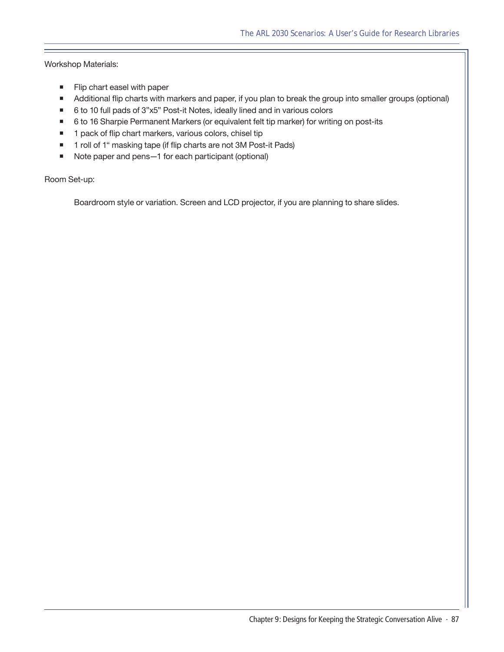Workshop Materials:

- **Flip chart easel with paper**
- Additional flip charts with markers and paper, if you plan to break the group into smaller groups (optional)
- 6 to 10 full pads of 3"x5" Post-it Notes, ideally lined and in various colors
- 6 to 16 Sharpie Permanent Markers (or equivalent felt tip marker) for writing on post-its
- 1 pack of flip chart markers, various colors, chisel tip
- 1 roll of 1" masking tape (if flip charts are not 3M Post-it Pads)
- Note paper and pens-1 for each participant (optional)

Room Set-up:

Boardroom style or variation. Screen and LCD projector, if you are planning to share slides.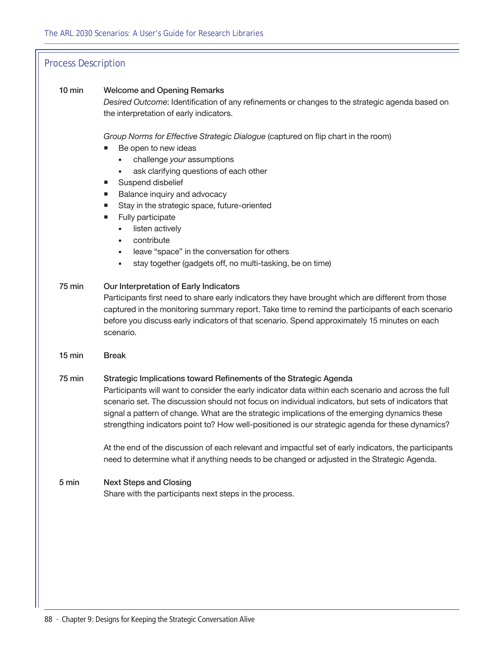#### 10 min Welcome and Opening Remarks

*Desired Outcome*: Identification of any refinements or changes to the strategic agenda based on the interpretation of early indicators.

*Group Norms for Effective Strategic Dialogue* (captured on flip chart in the room)

- Be open to new ideas
	- • challenge *your* assumptions
	- ask clarifying questions of each other
- Suspend disbelief
- **Balance inquiry and advocacy**
- Stay in the strategic space, future-oriented
- **Fully participate** 
	- listen actively
	- • contribute
	- leave "space" in the conversation for others
	- stay together (gadgets off, no multi-tasking, be on time)

#### 75 min Our Interpretation of Early Indicators

Participants first need to share early indicators they have brought which are different from those captured in the monitoring summary report. Take time to remind the participants of each scenario before you discuss early indicators of that scenario. Spend approximately 15 minutes on each scenario.

15 min Break

#### 75 min Strategic Implications toward Refinements of the Strategic Agenda

Participants will want to consider the early indicator data within each scenario and across the full scenario set. The discussion should not focus on individual indicators, but sets of indicators that signal a pattern of change. What are the strategic implications of the emerging dynamics these strengthing indicators point to? How well-positioned is our strategic agenda for these dynamics?

At the end of the discussion of each relevant and impactful set of early indicators, the participants need to determine what if anything needs to be changed or adjusted in the Strategic Agenda.

#### 5 min Next Steps and Closing Share with the participants next steps in the process.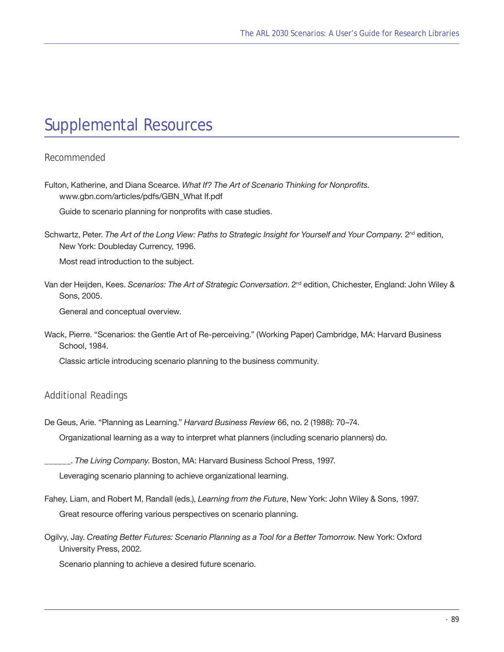# Supplemental Resources

### *Recommended*

Fulton, Katherine, and Diana Scearce. *What If? The Art of Scenario Thinking for Nonprofits.*  www.gbn.com/articles/pdfs/GBN\_What If.pdf

Guide to scenario planning for nonprofits with case studies.

Schwartz, Peter. The Art of the Long View: Paths to Strategic Insight for Yourself and Your Company. 2<sup>nd</sup> edition, New York: Doubleday Currency, 1996.

Most read introduction to the subject.

Van der Heijden, Kees. Scenarios: The Art of Strategic Conversation. 2<sup>nd</sup> edition, Chichester, England: John Wiley & Sons, 2005.

General and conceptual overview.

Wack, Pierre. "Scenarios: the Gentle Art of Re-perceiving." (Working Paper) Cambridge, MA: Harvard Business School, 1984.

Classic article introducing scenario planning to the business community.

#### *Additional Readings*

De Geus, Arie. "Planning as Learning." *Harvard Business Review* 66, no. 2 (1988): 70–74.

Organizational learning as a way to interpret what planners (including scenario planners) do.

\_\_\_\_\_\_. *The Living Company*. Boston, MA: Harvard Business School Press, 1997.

Leveraging scenario planning to achieve organizational learning.

- Fahey, Liam, and Robert M, Randall (eds.), *Learning from the Future*, New York: John Wiley & Sons, 1997. Great resource offering various perspectives on scenario planning.
- Ogilvy, Jay. *Creating Better Futures: Scenario Planning as a Tool for a Better Tomorrow*. New York: Oxford University Press, 2002.

Scenario planning to achieve a desired future scenario.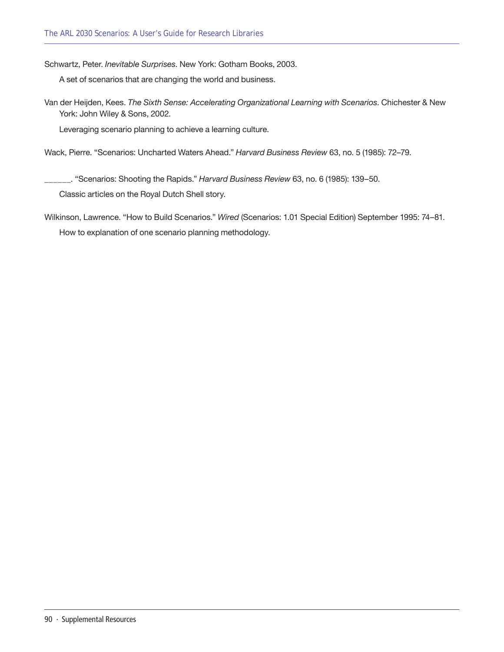Schwartz, Peter. *Inevitable Surprises*. New York: Gotham Books, 2003.

A set of scenarios that are changing the world and business.

Van der Heijden, Kees. *The Sixth Sense: Accelerating Organizational Learning with Scenarios*. Chichester & New York: John Wiley & Sons, 2002.

Leveraging scenario planning to achieve a learning culture.

Wack, Pierre. "Scenarios: Uncharted Waters Ahead." *Harvard Business Review* 63, no. 5 (1985): 72–79.

\_\_\_\_\_\_. "Scenarios: Shooting the Rapids." *Harvard Business Review* 63, no. 6 (1985): 139–50. Classic articles on the Royal Dutch Shell story.

Wilkinson, Lawrence. "How to Build Scenarios." *Wired* (Scenarios: 1.01 Special Edition) September 1995: 74–81. How to explanation of one scenario planning methodology.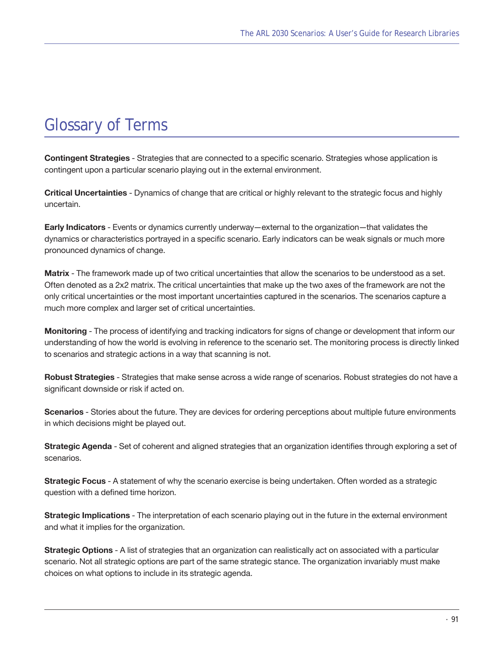# Glossary of Terms

**Contingent Strategies** - Strategies that are connected to a specific scenario. Strategies whose application is contingent upon a particular scenario playing out in the external environment.

**Critical Uncertainties** - Dynamics of change that are critical or highly relevant to the strategic focus and highly uncertain.

**Early Indicators** - Events or dynamics currently underway—external to the organization—that validates the dynamics or characteristics portrayed in a specific scenario. Early indicators can be weak signals or much more pronounced dynamics of change.

**Matrix** - The framework made up of two critical uncertainties that allow the scenarios to be understood as a set. Often denoted as a 2x2 matrix. The critical uncertainties that make up the two axes of the framework are not the only critical uncertainties or the most important uncertainties captured in the scenarios. The scenarios capture a much more complex and larger set of critical uncertainties.

**Monitoring** - The process of identifying and tracking indicators for signs of change or development that inform our understanding of how the world is evolving in reference to the scenario set. The monitoring process is directly linked to scenarios and strategic actions in a way that scanning is not.

**Robust Strategies** - Strategies that make sense across a wide range of scenarios. Robust strategies do not have a significant downside or risk if acted on.

**Scenarios** - Stories about the future. They are devices for ordering perceptions about multiple future environments in which decisions might be played out.

**Strategic Agenda** - Set of coherent and aligned strategies that an organization identifies through exploring a set of scenarios.

**Strategic Focus** - A statement of why the scenario exercise is being undertaken. Often worded as a strategic question with a defined time horizon.

**Strategic Implications** - The interpretation of each scenario playing out in the future in the external environment and what it implies for the organization.

**Strategic Options** - A list of strategies that an organization can realistically act on associated with a particular scenario. Not all strategic options are part of the same strategic stance. The organization invariably must make choices on what options to include in its strategic agenda.